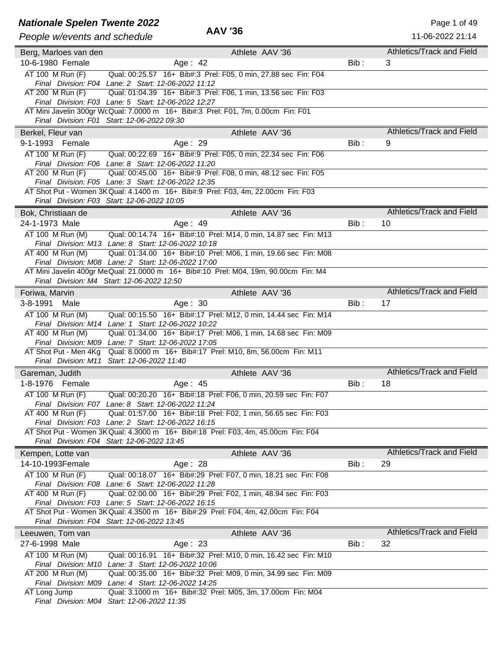### **Nationale Spelen Twente 2022** A AM 126

| Athletics/Track and Field<br>Athlete AAV '36<br>Berg, Marloes van den<br>10-6-1980 Female<br>Bib:<br>Age: 42<br>3<br>AT 100 M Run (F)<br>Qual: 00:25.57 16+ Bib#:3 Prel: F05, 0 min, 27.88 sec Fin: F04<br>Final Division: F04 Lane: 2 Start: 12-06-2022 11:12<br>AT 200 M Run (F)<br>Qual: 01:04.39 16+ Bib#:3 Prel: F06, 1 min, 13.56 sec Fin: F03<br>Final Division: F03 Lane: 5 Start: 12-06-2022 12:27<br>AT Mini Javelin 300gr WcQual: 7.0000 m 16+ Bib#:3 Prel: F01, 7m, 0.00cm Fin: F01<br>Final Division: F01 Start: 12-06-2022 09:30<br>Athletics/Track and Field<br>Athlete AAV '36<br>Berkel, Fleur van<br>9-1-1993 Female<br>Bib:<br>9<br>Age: 29<br>$AT 100$ M Run $(F)$<br>Qual: 00:22.69 16+ Bib#:9 Prel: F05, 0 min, 22.34 sec Fin: F06<br>Final Division: F06 Lane: 8 Start: 12-06-2022 11:20<br>Qual: 00:45.00 16+ Bib#:9 Prel: F08, 0 min, 48.12 sec Fin: F05<br>AT 200 M Run (F)<br>Final Division: F05 Lane: 3 Start: 12-06-2022 12:35<br>AT Shot Put - Women 3K Qual: 4.1400 m 16+ Bib#:9 Prel: F03, 4m, 22.00cm Fin: F03<br>Final Division: F03 Start: 12-06-2022 10:05<br><b>Athletics/Track and Field</b><br>Athlete AAV '36<br>Bok, Christiaan de<br>Bib:<br>24-1-1973 Male<br>Age: 49<br>10<br>AT 100 M Run (M)<br>Qual: 00:14.74 16+ Bib#:10 Prel: M14, 0 min, 14.87 sec Fin: M13<br>Final Division: M13 Lane: 8 Start: 12-06-2022 10:18<br>$AT$ 400 M Run (M)<br>Qual: 01:34.00 16+ Bib#:10 Prel: M06, 1 min, 19.66 sec Fin: M08<br>Final Division: M08 Lane: 2 Start: 12-06-2022 17:00<br>AT Mini Javelin 400gr Me Qual: 21.0000 m 16+ Bib#:10 Prel: M04, 19m, 90.00cm Fin: M4<br>Final Division: M4 Start: 12-06-2022 12:50<br>Athletics/Track and Field<br>Athlete AAV '36<br>Foriwa, Marvin<br>3-8-1991<br>Age: 30<br>Bib:<br>Male<br>17<br>AT 100 M Run (M)<br>Qual: 00:15.50 16+ Bib#:17 Prel: M12, 0 min, 14.44 sec Fin: M14<br>Final Division: M14 Lane: 1 Start: 12-06-2022 10:22<br>AT 400 M Run (M)<br>Qual: 01:34.00 16+ Bib#:17 Prel: M06, 1 min, 14.68 sec Fin: M09<br>Final Division: M09 Lane: 7 Start: 12-06-2022 17:05<br>AT Shot Put - Men 4Kg Qual: 8.0000 m 16+ Bib#:17 Prel: M10, 8m, 56.00cm Fin: M11<br>Final Division: M11 Start: 12-06-2022 11:40<br>Athletics/Track and Field<br>Athlete AAV '36<br>Gareman, Judith<br>18<br>1-8-1976 Female<br>Age: 45<br>Bib:<br>Qual: 00:20.20 16+ Bib#:18 Prel: F06, 0 min, 20.59 sec Fin: F07<br>AT 100 M Run (F)<br>Final Division: F07 Lane: 8 Start: 12-06-2022 11:24<br>AT 400 M Run (F)<br>Qual: 01:57.00 16+ Bib#:18 Prel: F02, 1 min, 56.65 sec Fin: F03<br>Final Division: F03 Lane: 2 Start: 12-06-2022 16:15<br>AT Shot Put - Women 3K Qual: 4.3000 m 16+ Bib#:18 Prel: F03, 4m, 45.00cm Fin: F04<br>Final Division: F04 Start: 12-06-2022 13:45<br>Athletics/Track and Field<br>Athlete AAV '36<br>Kempen, Lotte van<br>14-10-1993Female<br>Bib:<br>Age: 28<br>29<br>AT 100 M Run (F)<br>Qual: 00:18.07 16+ Bib#:29 Prel: F07, 0 min, 18.21 sec Fin: F08<br>Final Division: F08 Lane: 6 Start: 12-06-2022 11:28<br>Qual: 02:00.00 16+ Bib#:29 Prel: F02, 1 min, 48.94 sec Fin: F03<br>AT 400 M Run (F)<br>Final Division: F03 Lane: 5 Start: 12-06-2022 16:15<br>AT Shot Put - Women 3K Qual: 4.3500 m 16+ Bib#:29 Prel: F04, 4m, 42.00cm Fin: F04<br>Final Division: F04 Start: 12-06-2022 13:45<br>Athletics/Track and Field<br>Athlete AAV '36<br>Leeuwen, Tom van<br>Age: 23<br>Bib:<br>32<br>27-6-1998 Male<br>AT 100 M Run (M)<br>Qual: 00:16.91 16+ Bib#:32 Prel: M10, 0 min, 16.42 sec Fin: M10<br>Final Division: M10 Lane: 3 Start: 12-06-2022 10:06<br>AT 200 M Run (M)<br>Qual: 00:35.00 16+ Bib#:32 Prel: M09, 0 min, 34.99 sec Fin: M09<br>Final Division: M09 Lane: 4 Start: 12-06-2022 14:25 | Qual: 3.1000 m 16+ Bib#:32 Prel: M05, 3m, 17.00cm Fin: M04<br>AT Long Jump<br>Final Division: M04 Start: 12-06-2022 11:35 | People w/events and schedule | <b>AAV '36</b> | 11-06-2022 21:14 |
|-----------------------------------------------------------------------------------------------------------------------------------------------------------------------------------------------------------------------------------------------------------------------------------------------------------------------------------------------------------------------------------------------------------------------------------------------------------------------------------------------------------------------------------------------------------------------------------------------------------------------------------------------------------------------------------------------------------------------------------------------------------------------------------------------------------------------------------------------------------------------------------------------------------------------------------------------------------------------------------------------------------------------------------------------------------------------------------------------------------------------------------------------------------------------------------------------------------------------------------------------------------------------------------------------------------------------------------------------------------------------------------------------------------------------------------------------------------------------------------------------------------------------------------------------------------------------------------------------------------------------------------------------------------------------------------------------------------------------------------------------------------------------------------------------------------------------------------------------------------------------------------------------------------------------------------------------------------------------------------------------------------------------------------------------------------------------------------------------------------------------------------------------------------------------------------------------------------------------------------------------------------------------------------------------------------------------------------------------------------------------------------------------------------------------------------------------------------------------------------------------------------------------------------------------------------------------------------------------------------------------------------------------------------------------------------------------------------------------------------------------------------------------------------------------------------------------------------------------------------------------------------------------------------------------------------------------------------------------------------------------------------------------------------------------------------------------------------------------------------------------------------------------------------------------------------------------------------------------------------------------------------------------------------------------------------------------------------------------------------------------------------------------------------------------------------------------------------------------------------------------------------------------------------------------------------------------------------------------------------------------------------------------------------------------------------------------------------------------|---------------------------------------------------------------------------------------------------------------------------|------------------------------|----------------|------------------|
|                                                                                                                                                                                                                                                                                                                                                                                                                                                                                                                                                                                                                                                                                                                                                                                                                                                                                                                                                                                                                                                                                                                                                                                                                                                                                                                                                                                                                                                                                                                                                                                                                                                                                                                                                                                                                                                                                                                                                                                                                                                                                                                                                                                                                                                                                                                                                                                                                                                                                                                                                                                                                                                                                                                                                                                                                                                                                                                                                                                                                                                                                                                                                                                                                                                                                                                                                                                                                                                                                                                                                                                                                                                                                                                       |                                                                                                                           |                              |                |                  |
|                                                                                                                                                                                                                                                                                                                                                                                                                                                                                                                                                                                                                                                                                                                                                                                                                                                                                                                                                                                                                                                                                                                                                                                                                                                                                                                                                                                                                                                                                                                                                                                                                                                                                                                                                                                                                                                                                                                                                                                                                                                                                                                                                                                                                                                                                                                                                                                                                                                                                                                                                                                                                                                                                                                                                                                                                                                                                                                                                                                                                                                                                                                                                                                                                                                                                                                                                                                                                                                                                                                                                                                                                                                                                                                       |                                                                                                                           |                              |                |                  |
|                                                                                                                                                                                                                                                                                                                                                                                                                                                                                                                                                                                                                                                                                                                                                                                                                                                                                                                                                                                                                                                                                                                                                                                                                                                                                                                                                                                                                                                                                                                                                                                                                                                                                                                                                                                                                                                                                                                                                                                                                                                                                                                                                                                                                                                                                                                                                                                                                                                                                                                                                                                                                                                                                                                                                                                                                                                                                                                                                                                                                                                                                                                                                                                                                                                                                                                                                                                                                                                                                                                                                                                                                                                                                                                       |                                                                                                                           |                              |                |                  |
|                                                                                                                                                                                                                                                                                                                                                                                                                                                                                                                                                                                                                                                                                                                                                                                                                                                                                                                                                                                                                                                                                                                                                                                                                                                                                                                                                                                                                                                                                                                                                                                                                                                                                                                                                                                                                                                                                                                                                                                                                                                                                                                                                                                                                                                                                                                                                                                                                                                                                                                                                                                                                                                                                                                                                                                                                                                                                                                                                                                                                                                                                                                                                                                                                                                                                                                                                                                                                                                                                                                                                                                                                                                                                                                       |                                                                                                                           |                              |                |                  |
|                                                                                                                                                                                                                                                                                                                                                                                                                                                                                                                                                                                                                                                                                                                                                                                                                                                                                                                                                                                                                                                                                                                                                                                                                                                                                                                                                                                                                                                                                                                                                                                                                                                                                                                                                                                                                                                                                                                                                                                                                                                                                                                                                                                                                                                                                                                                                                                                                                                                                                                                                                                                                                                                                                                                                                                                                                                                                                                                                                                                                                                                                                                                                                                                                                                                                                                                                                                                                                                                                                                                                                                                                                                                                                                       |                                                                                                                           |                              |                |                  |
|                                                                                                                                                                                                                                                                                                                                                                                                                                                                                                                                                                                                                                                                                                                                                                                                                                                                                                                                                                                                                                                                                                                                                                                                                                                                                                                                                                                                                                                                                                                                                                                                                                                                                                                                                                                                                                                                                                                                                                                                                                                                                                                                                                                                                                                                                                                                                                                                                                                                                                                                                                                                                                                                                                                                                                                                                                                                                                                                                                                                                                                                                                                                                                                                                                                                                                                                                                                                                                                                                                                                                                                                                                                                                                                       |                                                                                                                           |                              |                |                  |
|                                                                                                                                                                                                                                                                                                                                                                                                                                                                                                                                                                                                                                                                                                                                                                                                                                                                                                                                                                                                                                                                                                                                                                                                                                                                                                                                                                                                                                                                                                                                                                                                                                                                                                                                                                                                                                                                                                                                                                                                                                                                                                                                                                                                                                                                                                                                                                                                                                                                                                                                                                                                                                                                                                                                                                                                                                                                                                                                                                                                                                                                                                                                                                                                                                                                                                                                                                                                                                                                                                                                                                                                                                                                                                                       |                                                                                                                           |                              |                |                  |
|                                                                                                                                                                                                                                                                                                                                                                                                                                                                                                                                                                                                                                                                                                                                                                                                                                                                                                                                                                                                                                                                                                                                                                                                                                                                                                                                                                                                                                                                                                                                                                                                                                                                                                                                                                                                                                                                                                                                                                                                                                                                                                                                                                                                                                                                                                                                                                                                                                                                                                                                                                                                                                                                                                                                                                                                                                                                                                                                                                                                                                                                                                                                                                                                                                                                                                                                                                                                                                                                                                                                                                                                                                                                                                                       |                                                                                                                           |                              |                |                  |
|                                                                                                                                                                                                                                                                                                                                                                                                                                                                                                                                                                                                                                                                                                                                                                                                                                                                                                                                                                                                                                                                                                                                                                                                                                                                                                                                                                                                                                                                                                                                                                                                                                                                                                                                                                                                                                                                                                                                                                                                                                                                                                                                                                                                                                                                                                                                                                                                                                                                                                                                                                                                                                                                                                                                                                                                                                                                                                                                                                                                                                                                                                                                                                                                                                                                                                                                                                                                                                                                                                                                                                                                                                                                                                                       |                                                                                                                           |                              |                |                  |
|                                                                                                                                                                                                                                                                                                                                                                                                                                                                                                                                                                                                                                                                                                                                                                                                                                                                                                                                                                                                                                                                                                                                                                                                                                                                                                                                                                                                                                                                                                                                                                                                                                                                                                                                                                                                                                                                                                                                                                                                                                                                                                                                                                                                                                                                                                                                                                                                                                                                                                                                                                                                                                                                                                                                                                                                                                                                                                                                                                                                                                                                                                                                                                                                                                                                                                                                                                                                                                                                                                                                                                                                                                                                                                                       |                                                                                                                           |                              |                |                  |
|                                                                                                                                                                                                                                                                                                                                                                                                                                                                                                                                                                                                                                                                                                                                                                                                                                                                                                                                                                                                                                                                                                                                                                                                                                                                                                                                                                                                                                                                                                                                                                                                                                                                                                                                                                                                                                                                                                                                                                                                                                                                                                                                                                                                                                                                                                                                                                                                                                                                                                                                                                                                                                                                                                                                                                                                                                                                                                                                                                                                                                                                                                                                                                                                                                                                                                                                                                                                                                                                                                                                                                                                                                                                                                                       |                                                                                                                           |                              |                |                  |
|                                                                                                                                                                                                                                                                                                                                                                                                                                                                                                                                                                                                                                                                                                                                                                                                                                                                                                                                                                                                                                                                                                                                                                                                                                                                                                                                                                                                                                                                                                                                                                                                                                                                                                                                                                                                                                                                                                                                                                                                                                                                                                                                                                                                                                                                                                                                                                                                                                                                                                                                                                                                                                                                                                                                                                                                                                                                                                                                                                                                                                                                                                                                                                                                                                                                                                                                                                                                                                                                                                                                                                                                                                                                                                                       |                                                                                                                           |                              |                |                  |
|                                                                                                                                                                                                                                                                                                                                                                                                                                                                                                                                                                                                                                                                                                                                                                                                                                                                                                                                                                                                                                                                                                                                                                                                                                                                                                                                                                                                                                                                                                                                                                                                                                                                                                                                                                                                                                                                                                                                                                                                                                                                                                                                                                                                                                                                                                                                                                                                                                                                                                                                                                                                                                                                                                                                                                                                                                                                                                                                                                                                                                                                                                                                                                                                                                                                                                                                                                                                                                                                                                                                                                                                                                                                                                                       |                                                                                                                           |                              |                |                  |
|                                                                                                                                                                                                                                                                                                                                                                                                                                                                                                                                                                                                                                                                                                                                                                                                                                                                                                                                                                                                                                                                                                                                                                                                                                                                                                                                                                                                                                                                                                                                                                                                                                                                                                                                                                                                                                                                                                                                                                                                                                                                                                                                                                                                                                                                                                                                                                                                                                                                                                                                                                                                                                                                                                                                                                                                                                                                                                                                                                                                                                                                                                                                                                                                                                                                                                                                                                                                                                                                                                                                                                                                                                                                                                                       |                                                                                                                           |                              |                |                  |
|                                                                                                                                                                                                                                                                                                                                                                                                                                                                                                                                                                                                                                                                                                                                                                                                                                                                                                                                                                                                                                                                                                                                                                                                                                                                                                                                                                                                                                                                                                                                                                                                                                                                                                                                                                                                                                                                                                                                                                                                                                                                                                                                                                                                                                                                                                                                                                                                                                                                                                                                                                                                                                                                                                                                                                                                                                                                                                                                                                                                                                                                                                                                                                                                                                                                                                                                                                                                                                                                                                                                                                                                                                                                                                                       |                                                                                                                           |                              |                |                  |
|                                                                                                                                                                                                                                                                                                                                                                                                                                                                                                                                                                                                                                                                                                                                                                                                                                                                                                                                                                                                                                                                                                                                                                                                                                                                                                                                                                                                                                                                                                                                                                                                                                                                                                                                                                                                                                                                                                                                                                                                                                                                                                                                                                                                                                                                                                                                                                                                                                                                                                                                                                                                                                                                                                                                                                                                                                                                                                                                                                                                                                                                                                                                                                                                                                                                                                                                                                                                                                                                                                                                                                                                                                                                                                                       |                                                                                                                           |                              |                |                  |
|                                                                                                                                                                                                                                                                                                                                                                                                                                                                                                                                                                                                                                                                                                                                                                                                                                                                                                                                                                                                                                                                                                                                                                                                                                                                                                                                                                                                                                                                                                                                                                                                                                                                                                                                                                                                                                                                                                                                                                                                                                                                                                                                                                                                                                                                                                                                                                                                                                                                                                                                                                                                                                                                                                                                                                                                                                                                                                                                                                                                                                                                                                                                                                                                                                                                                                                                                                                                                                                                                                                                                                                                                                                                                                                       |                                                                                                                           |                              |                |                  |
|                                                                                                                                                                                                                                                                                                                                                                                                                                                                                                                                                                                                                                                                                                                                                                                                                                                                                                                                                                                                                                                                                                                                                                                                                                                                                                                                                                                                                                                                                                                                                                                                                                                                                                                                                                                                                                                                                                                                                                                                                                                                                                                                                                                                                                                                                                                                                                                                                                                                                                                                                                                                                                                                                                                                                                                                                                                                                                                                                                                                                                                                                                                                                                                                                                                                                                                                                                                                                                                                                                                                                                                                                                                                                                                       |                                                                                                                           |                              |                |                  |
|                                                                                                                                                                                                                                                                                                                                                                                                                                                                                                                                                                                                                                                                                                                                                                                                                                                                                                                                                                                                                                                                                                                                                                                                                                                                                                                                                                                                                                                                                                                                                                                                                                                                                                                                                                                                                                                                                                                                                                                                                                                                                                                                                                                                                                                                                                                                                                                                                                                                                                                                                                                                                                                                                                                                                                                                                                                                                                                                                                                                                                                                                                                                                                                                                                                                                                                                                                                                                                                                                                                                                                                                                                                                                                                       |                                                                                                                           |                              |                |                  |
|                                                                                                                                                                                                                                                                                                                                                                                                                                                                                                                                                                                                                                                                                                                                                                                                                                                                                                                                                                                                                                                                                                                                                                                                                                                                                                                                                                                                                                                                                                                                                                                                                                                                                                                                                                                                                                                                                                                                                                                                                                                                                                                                                                                                                                                                                                                                                                                                                                                                                                                                                                                                                                                                                                                                                                                                                                                                                                                                                                                                                                                                                                                                                                                                                                                                                                                                                                                                                                                                                                                                                                                                                                                                                                                       |                                                                                                                           |                              |                |                  |
|                                                                                                                                                                                                                                                                                                                                                                                                                                                                                                                                                                                                                                                                                                                                                                                                                                                                                                                                                                                                                                                                                                                                                                                                                                                                                                                                                                                                                                                                                                                                                                                                                                                                                                                                                                                                                                                                                                                                                                                                                                                                                                                                                                                                                                                                                                                                                                                                                                                                                                                                                                                                                                                                                                                                                                                                                                                                                                                                                                                                                                                                                                                                                                                                                                                                                                                                                                                                                                                                                                                                                                                                                                                                                                                       |                                                                                                                           |                              |                |                  |
|                                                                                                                                                                                                                                                                                                                                                                                                                                                                                                                                                                                                                                                                                                                                                                                                                                                                                                                                                                                                                                                                                                                                                                                                                                                                                                                                                                                                                                                                                                                                                                                                                                                                                                                                                                                                                                                                                                                                                                                                                                                                                                                                                                                                                                                                                                                                                                                                                                                                                                                                                                                                                                                                                                                                                                                                                                                                                                                                                                                                                                                                                                                                                                                                                                                                                                                                                                                                                                                                                                                                                                                                                                                                                                                       |                                                                                                                           |                              |                |                  |
|                                                                                                                                                                                                                                                                                                                                                                                                                                                                                                                                                                                                                                                                                                                                                                                                                                                                                                                                                                                                                                                                                                                                                                                                                                                                                                                                                                                                                                                                                                                                                                                                                                                                                                                                                                                                                                                                                                                                                                                                                                                                                                                                                                                                                                                                                                                                                                                                                                                                                                                                                                                                                                                                                                                                                                                                                                                                                                                                                                                                                                                                                                                                                                                                                                                                                                                                                                                                                                                                                                                                                                                                                                                                                                                       |                                                                                                                           |                              |                |                  |
|                                                                                                                                                                                                                                                                                                                                                                                                                                                                                                                                                                                                                                                                                                                                                                                                                                                                                                                                                                                                                                                                                                                                                                                                                                                                                                                                                                                                                                                                                                                                                                                                                                                                                                                                                                                                                                                                                                                                                                                                                                                                                                                                                                                                                                                                                                                                                                                                                                                                                                                                                                                                                                                                                                                                                                                                                                                                                                                                                                                                                                                                                                                                                                                                                                                                                                                                                                                                                                                                                                                                                                                                                                                                                                                       |                                                                                                                           |                              |                |                  |
|                                                                                                                                                                                                                                                                                                                                                                                                                                                                                                                                                                                                                                                                                                                                                                                                                                                                                                                                                                                                                                                                                                                                                                                                                                                                                                                                                                                                                                                                                                                                                                                                                                                                                                                                                                                                                                                                                                                                                                                                                                                                                                                                                                                                                                                                                                                                                                                                                                                                                                                                                                                                                                                                                                                                                                                                                                                                                                                                                                                                                                                                                                                                                                                                                                                                                                                                                                                                                                                                                                                                                                                                                                                                                                                       |                                                                                                                           |                              |                |                  |
|                                                                                                                                                                                                                                                                                                                                                                                                                                                                                                                                                                                                                                                                                                                                                                                                                                                                                                                                                                                                                                                                                                                                                                                                                                                                                                                                                                                                                                                                                                                                                                                                                                                                                                                                                                                                                                                                                                                                                                                                                                                                                                                                                                                                                                                                                                                                                                                                                                                                                                                                                                                                                                                                                                                                                                                                                                                                                                                                                                                                                                                                                                                                                                                                                                                                                                                                                                                                                                                                                                                                                                                                                                                                                                                       |                                                                                                                           |                              |                |                  |
|                                                                                                                                                                                                                                                                                                                                                                                                                                                                                                                                                                                                                                                                                                                                                                                                                                                                                                                                                                                                                                                                                                                                                                                                                                                                                                                                                                                                                                                                                                                                                                                                                                                                                                                                                                                                                                                                                                                                                                                                                                                                                                                                                                                                                                                                                                                                                                                                                                                                                                                                                                                                                                                                                                                                                                                                                                                                                                                                                                                                                                                                                                                                                                                                                                                                                                                                                                                                                                                                                                                                                                                                                                                                                                                       |                                                                                                                           |                              |                |                  |
|                                                                                                                                                                                                                                                                                                                                                                                                                                                                                                                                                                                                                                                                                                                                                                                                                                                                                                                                                                                                                                                                                                                                                                                                                                                                                                                                                                                                                                                                                                                                                                                                                                                                                                                                                                                                                                                                                                                                                                                                                                                                                                                                                                                                                                                                                                                                                                                                                                                                                                                                                                                                                                                                                                                                                                                                                                                                                                                                                                                                                                                                                                                                                                                                                                                                                                                                                                                                                                                                                                                                                                                                                                                                                                                       |                                                                                                                           |                              |                |                  |
|                                                                                                                                                                                                                                                                                                                                                                                                                                                                                                                                                                                                                                                                                                                                                                                                                                                                                                                                                                                                                                                                                                                                                                                                                                                                                                                                                                                                                                                                                                                                                                                                                                                                                                                                                                                                                                                                                                                                                                                                                                                                                                                                                                                                                                                                                                                                                                                                                                                                                                                                                                                                                                                                                                                                                                                                                                                                                                                                                                                                                                                                                                                                                                                                                                                                                                                                                                                                                                                                                                                                                                                                                                                                                                                       |                                                                                                                           |                              |                |                  |
|                                                                                                                                                                                                                                                                                                                                                                                                                                                                                                                                                                                                                                                                                                                                                                                                                                                                                                                                                                                                                                                                                                                                                                                                                                                                                                                                                                                                                                                                                                                                                                                                                                                                                                                                                                                                                                                                                                                                                                                                                                                                                                                                                                                                                                                                                                                                                                                                                                                                                                                                                                                                                                                                                                                                                                                                                                                                                                                                                                                                                                                                                                                                                                                                                                                                                                                                                                                                                                                                                                                                                                                                                                                                                                                       |                                                                                                                           |                              |                |                  |
|                                                                                                                                                                                                                                                                                                                                                                                                                                                                                                                                                                                                                                                                                                                                                                                                                                                                                                                                                                                                                                                                                                                                                                                                                                                                                                                                                                                                                                                                                                                                                                                                                                                                                                                                                                                                                                                                                                                                                                                                                                                                                                                                                                                                                                                                                                                                                                                                                                                                                                                                                                                                                                                                                                                                                                                                                                                                                                                                                                                                                                                                                                                                                                                                                                                                                                                                                                                                                                                                                                                                                                                                                                                                                                                       |                                                                                                                           |                              |                |                  |
|                                                                                                                                                                                                                                                                                                                                                                                                                                                                                                                                                                                                                                                                                                                                                                                                                                                                                                                                                                                                                                                                                                                                                                                                                                                                                                                                                                                                                                                                                                                                                                                                                                                                                                                                                                                                                                                                                                                                                                                                                                                                                                                                                                                                                                                                                                                                                                                                                                                                                                                                                                                                                                                                                                                                                                                                                                                                                                                                                                                                                                                                                                                                                                                                                                                                                                                                                                                                                                                                                                                                                                                                                                                                                                                       |                                                                                                                           |                              |                |                  |
|                                                                                                                                                                                                                                                                                                                                                                                                                                                                                                                                                                                                                                                                                                                                                                                                                                                                                                                                                                                                                                                                                                                                                                                                                                                                                                                                                                                                                                                                                                                                                                                                                                                                                                                                                                                                                                                                                                                                                                                                                                                                                                                                                                                                                                                                                                                                                                                                                                                                                                                                                                                                                                                                                                                                                                                                                                                                                                                                                                                                                                                                                                                                                                                                                                                                                                                                                                                                                                                                                                                                                                                                                                                                                                                       |                                                                                                                           |                              |                |                  |
|                                                                                                                                                                                                                                                                                                                                                                                                                                                                                                                                                                                                                                                                                                                                                                                                                                                                                                                                                                                                                                                                                                                                                                                                                                                                                                                                                                                                                                                                                                                                                                                                                                                                                                                                                                                                                                                                                                                                                                                                                                                                                                                                                                                                                                                                                                                                                                                                                                                                                                                                                                                                                                                                                                                                                                                                                                                                                                                                                                                                                                                                                                                                                                                                                                                                                                                                                                                                                                                                                                                                                                                                                                                                                                                       |                                                                                                                           |                              |                |                  |
|                                                                                                                                                                                                                                                                                                                                                                                                                                                                                                                                                                                                                                                                                                                                                                                                                                                                                                                                                                                                                                                                                                                                                                                                                                                                                                                                                                                                                                                                                                                                                                                                                                                                                                                                                                                                                                                                                                                                                                                                                                                                                                                                                                                                                                                                                                                                                                                                                                                                                                                                                                                                                                                                                                                                                                                                                                                                                                                                                                                                                                                                                                                                                                                                                                                                                                                                                                                                                                                                                                                                                                                                                                                                                                                       |                                                                                                                           |                              |                |                  |
|                                                                                                                                                                                                                                                                                                                                                                                                                                                                                                                                                                                                                                                                                                                                                                                                                                                                                                                                                                                                                                                                                                                                                                                                                                                                                                                                                                                                                                                                                                                                                                                                                                                                                                                                                                                                                                                                                                                                                                                                                                                                                                                                                                                                                                                                                                                                                                                                                                                                                                                                                                                                                                                                                                                                                                                                                                                                                                                                                                                                                                                                                                                                                                                                                                                                                                                                                                                                                                                                                                                                                                                                                                                                                                                       |                                                                                                                           |                              |                |                  |
|                                                                                                                                                                                                                                                                                                                                                                                                                                                                                                                                                                                                                                                                                                                                                                                                                                                                                                                                                                                                                                                                                                                                                                                                                                                                                                                                                                                                                                                                                                                                                                                                                                                                                                                                                                                                                                                                                                                                                                                                                                                                                                                                                                                                                                                                                                                                                                                                                                                                                                                                                                                                                                                                                                                                                                                                                                                                                                                                                                                                                                                                                                                                                                                                                                                                                                                                                                                                                                                                                                                                                                                                                                                                                                                       |                                                                                                                           |                              |                |                  |
|                                                                                                                                                                                                                                                                                                                                                                                                                                                                                                                                                                                                                                                                                                                                                                                                                                                                                                                                                                                                                                                                                                                                                                                                                                                                                                                                                                                                                                                                                                                                                                                                                                                                                                                                                                                                                                                                                                                                                                                                                                                                                                                                                                                                                                                                                                                                                                                                                                                                                                                                                                                                                                                                                                                                                                                                                                                                                                                                                                                                                                                                                                                                                                                                                                                                                                                                                                                                                                                                                                                                                                                                                                                                                                                       |                                                                                                                           |                              |                |                  |
|                                                                                                                                                                                                                                                                                                                                                                                                                                                                                                                                                                                                                                                                                                                                                                                                                                                                                                                                                                                                                                                                                                                                                                                                                                                                                                                                                                                                                                                                                                                                                                                                                                                                                                                                                                                                                                                                                                                                                                                                                                                                                                                                                                                                                                                                                                                                                                                                                                                                                                                                                                                                                                                                                                                                                                                                                                                                                                                                                                                                                                                                                                                                                                                                                                                                                                                                                                                                                                                                                                                                                                                                                                                                                                                       |                                                                                                                           |                              |                |                  |
|                                                                                                                                                                                                                                                                                                                                                                                                                                                                                                                                                                                                                                                                                                                                                                                                                                                                                                                                                                                                                                                                                                                                                                                                                                                                                                                                                                                                                                                                                                                                                                                                                                                                                                                                                                                                                                                                                                                                                                                                                                                                                                                                                                                                                                                                                                                                                                                                                                                                                                                                                                                                                                                                                                                                                                                                                                                                                                                                                                                                                                                                                                                                                                                                                                                                                                                                                                                                                                                                                                                                                                                                                                                                                                                       |                                                                                                                           |                              |                |                  |
|                                                                                                                                                                                                                                                                                                                                                                                                                                                                                                                                                                                                                                                                                                                                                                                                                                                                                                                                                                                                                                                                                                                                                                                                                                                                                                                                                                                                                                                                                                                                                                                                                                                                                                                                                                                                                                                                                                                                                                                                                                                                                                                                                                                                                                                                                                                                                                                                                                                                                                                                                                                                                                                                                                                                                                                                                                                                                                                                                                                                                                                                                                                                                                                                                                                                                                                                                                                                                                                                                                                                                                                                                                                                                                                       |                                                                                                                           |                              |                |                  |
|                                                                                                                                                                                                                                                                                                                                                                                                                                                                                                                                                                                                                                                                                                                                                                                                                                                                                                                                                                                                                                                                                                                                                                                                                                                                                                                                                                                                                                                                                                                                                                                                                                                                                                                                                                                                                                                                                                                                                                                                                                                                                                                                                                                                                                                                                                                                                                                                                                                                                                                                                                                                                                                                                                                                                                                                                                                                                                                                                                                                                                                                                                                                                                                                                                                                                                                                                                                                                                                                                                                                                                                                                                                                                                                       |                                                                                                                           |                              |                |                  |
|                                                                                                                                                                                                                                                                                                                                                                                                                                                                                                                                                                                                                                                                                                                                                                                                                                                                                                                                                                                                                                                                                                                                                                                                                                                                                                                                                                                                                                                                                                                                                                                                                                                                                                                                                                                                                                                                                                                                                                                                                                                                                                                                                                                                                                                                                                                                                                                                                                                                                                                                                                                                                                                                                                                                                                                                                                                                                                                                                                                                                                                                                                                                                                                                                                                                                                                                                                                                                                                                                                                                                                                                                                                                                                                       |                                                                                                                           |                              |                |                  |
|                                                                                                                                                                                                                                                                                                                                                                                                                                                                                                                                                                                                                                                                                                                                                                                                                                                                                                                                                                                                                                                                                                                                                                                                                                                                                                                                                                                                                                                                                                                                                                                                                                                                                                                                                                                                                                                                                                                                                                                                                                                                                                                                                                                                                                                                                                                                                                                                                                                                                                                                                                                                                                                                                                                                                                                                                                                                                                                                                                                                                                                                                                                                                                                                                                                                                                                                                                                                                                                                                                                                                                                                                                                                                                                       |                                                                                                                           |                              |                |                  |
|                                                                                                                                                                                                                                                                                                                                                                                                                                                                                                                                                                                                                                                                                                                                                                                                                                                                                                                                                                                                                                                                                                                                                                                                                                                                                                                                                                                                                                                                                                                                                                                                                                                                                                                                                                                                                                                                                                                                                                                                                                                                                                                                                                                                                                                                                                                                                                                                                                                                                                                                                                                                                                                                                                                                                                                                                                                                                                                                                                                                                                                                                                                                                                                                                                                                                                                                                                                                                                                                                                                                                                                                                                                                                                                       |                                                                                                                           |                              |                |                  |
|                                                                                                                                                                                                                                                                                                                                                                                                                                                                                                                                                                                                                                                                                                                                                                                                                                                                                                                                                                                                                                                                                                                                                                                                                                                                                                                                                                                                                                                                                                                                                                                                                                                                                                                                                                                                                                                                                                                                                                                                                                                                                                                                                                                                                                                                                                                                                                                                                                                                                                                                                                                                                                                                                                                                                                                                                                                                                                                                                                                                                                                                                                                                                                                                                                                                                                                                                                                                                                                                                                                                                                                                                                                                                                                       |                                                                                                                           |                              |                |                  |
|                                                                                                                                                                                                                                                                                                                                                                                                                                                                                                                                                                                                                                                                                                                                                                                                                                                                                                                                                                                                                                                                                                                                                                                                                                                                                                                                                                                                                                                                                                                                                                                                                                                                                                                                                                                                                                                                                                                                                                                                                                                                                                                                                                                                                                                                                                                                                                                                                                                                                                                                                                                                                                                                                                                                                                                                                                                                                                                                                                                                                                                                                                                                                                                                                                                                                                                                                                                                                                                                                                                                                                                                                                                                                                                       |                                                                                                                           |                              |                |                  |
|                                                                                                                                                                                                                                                                                                                                                                                                                                                                                                                                                                                                                                                                                                                                                                                                                                                                                                                                                                                                                                                                                                                                                                                                                                                                                                                                                                                                                                                                                                                                                                                                                                                                                                                                                                                                                                                                                                                                                                                                                                                                                                                                                                                                                                                                                                                                                                                                                                                                                                                                                                                                                                                                                                                                                                                                                                                                                                                                                                                                                                                                                                                                                                                                                                                                                                                                                                                                                                                                                                                                                                                                                                                                                                                       |                                                                                                                           |                              |                |                  |
|                                                                                                                                                                                                                                                                                                                                                                                                                                                                                                                                                                                                                                                                                                                                                                                                                                                                                                                                                                                                                                                                                                                                                                                                                                                                                                                                                                                                                                                                                                                                                                                                                                                                                                                                                                                                                                                                                                                                                                                                                                                                                                                                                                                                                                                                                                                                                                                                                                                                                                                                                                                                                                                                                                                                                                                                                                                                                                                                                                                                                                                                                                                                                                                                                                                                                                                                                                                                                                                                                                                                                                                                                                                                                                                       |                                                                                                                           |                              |                |                  |
|                                                                                                                                                                                                                                                                                                                                                                                                                                                                                                                                                                                                                                                                                                                                                                                                                                                                                                                                                                                                                                                                                                                                                                                                                                                                                                                                                                                                                                                                                                                                                                                                                                                                                                                                                                                                                                                                                                                                                                                                                                                                                                                                                                                                                                                                                                                                                                                                                                                                                                                                                                                                                                                                                                                                                                                                                                                                                                                                                                                                                                                                                                                                                                                                                                                                                                                                                                                                                                                                                                                                                                                                                                                                                                                       |                                                                                                                           |                              |                |                  |
|                                                                                                                                                                                                                                                                                                                                                                                                                                                                                                                                                                                                                                                                                                                                                                                                                                                                                                                                                                                                                                                                                                                                                                                                                                                                                                                                                                                                                                                                                                                                                                                                                                                                                                                                                                                                                                                                                                                                                                                                                                                                                                                                                                                                                                                                                                                                                                                                                                                                                                                                                                                                                                                                                                                                                                                                                                                                                                                                                                                                                                                                                                                                                                                                                                                                                                                                                                                                                                                                                                                                                                                                                                                                                                                       |                                                                                                                           |                              |                |                  |
|                                                                                                                                                                                                                                                                                                                                                                                                                                                                                                                                                                                                                                                                                                                                                                                                                                                                                                                                                                                                                                                                                                                                                                                                                                                                                                                                                                                                                                                                                                                                                                                                                                                                                                                                                                                                                                                                                                                                                                                                                                                                                                                                                                                                                                                                                                                                                                                                                                                                                                                                                                                                                                                                                                                                                                                                                                                                                                                                                                                                                                                                                                                                                                                                                                                                                                                                                                                                                                                                                                                                                                                                                                                                                                                       |                                                                                                                           |                              |                |                  |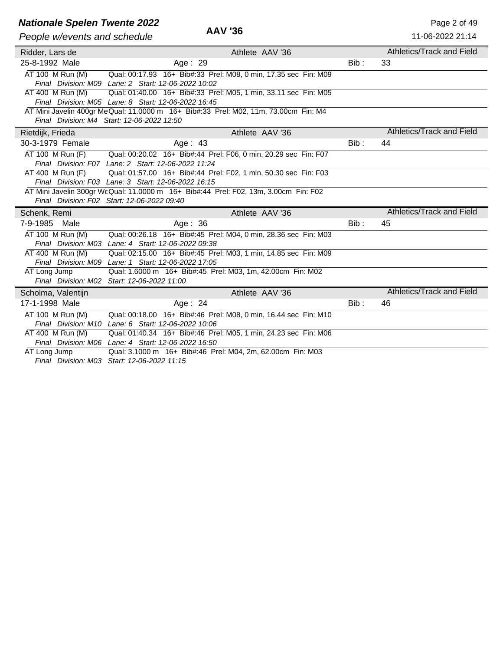## **Nationale Spelen Twente 2022**<br> **AAV '36** Page 2 of 49

| AAV '36<br>People w/events and schedule |                                                                                     |       | 11-06-2022 21:14                 |
|-----------------------------------------|-------------------------------------------------------------------------------------|-------|----------------------------------|
| Ridder, Lars de                         | Athlete AAV '36                                                                     |       | Athletics/Track and Field        |
| 25-8-1992 Male                          | Age: 29                                                                             | Bib : | 33                               |
| AT 100 M Run (M)                        | Qual: 00:17.93 16+ Bib#:33 Prel: M08, 0 min, 17.35 sec Fin: M09                     |       |                                  |
|                                         | Final Division: M09 Lane: 2 Start: 12-06-2022 10:02                                 |       |                                  |
| AT 400 M Run (M)                        | Qual: 01:40.00 16+ Bib#:33 Prel: M05, 1 min, 33.11 sec Fin: M05                     |       |                                  |
|                                         | Final Division: M05 Lane: 8 Start: 12-06-2022 16:45                                 |       |                                  |
|                                         | AT Mini Javelin 400gr MeQual: 11.0000 m 16+ Bib#:33 Prel: M02, 11m, 73.00cm Fin: M4 |       |                                  |
|                                         | Final Division: M4 Start: 12-06-2022 12:50                                          |       |                                  |
| Rietdijk, Frieda                        | Athlete AAV '36                                                                     |       | Athletics/Track and Field        |
| 30-3-1979 Female                        | Age: 43                                                                             | Bib:  | 44                               |
| AT 100 M Run (F)                        | Qual: 00:20.02 16+ Bib#:44 Prel: F06, 0 min, 20.29 sec Fin: F07                     |       |                                  |
|                                         | Final Division: F07 Lane: 2 Start: 12-06-2022 11:24                                 |       |                                  |
| AT 400 M Run (F)                        | Qual: 01:57.00 16+ Bib#:44 Prel: F02, 1 min, 50.30 sec Fin: F03                     |       |                                  |
|                                         | Final Division: F03 Lane: 3 Start: 12-06-2022 16:15                                 |       |                                  |
|                                         | AT Mini Javelin 300gr WcQual: 11.0000 m 16+ Bib#:44 Prel: F02, 13m, 3.00cm Fin: F02 |       |                                  |
|                                         | Final Division: F02 Start: 12-06-2022 09:40                                         |       |                                  |
| Schenk, Remi                            | Athlete AAV '36                                                                     |       | Athletics/Track and Field        |
| 7-9-1985 Male                           | Age: $36$                                                                           | Bib:  | 45                               |
| AT 100 M Run (M)                        | Qual: 00:26.18 16+ Bib#:45 Prel: M04, 0 min, 28.36 sec Fin: M03                     |       |                                  |
|                                         | Final Division: M03 Lane: 4 Start: 12-06-2022 09:38                                 |       |                                  |
| AT 400 M Run (M)                        | Qual: 02:15.00 16+ Bib#:45 Prel: M03, 1 min, 14.85 sec Fin: M09                     |       |                                  |
|                                         | Final Division: M09 Lane: 1 Start: 12-06-2022 17:05                                 |       |                                  |
| AT Long Jump                            | Qual: 1.6000 m 16+ Bib#:45 Prel: M03, 1m, 42.00cm Fin: M02                          |       |                                  |
|                                         | Final Division: M02 Start: 12-06-2022 11:00                                         |       |                                  |
| Scholma, Valentijn                      | Athlete AAV '36                                                                     |       | <b>Athletics/Track and Field</b> |
| 17-1-1998 Male                          | Age: 24                                                                             | Bib:  | 46                               |
| AT 100 M Run (M)                        | Qual: 00:18.00 16+ Bib#:46 Prel: M08, 0 min, 16.44 sec Fin: M10                     |       |                                  |
|                                         | Final Division: M10 Lane: 6 Start: 12-06-2022 10:06                                 |       |                                  |
| AT 400 M Run (M)                        | Qual: 01:40.34 16+ Bib#:46 Prel: M05, 1 min, 24.23 sec Fin: M06                     |       |                                  |
|                                         | Final Division: M06 Lane: 4 Start: 12-06-2022 16:50                                 |       |                                  |
| AT Long Jump                            | Qual: 3.1000 m 16+ Bib#:46 Prel: M04, 2m, 62.00cm Fin: M03                          |       |                                  |
|                                         | Final Division: M03 Start: 12-06-2022 11:15                                         |       |                                  |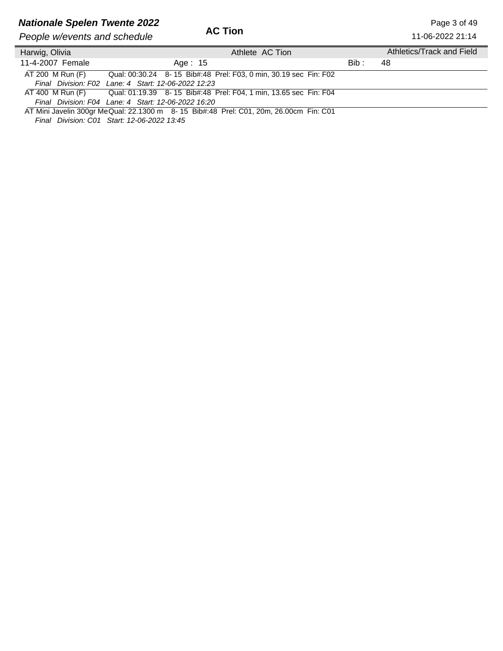## **Nationale Spelen Twente 2022** Page 3 of 49

| People w/events and schedule | AG HON                                                                                |       | 11-06-2022 21:14          |
|------------------------------|---------------------------------------------------------------------------------------|-------|---------------------------|
| Harwig, Olivia               | Athlete AC Tion                                                                       |       | Athletics/Track and Field |
| 11-4-2007 Female             | Age: 15                                                                               | Bib : | 48                        |
| AT 200 M Run (F)             | Qual: 00:30.24 8-15 Bib#:48 Prel: F03, 0 min, 30.19 sec Fin: F02                      |       |                           |
|                              | Final Division: F02 Lane: 4 Start: 12-06-2022 12:23                                   |       |                           |
|                              | AT 400 M Run (F) Qual: 01:19.39 8-15 Bib#:48 Prel: F04, 1 min, 13.65 sec Fin: F04     |       |                           |
|                              | Final Division: F04 Lane: 4 Start: 12-06-2022 16:20                                   |       |                           |
|                              | AT Mini Javelin 300gr MeQual: 22.1300 m 8-15 Bib#:48 Prel: C01, 20m, 26.00cm Fin: C01 |       |                           |

*Final Division: C01 Start: 12-06-2022 13:45*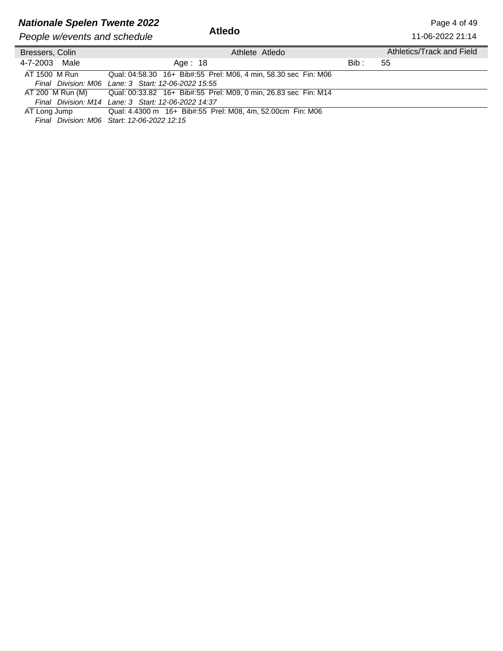## **Nationale Spelen Twente 2022** Page 4 of 49

**People w/events and schedule** 

| People w/events and schedule | Atledo                                                          |       | 11-06-2022 21:14          |
|------------------------------|-----------------------------------------------------------------|-------|---------------------------|
| Bressers, Colin              | Athlete Atledo                                                  |       | Athletics/Track and Field |
| 4-7-2003 Male                | Age: 18                                                         | Bib : | -55                       |
| AT 1500 M Run                | Qual: 04:58.30 16+ Bib#:55 Prel: M06, 4 min, 58.30 sec Fin: M06 |       |                           |
|                              | Final Division: M06 Lane: 3 Start: 12-06-2022 15:55             |       |                           |
| AT 200 M Run (M)             | Qual: 00:33.82 16+ Bib#:55 Prel: M09, 0 min, 26.83 sec Fin: M14 |       |                           |
|                              | Final Division: M14 Lane: 3 Start: 12-06-2022 14:37             |       |                           |
| AT Long Jump                 | Qual: 4.4300 m 16+ Bib#:55 Prel: M08, 4m, 52.00cm Fin: M06      |       |                           |

*Final Division: M06 Start: 12-06-2022 12:15*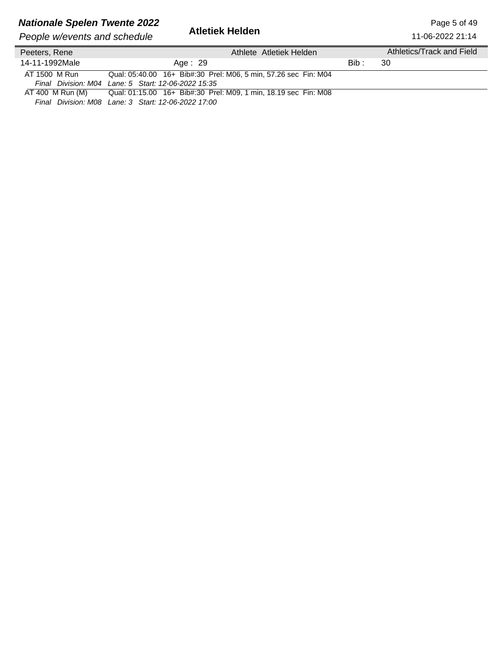## **Nationale Spelen Twente 2022**<br>**Atletiek Helden** Page 1944 Page 5 of 49

*People w/events and schedule* 

11-06-2022 21:14

| Peeters, Rene    | Athlete Atletiek Helden                                         |       | Athletics/Track and Field |
|------------------|-----------------------------------------------------------------|-------|---------------------------|
| 14-11-1992Male   | Age: 29                                                         | Bib : | -30                       |
| AT 1500 M Run    | Qual: 05:40.00 16+ Bib#:30 Prel: M06, 5 min, 57.26 sec Fin: M04 |       |                           |
|                  | Final Division: M04 Lane: 5 Start: 12-06-2022 15:35             |       |                           |
| AT 400 M Run (M) |                                                                 |       |                           |
|                  | Final Division: M08 Lane: 3 Start: 12-06-2022 17:00             |       |                           |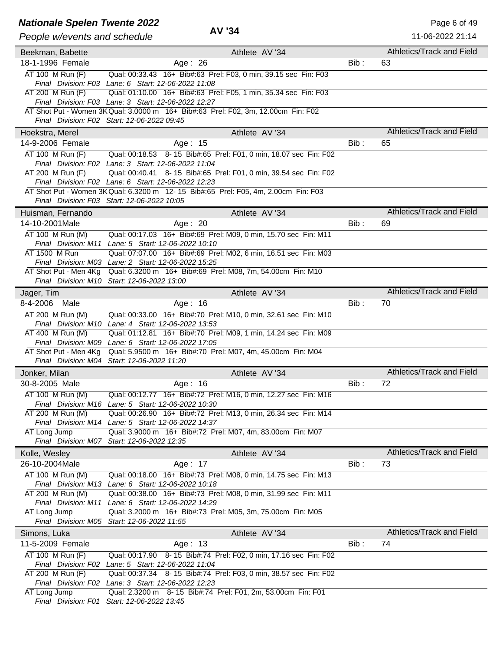# **Nationale Spelen Twente 2022**<br>Page 6 of 49<br>**AV '34** Page 14.06,0000,0144

| People w/events and schedule | AV 34                                                                                                                            |         | 11-06-2022 21:14          |
|------------------------------|----------------------------------------------------------------------------------------------------------------------------------|---------|---------------------------|
| Beekman, Babette             | Athlete AV '34                                                                                                                   |         | Athletics/Track and Field |
| 18-1-1996 Female             | Age: 26                                                                                                                          | $Bib$ : | 63                        |
| AT 100 M Run (F)             | Qual: 00:33.43 16+ Bib#:63 Prel: F03, 0 min, 39.15 sec Fin: F03                                                                  |         |                           |
|                              | Final Division: F03 Lane: 6 Start: 12-06-2022 11:08                                                                              |         |                           |
| AT 200 M Run (F)             | Qual: 01:10.00 16+ Bib#:63 Prel: F05, 1 min, 35.34 sec Fin: F03                                                                  |         |                           |
|                              | Final Division: F03 Lane: 3 Start: 12-06-2022 12:27                                                                              |         |                           |
|                              | AT Shot Put - Women 3K Qual: 3.0000 m 16+ Bib#:63 Prel: F02, 3m, 12.00cm Fin: F02<br>Final Division: F02 Start: 12-06-2022 09:45 |         |                           |
| Hoekstra, Merel              | Athlete AV '34                                                                                                                   |         | Athletics/Track and Field |
| 14-9-2006 Female             | Age: 15                                                                                                                          | Bib:    | 65                        |
| AT 100 M Run (F)             | Qual: 00:18.53 8-15 Bib#:65 Prel: F01, 0 min, 18.07 sec Fin: F02                                                                 |         |                           |
|                              | Final Division: F02 Lane: 3 Start: 12-06-2022 11:04                                                                              |         |                           |
| AT 200 M Run (F)             | Qual: 00:40.41 8-15 Bib#:65 Prel: F01, 0 min, 39.54 sec Fin: F02                                                                 |         |                           |
|                              | Final Division: F02 Lane: 6 Start: 12-06-2022 12:23                                                                              |         |                           |
|                              | AT Shot Put - Women 3K Qual: 6.3200 m 12-15 Bib#:65 Prel: F05, 4m, 2.00cm Fin: F03                                               |         |                           |
|                              | Final Division: F03 Start: 12-06-2022 10:05                                                                                      |         |                           |
| Huisman, Fernando            | Athlete AV '34                                                                                                                   |         | Athletics/Track and Field |
| 14-10-2001Male               | Age: $20$                                                                                                                        | Bib:    | 69                        |
| AT 100 M Run (M)             | Qual: 00:17.03 16+ Bib#:69 Prel: M09, 0 min, 15.70 sec Fin: M11                                                                  |         |                           |
| AT 1500 M Run                | Final Division: M11 Lane: 5 Start: 12-06-2022 10:10                                                                              |         |                           |
|                              | Qual: 07:07.00 16+ Bib#:69 Prel: M02, 6 min, 16.51 sec Fin: M03<br>Final Division: M03 Lane: 2 Start: 12-06-2022 15:25           |         |                           |
| AT Shot Put - Men 4Kg        | Qual: 6.3200 m 16+ Bib#:69 Prel: M08, 7m, 54.00cm Fin: M10                                                                       |         |                           |
|                              | Final Division: M10 Start: 12-06-2022 13:00                                                                                      |         |                           |
| Jager, Tim                   | Athlete AV '34                                                                                                                   |         | Athletics/Track and Field |
| 8-4-2006<br>Male             | Age: 16                                                                                                                          | Bib :   | 70                        |
| AT 200 M Run (M)             | Qual: 00:33.00 16+ Bib#:70 Prel: M10, 0 min, 32.61 sec Fin: M10                                                                  |         |                           |
|                              | Final Division: M10 Lane: 4 Start: 12-06-2022 13:53                                                                              |         |                           |
| AT 400 M Run (M)             | Qual: 01:12.81  16+ Bib#:70  Prel: M09, 1  min, 14.24  sec  Fin: M09                                                             |         |                           |
|                              | Final Division: M09 Lane: 6 Start: 12-06-2022 17:05                                                                              |         |                           |
| AT Shot Put - Men 4Kg        | Qual: 5.9500 m 16+ Bib#:70 Prel: M07, 4m, 45.00cm Fin: M04                                                                       |         |                           |
|                              | Final Division: M04 Start: 12-06-2022 11:20                                                                                      |         | Athletics/Track and Field |
| Jonker, Milan                | Athlete AV '34                                                                                                                   |         |                           |
| 30-8-2005 Male               | Age: 16                                                                                                                          | $Bib$ : | 72                        |
| AT 100 M Run (M)             | Qual: 00:12.77 16+ Bib#:72 Prel: M16, 0 min, 12.27 sec Fin: M16<br>Final Division: M16 Lane: 5 Start: 12-06-2022 10:30           |         |                           |
| AT 200 M Run (M)             | Qual: 00:26.90 16+ Bib#:72 Prel: M13, 0 min, 26.34 sec Fin: M14                                                                  |         |                           |
|                              | Final Division: M14 Lane: 5 Start: 12-06-2022 14:37                                                                              |         |                           |
| AT Long Jump                 | Qual: 3.9000 m 16+ Bib#:72 Prel: M07, 4m, 83.00cm Fin: M07                                                                       |         |                           |
|                              | Final Division: M07 Start: 12-06-2022 12:35                                                                                      |         |                           |
| Kolle, Wesley                | Athlete AV '34                                                                                                                   |         | Athletics/Track and Field |
| 26-10-2004Male               | Age: 17                                                                                                                          | $Bib$ : | 73                        |
| AT 100 M Run (M)             | Qual: 00:18.00 16+ Bib#:73 Prel: M08, 0 min, 14.75 sec Fin: M13                                                                  |         |                           |
|                              | Final Division: M13 Lane: 6 Start: 12-06-2022 10:18                                                                              |         |                           |
| AT 200 M Run (M)             | Qual: 00:38.00 16+ Bib#:73 Prel: M08, 0 min, 31.99 sec Fin: M11<br>Final Division: M11 Lane: 6 Start: 12-06-2022 14:29           |         |                           |
| AT Long Jump                 | Qual: 3.2000 m 16+ Bib#:73 Prel: M05, 3m, 75.00cm Fin: M05                                                                       |         |                           |
|                              | Final Division: M05 Start: 12-06-2022 11:55                                                                                      |         |                           |
| Simons, Luka                 | Athlete AV '34                                                                                                                   |         | Athletics/Track and Field |
| 11-5-2009 Female             | Age: 13                                                                                                                          | Bib:    | 74                        |
| AT 100 M Run (F)             | Qual: 00:17.90 8-15 Bib#:74 Prel: F02, 0 min, 17.16 sec Fin: F02                                                                 |         |                           |
|                              | Final Division: F02 Lane: 5 Start: 12-06-2022 11:04                                                                              |         |                           |
| AT 200 M Run (F)             | Qual: 00:37.34 8-15 Bib#:74 Prel: F03, 0 min, 38.57 sec Fin: F02                                                                 |         |                           |
|                              | Final Division: F02 Lane: 3 Start: 12-06-2022 12:23                                                                              |         |                           |
| AT Long Jump                 | Qual: 2.3200 m 8-15 Bib#:74 Prel: F01, 2m, 53.00cm Fin: F01<br>Final Division: F01 Start: 12-06-2022 13:45                       |         |                           |
|                              |                                                                                                                                  |         |                           |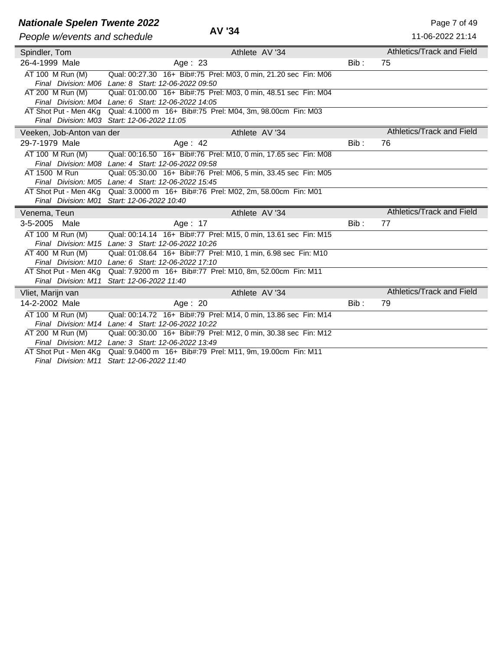## **Nationale Spelen Twente 2022**<br> **AV '34** Page 7 of 49

| People w/events and schedule | AV '34                                                          |       | 11-06-2022 21:14                 |
|------------------------------|-----------------------------------------------------------------|-------|----------------------------------|
| Spindler, Tom                | Athlete AV '34                                                  |       | Athletics/Track and Field        |
| 26-4-1999 Male               | Age: $23$                                                       | Bib:  | 75                               |
| AT 100 M Run (M)             | Qual: 00:27.30 16+ Bib#:75 Prel: M03, 0 min, 21.20 sec Fin: M06 |       |                                  |
|                              | Final Division: M06 Lane: 8 Start: 12-06-2022 09:50             |       |                                  |
| AT 200 M Run (M)             | Qual: 01:00.00 16+ Bib#:75 Prel: M03, 0 min, 48.51 sec Fin: M04 |       |                                  |
|                              | Final Division: M04 Lane: 6 Start: 12-06-2022 14:05             |       |                                  |
| AT Shot Put - Men 4Kg        | Qual: 4.1000 m 16+ Bib#:75 Prel: M04, 3m, 98.00cm Fin: M03      |       |                                  |
|                              | Final Division: M03 Start: 12-06-2022 11:05                     |       |                                  |
| Veeken, Job-Anton van der    | Athlete AV '34                                                  |       | Athletics/Track and Field        |
| 29-7-1979 Male               | Age: $42$                                                       | Bib:  | 76                               |
| AT 100 M Run (M)             | Qual: 00:16.50 16+ Bib#:76 Prel: M10, 0 min, 17.65 sec Fin: M08 |       |                                  |
|                              | Final Division: M08 Lane: 4 Start: 12-06-2022 09:58             |       |                                  |
| AT 1500 M Run                | Qual: 05:30.00 16+ Bib#:76 Prel: M06, 5 min, 33.45 sec Fin: M05 |       |                                  |
|                              | Final Division: M05 Lane: 4 Start: 12-06-2022 15:45             |       |                                  |
| AT Shot Put - Men 4Kg        | Qual: 3.0000 m 16+ Bib#:76 Prel: M02, 2m, 58.00cm Fin: M01      |       |                                  |
|                              | Final Division: M01 Start: 12-06-2022 10:40                     |       |                                  |
| Venema, Teun                 | Athlete AV '34                                                  |       | <b>Athletics/Track and Field</b> |
| 3-5-2005<br>Male             | Age: 17                                                         | Bib : | 77                               |
| AT 100 M Run (M)             | Qual: 00:14.14 16+ Bib#:77 Prel: M15, 0 min, 13.61 sec Fin: M15 |       |                                  |
|                              | Final Division: M15 Lane: 3 Start: 12-06-2022 10:26             |       |                                  |
| AT 400 M Run (M)             | Qual: 01:08.64 16+ Bib#:77 Prel: M10, 1 min, 6.98 sec Fin: M10  |       |                                  |
|                              | Final Division: M10 Lane: 6 Start: 12-06-2022 17:10             |       |                                  |
| AT Shot Put - Men 4Kg        | Qual: 7.9200 m 16+ Bib#:77 Prel: M10, 8m, 52.00cm Fin: M11      |       |                                  |
| Final Division: M11          | Start: 12-06-2022 11:40                                         |       |                                  |
| Vliet, Marijn van            | Athlete AV '34                                                  |       | Athletics/Track and Field        |
| 14-2-2002 Male               | Age: $20$                                                       | Bib:  | 79                               |
| AT 100 M Run (M)             | Qual: 00:14.72 16+ Bib#:79 Prel: M14, 0 min, 13.86 sec Fin: M14 |       |                                  |
|                              | Final Division: M14 Lane: 4 Start: 12-06-2022 10:22             |       |                                  |
| AT 200 M Run (M)             | Qual: 00:30.00 16+ Bib#:79 Prel: M12, 0 min, 30.38 sec Fin: M12 |       |                                  |
|                              | Final Division: M12 Lane: 3 Start: 12-06-2022 13:49             |       |                                  |
| AT Shot Put - Men 4Kg        | Qual: 9.0400 m 16+ Bib#:79 Prel: M11, 9m, 19.00cm Fin: M11      |       |                                  |
| Final Division: M11          | Start: 12-06-2022 11:40                                         |       |                                  |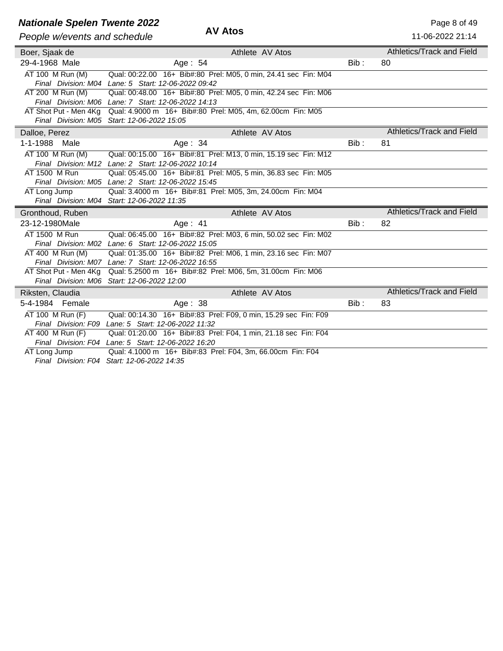### **Nationale Spelen Twente 2022** Page 8 of 49

| People w/events and schedule | AV Atos                                                                          |         | 11-06-2022 21:14          |
|------------------------------|----------------------------------------------------------------------------------|---------|---------------------------|
| Boer, Sjaak de               | Athlete AV Atos                                                                  |         | Athletics/Track and Field |
| 29-4-1968 Male               | Age: 54                                                                          | $Bib$ : | 80                        |
| AT 100 M Run (M)             | Qual: 00:22.00 16+ Bib#:80 Prel: M05, 0 min, 24.41 sec Fin: M04                  |         |                           |
|                              | Final Division: M04 Lane: 5 Start: 12-06-2022 09:42                              |         |                           |
| AT 200 M Run (M)             | Qual: 00:48.00 16+ Bib#:80 Prel: M05, 0 min, 42.24 sec Fin: M06                  |         |                           |
|                              | Final Division: M06 Lane: 7 Start: 12-06-2022 14:13                              |         |                           |
|                              | AT Shot Put - Men 4Kg Qual: 4.9000 m 16+ Bib#:80 Prel: M05, 4m, 62.00cm Fin: M05 |         |                           |
|                              | Final Division: M05 Start: 12-06-2022 15:05                                      |         |                           |
| Dalloe, Perez                | Athlete AV Atos                                                                  |         | Athletics/Track and Field |
| $1 - 1 - 1988$<br>Male       | Age: $34$                                                                        | Bib:    | 81                        |
| AT 100 M Run (M)             | Qual: 00:15.00 16+ Bib#:81 Prel: M13, 0 min, 15.19 sec Fin: M12                  |         |                           |
|                              | Final Division: M12 Lane: 2 Start: 12-06-2022 10:14                              |         |                           |
| AT 1500 M Run                | Qual: 05:45.00 16+ Bib#:81 Prel: M05, 5 min, 36.83 sec Fin: M05                  |         |                           |
|                              | Final Division: M05 Lane: 2 Start: 12-06-2022 15:45                              |         |                           |
| AT Long Jump                 | Qual: 3.4000 m 16+ Bib#:81 Prel: M05, 3m, 24.00cm Fin: M04                       |         |                           |
|                              | Final Division: M04 Start: 12-06-2022 11:35                                      |         |                           |
| Gronthoud, Ruben             | Athlete AV Atos                                                                  |         | Athletics/Track and Field |
| 23-12-1980Male               | Age: $41$                                                                        | $Bib$ : | 82                        |
| AT 1500 M Run                | Qual: 06:45.00 16+ Bib#:82 Prel: M03, 6 min, 50.02 sec Fin: M02                  |         |                           |
|                              | Final Division: M02 Lane: 6 Start: 12-06-2022 15:05                              |         |                           |
| AT 400 M Run (M)             | Qual: 01:35.00 16+ Bib#:82 Prel: M06, 1 min, 23.16 sec Fin: M07                  |         |                           |
|                              | Final Division: M07 Lane: 7 Start: 12-06-2022 16:55                              |         |                           |
| AT Shot Put - Men 4Kg        | Qual: 5.2500 m 16+ Bib#:82 Prel: M06, 5m, 31.00cm Fin: M06                       |         |                           |
|                              | Final Division: M06 Start: 12-06-2022 12:00                                      |         |                           |
| Riksten, Claudia             | Athlete AV Atos                                                                  |         | Athletics/Track and Field |
| 5-4-1984 Female              | Age: 38                                                                          | Bib:    | 83                        |
| AT 100 M Run (F)             | Qual: 00:14.30 16+ Bib#:83 Prel: F09, 0 min, 15.29 sec Fin: F09                  |         |                           |
|                              | Final Division: F09 Lane: 5 Start: 12-06-2022 11:32                              |         |                           |
| AT 400 M Run (F)             | Qual: 01:20.00 16+ Bib#:83 Prel: F04, 1 min, 21.18 sec Fin: F04                  |         |                           |
|                              | Final Division: F04 Lane: 5 Start: 12-06-2022 16:20                              |         |                           |
| AT Long Jump                 | Qual: 4.1000 m 16+ Bib#:83 Prel: F04, 3m, 66.00cm Fin: F04                       |         |                           |

*Final Division: F04 Start: 12-06-2022 14:35*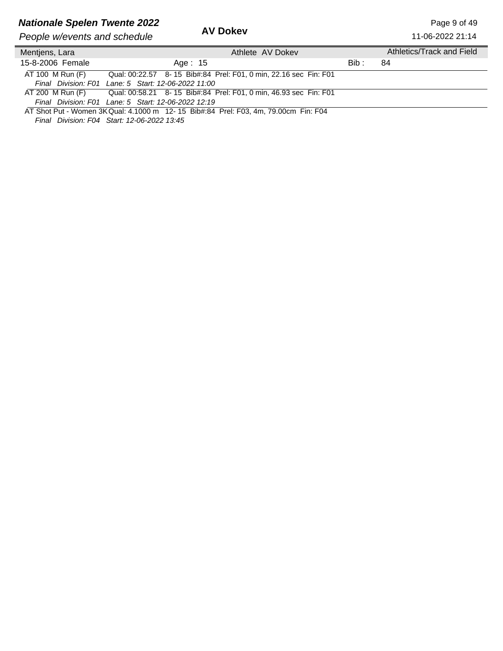## **Nationale Spelen Twente 2022** Page 9 of 49

**People w/events and schedule** 

11-06-2022 21:14

| Mentjens, Lara   | Athlete AV Dokey                                                                    |       | Athletics/Track and Field |
|------------------|-------------------------------------------------------------------------------------|-------|---------------------------|
| 15-8-2006 Female | Age: 15                                                                             | Bib : | 84                        |
| AT 100 M Run (F) | Qual: 00:22.57 8-15 Bib#:84 Prel: F01, 0 min, 22.16 sec Fin: F01                    |       |                           |
|                  | Final Division: F01 Lane: 5 Start: 12-06-2022 11:00                                 |       |                           |
| AT 200 M Run (F) | Qual: 00:58.21  8- 15  Bib#:84  Prel: F01, 0  min, 46.93  sec  Fin: F01             |       |                           |
|                  | Final Division: F01 Lane: 5 Start: 12-06-2022 12:19                                 |       |                           |
|                  | AT Shot Put - Women 3K Qual: 4.1000 m 12-15 Bib#:84 Prel: F03, 4m, 79.00cm Fin: F04 |       |                           |

*Final Division: F04 Start: 12-06-2022 13:45*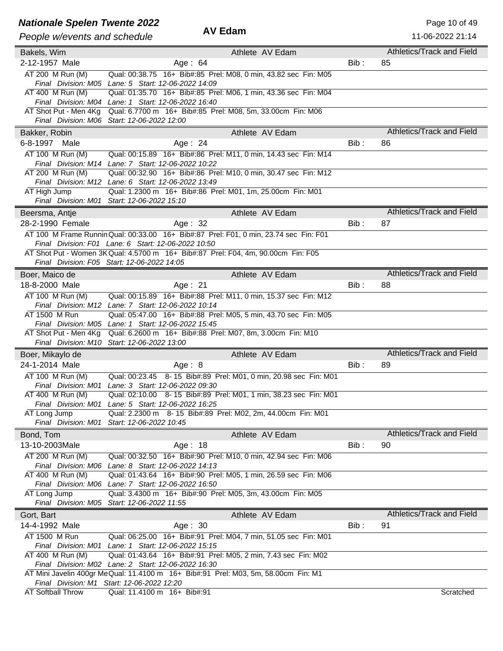### **Nationale Spelen Twente 2022** AV Edam **Advisor AV Edam** Page 10 of 49

| People w/events and schedule       | <b>AV Edam</b>                                                                                                                               |                 |         | 11-06-2022 21:14                 |
|------------------------------------|----------------------------------------------------------------------------------------------------------------------------------------------|-----------------|---------|----------------------------------|
| Bakels, Wim                        |                                                                                                                                              | Athlete AV Edam |         | Athletics/Track and Field        |
| 2-12-1957 Male                     | Age: 64                                                                                                                                      |                 | Bib:    | 85                               |
| AT 200 M Run (M)                   | Qual: 00:38.75 16+ Bib#:85 Prel: M08, 0 min, 43.82 sec Fin: M05                                                                              |                 |         |                                  |
| AT 400 M Run (M)                   | Final Division: M05 Lane: 5 Start: 12-06-2022 14:09<br>Qual: 01:35.70 16+ Bib#:85 Prel: M06, 1 min, 43.36 sec Fin: M04                       |                 |         |                                  |
|                                    | Final Division: M04 Lane: 1 Start: 12-06-2022 16:40                                                                                          |                 |         |                                  |
| AT Shot Put - Men 4Kg              | Qual: 6.7700 m 16+ Bib#:85 Prel: M08, 5m, 33.00cm Fin: M06                                                                                   |                 |         |                                  |
|                                    | Final Division: M06 Start: 12-06-2022 12:00                                                                                                  |                 |         |                                  |
| Bakker, Robin                      |                                                                                                                                              | Athlete AV Edam |         | Athletics/Track and Field        |
| 6-8-1997<br>Male                   | Age: $24$                                                                                                                                    |                 | Bib:    | 86                               |
| AT 100 M Run (M)                   | Qual: 00:15.89  16+ Bib#:86  Prel: M11, 0 min, 14.43 sec  Fin: M14                                                                           |                 |         |                                  |
|                                    | Final Division: M14 Lane: 7 Start: 12-06-2022 10:22                                                                                          |                 |         |                                  |
| AT 200 M Run (M)                   | Qual: 00:32.90 16+ Bib#:86 Prel: M10, 0 min, 30.47 sec Fin: M12                                                                              |                 |         |                                  |
|                                    | Final Division: M12 Lane: 6 Start: 12-06-2022 13:49                                                                                          |                 |         |                                  |
| AT High Jump                       | Qual: 1.2300 m 16+ Bib#:86 Prel: M01, 1m, 25.00cm Fin: M01<br>Final Division: M01 Start: 12-06-2022 15:10                                    |                 |         |                                  |
|                                    |                                                                                                                                              | Athlete AV Edam |         | Athletics/Track and Field        |
| Beersma, Antje<br>28-2-1990 Female | Age: 32                                                                                                                                      |                 | $Bib$ : | 87                               |
|                                    |                                                                                                                                              |                 |         |                                  |
|                                    | AT 100 M Frame Runnin Qual: 00:33.00 16+ Bib#:87 Prel: F01, 0 min, 23.74 sec Fin: F01<br>Final Division: F01 Lane: 6 Start: 12-06-2022 10:50 |                 |         |                                  |
|                                    | AT Shot Put - Women 3K Qual: 4.5700 m 16+ Bib#:87 Prel: F04, 4m, 90.00cm Fin: F05                                                            |                 |         |                                  |
|                                    | Final Division: F05 Start: 12-06-2022 14:05                                                                                                  |                 |         |                                  |
| Boer, Maico de                     |                                                                                                                                              | Athlete AV Edam |         | <b>Athletics/Track and Field</b> |
| 18-8-2000 Male                     | Age: 21                                                                                                                                      |                 | Bib:    | 88                               |
| AT 100 M Run (M)                   | Qual: 00:15.89 16+ Bib#:88 Prel: M11, 0 min, 15.37 sec Fin: M12                                                                              |                 |         |                                  |
|                                    | Final Division: M12 Lane: 7 Start: 12-06-2022 10:14                                                                                          |                 |         |                                  |
| AT 1500 M Run                      | Qual: 05:47.00 16+ Bib#:88 Prel: M05, 5 min, 43.70 sec Fin: M05                                                                              |                 |         |                                  |
|                                    | Final Division: M05 Lane: 1 Start: 12-06-2022 15:45                                                                                          |                 |         |                                  |
| AT Shot Put - Men 4Kg              | Qual: 6.2600 m 16+ Bib#:88 Prel: M07, 8m, 3.00cm Fin: M10                                                                                    |                 |         |                                  |
|                                    | Final Division: M10 Start: 12-06-2022 13:00                                                                                                  |                 |         |                                  |
| Boer, Mikaylo de                   |                                                                                                                                              | Athlete AV Edam |         | Athletics/Track and Field        |
| 24-1-2014 Male                     | Age: $8$                                                                                                                                     |                 | Bib:    | 89                               |
| AT 100 M Run (M)                   | Qual: 00:23.45 8-15 Bib#:89 Prel: M01, 0 min, 20.98 sec Fin: M01                                                                             |                 |         |                                  |
| AT 400 M Run (M)                   | Final Division: M01 Lane: 3 Start: 12-06-2022 09:30<br>Qual: 02:10.00 8-15 Bib#:89 Prel: M01, 1 min, 38.23 sec Fin: M01                      |                 |         |                                  |
|                                    | Final Division: M01 Lane: 5 Start: 12-06-2022 16:25                                                                                          |                 |         |                                  |
| AT Long Jump                       | Qual: 2.2300 m 8-15 Bib#:89 Prel: M02, 2m, 44.00cm Fin: M01                                                                                  |                 |         |                                  |
|                                    | Final Division: M01 Start: 12-06-2022 10:45                                                                                                  |                 |         |                                  |
| Bond, Tom                          |                                                                                                                                              | Athlete AV Edam |         | Athletics/Track and Field        |
| 13-10-2003Male                     | Age: 18                                                                                                                                      |                 | Bib:    | 90                               |
| AT 200 M Run (M)                   | Qual: 00:32.50 16+ Bib#:90 Prel: M10, 0 min, 42.94 sec Fin: M06                                                                              |                 |         |                                  |
|                                    | Final Division: M06 Lane: 8 Start: 12-06-2022 14:13                                                                                          |                 |         |                                  |
| AT 400 M Run (M)                   | Qual: 01:43.64 16+ Bib#:90 Prel: M05, 1 min, 26.59 sec Fin: M06                                                                              |                 |         |                                  |
|                                    | Final Division: M06 Lane: 7 Start: 12-06-2022 16:50                                                                                          |                 |         |                                  |
| AT Long Jump                       | Qual: 3.4300 m 16+ Bib#:90 Prel: M05, 3m, 43.00cm Fin: M05<br>Final Division: M05 Start: 12-06-2022 11:55                                    |                 |         |                                  |
|                                    |                                                                                                                                              | Athlete AV Edam |         | Athletics/Track and Field        |
| Gort, Bart<br>14-4-1992 Male       | Age: 30                                                                                                                                      |                 | Bib :   | 91                               |
| AT 1500 M Run                      | Qual: 06:25.00 16+ Bib#:91 Prel: M04, 7 min, 51.05 sec Fin: M01                                                                              |                 |         |                                  |
|                                    | Final Division: M01 Lane: 1 Start: 12-06-2022 15:15                                                                                          |                 |         |                                  |
| AT 400 M Run (M)                   | Qual: 01:43.64 16+ Bib#:91 Prel: M05, 2 min, 7.43 sec Fin: M02                                                                               |                 |         |                                  |
|                                    | Final Division: M02 Lane: 2 Start: 12-06-2022 16:30                                                                                          |                 |         |                                  |
|                                    | AT Mini Javelin 400gr MeQual: 11.4100 m 16+ Bib#:91 Prel: M03, 5m, 58.00cm Fin: M1                                                           |                 |         |                                  |
|                                    | Final Division: M1 Start: 12-06-2022 12:20                                                                                                   |                 |         |                                  |
| <b>AT Softball Throw</b>           | Qual: 11.4100 m 16+ Bib#:91                                                                                                                  |                 |         | Scratched                        |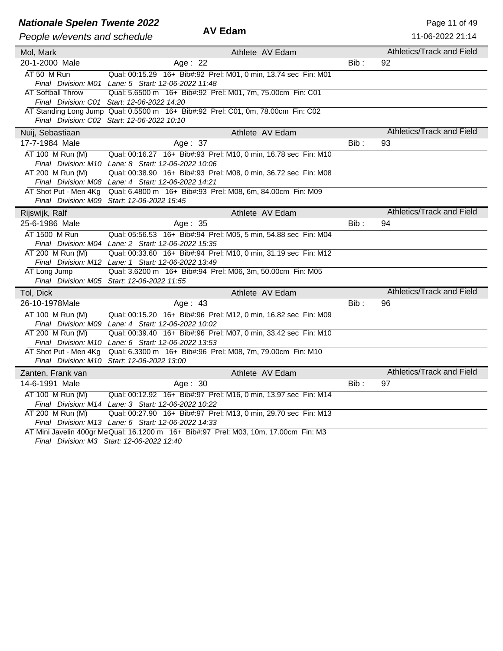| <b>Nationale Spelen Twente 2022</b> |                                                                                  |         | Page 11 of 49                    |
|-------------------------------------|----------------------------------------------------------------------------------|---------|----------------------------------|
| People w/events and schedule        | <b>AV Edam</b>                                                                   |         | 11-06-2022 21:14                 |
| Mol, Mark                           | Athlete AV Edam                                                                  |         | Athletics/Track and Field        |
| 20-1-2000 Male                      | Age: 22                                                                          | $Bib$ : | 92                               |
| AT 50 M Run                         | Qual: 00:15.29 16+ Bib#:92 Prel: M01, 0 min, 13.74 sec Fin: M01                  |         |                                  |
|                                     | Final Division: M01 Lane: 5 Start: 12-06-2022 11:48                              |         |                                  |
| <b>AT Softball Throw</b>            | Qual: 5.6500 m 16+ Bib#:92 Prel: M01, 7m, 75.00cm Fin: C01                       |         |                                  |
|                                     | Final Division: C01 Start: 12-06-2022 14:20                                      |         |                                  |
|                                     | AT Standing Long Jump Qual: 0.5500 m 16+ Bib#:92 Prel: C01, 0m, 78.00cm Fin: C02 |         |                                  |
|                                     | Final Division: C02 Start: 12-06-2022 10:10                                      |         |                                  |
| Nuij, Sebastiaan                    | Athlete AV Edam                                                                  |         | Athletics/Track and Field        |
| 17-7-1984 Male                      | Age: 37                                                                          | $Bib$ : | 93                               |
| AT 100 M Run (M)                    | Qual: 00:16.27 16+ Bib#:93 Prel: M10, 0 min, 16.78 sec Fin: M10                  |         |                                  |
|                                     | Final Division: M10 Lane: 8 Start: 12-06-2022 10:06                              |         |                                  |
| AT 200 M Run (M)                    | Qual: 00:38.90 16+ Bib#:93 Prel: M08, 0 min, 36.72 sec Fin: M08                  |         |                                  |
|                                     | Final Division: M08 Lane: 4 Start: 12-06-2022 14:21                              |         |                                  |
| AT Shot Put - Men 4Kg               | Qual: 6.4800 m 16+ Bib#:93 Prel: M08, 6m, 84.00cm Fin: M09                       |         |                                  |
|                                     | Final Division: M09 Start: 12-06-2022 15:45                                      |         |                                  |
| Rijswijk, Ralf                      | Athlete AV Edam                                                                  |         | <b>Athletics/Track and Field</b> |
| 25-6-1986 Male                      | Age: 35                                                                          | $Bib$ : | 94                               |
| AT 1500 M Run                       | Qual: 05:56.53 16+ Bib#:94 Prel: M05, 5 min, 54.88 sec Fin: M04                  |         |                                  |
|                                     | Final Division: M04 Lane: 2 Start: 12-06-2022 15:35                              |         |                                  |
| AT 200 M Run (M)                    | Qual: 00:33.60 16+ Bib#:94 Prel: M10, 0 min, 31.19 sec Fin: M12                  |         |                                  |
|                                     | Final Division: M12 Lane: 1 Start: 12-06-2022 13:49                              |         |                                  |
| AT Long Jump                        | Qual: 3.6200 m 16+ Bib#:94 Prel: M06, 3m, 50.00cm Fin: M05                       |         |                                  |
|                                     | Final Division: M05 Start: 12-06-2022 11:55                                      |         |                                  |
| Tol, Dick                           | Athlete AV Edam                                                                  |         | Athletics/Track and Field        |
| 26-10-1978Male                      | Age: 43                                                                          | Bib:    | 96                               |
| AT 100 M Run (M)                    | Qual: 00:15.20 16+ Bib#:96 Prel: M12, 0 min, 16.82 sec Fin: M09                  |         |                                  |
|                                     | Final Division: M09 Lane: 4 Start: 12-06-2022 10:02                              |         |                                  |
| AT 200 M Run (M)                    | Qual: 00:39.40 16+ Bib#:96 Prel: M07, 0 min, 33.42 sec Fin: M10                  |         |                                  |
|                                     | Final Division: M10 Lane: 6 Start: 12-06-2022 13:53                              |         |                                  |
| AT Shot Put - Men 4Kg               | Qual: 6.3300 m 16+ Bib#:96 Prel: M08, 7m, 79.00cm Fin: M10                       |         |                                  |
|                                     | Final Division: M10 Start: 12-06-2022 13:00                                      |         |                                  |
| Zanten, Frank van                   | Athlete AV Edam                                                                  |         | Athletics/Track and Field        |
| 14-6-1991 Male                      | Age: 30                                                                          | Bib:    | 97                               |

*Final Division: M14 Lane: 3 Start: 12-06-2022 10:22* AT 200 M Run (M) *Final Division: M13 Lane: 6 Start: 12-06-2022 14:33* Qual: 00:27.90 16+ Bib#:97 Prel: M13, 0 min, 29.70 sec Fin: M13

AT Mini Javelin 400gr MeQual: 16.1200 m 16+ Bib#:97 Prel: M03, 10m, 17.00cm Fin: M3

Qual: 00:12.92 16+ Bib#:97 Prel: M16, 0 min, 13.97 sec Fin: M14

*Final Division: M3 Start: 12-06-2022 12:40*

AT 100 M Run (M)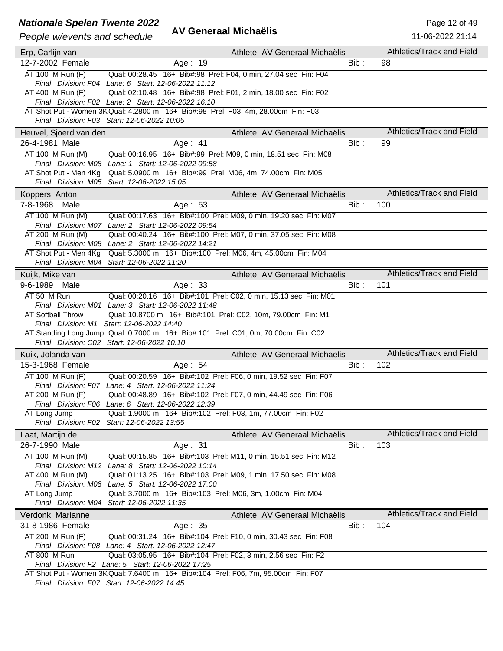#### **Nationale Spelen Twente 2022** AM **Page 12 of 49** Page 12 of 49

| People w/events and schedule        | <b>AV Generaal Michaëlis</b>                                                                                                             |         | 11-06-2022 21:14          |
|-------------------------------------|------------------------------------------------------------------------------------------------------------------------------------------|---------|---------------------------|
| Erp, Carlijn van                    | Athlete AV Generaal Michaëlis                                                                                                            |         | Athletics/Track and Field |
| 12-7-2002 Female                    | Age: 19                                                                                                                                  | Bib:    | 98                        |
| AT 100 M Run (F)                    | Qual: 00:28.45 16+ Bib#:98 Prel: F04, 0 min, 27.04 sec Fin: F04                                                                          |         |                           |
|                                     | Final Division: F04 Lane: 6 Start: 12-06-2022 11:12                                                                                      |         |                           |
| AT 400 M Run (F)                    | Qual: 02:10.48 16+ Bib#:98 Prel: F01, 2 min, 18.00 sec Fin: F02                                                                          |         |                           |
|                                     | Final Division: F02 Lane: 2 Start: 12-06-2022 16:10                                                                                      |         |                           |
|                                     | AT Shot Put - Women 3K Qual: 4.2800 m 16+ Bib#:98 Prel: F03, 4m, 28.00cm Fin: F03<br>Final Division: F03 Start: 12-06-2022 10:05         |         |                           |
| Heuvel, Sjoerd van den              | Athlete AV Generaal Michaëlis                                                                                                            |         | Athletics/Track and Field |
| 26-4-1981 Male                      | Age: $41$                                                                                                                                | Bib :   | 99                        |
| AT 100 M Run (M)                    | Qual: 00:16.95  16+ Bib#:99  Prel: M09, 0  min, 18.51 sec  Fin: M08                                                                      |         |                           |
|                                     | Final Division: M08 Lane: 1 Start: 12-06-2022 09:58                                                                                      |         |                           |
| AT Shot Put - Men 4Kg               | Qual: 5.0900 m 16+ Bib#:99 Prel: M06, 4m, 74.00cm Fin: M05                                                                               |         |                           |
|                                     | Final Division: M05 Start: 12-06-2022 15:05                                                                                              |         |                           |
| Koppers, Anton                      | Athlete AV Generaal Michaëlis                                                                                                            |         | Athletics/Track and Field |
| 7-8-1968<br>Male                    | Age: 53                                                                                                                                  | Bib:    | 100                       |
| AT 100 M Run (M)                    | Qual: 00:17.63 16+ Bib#:100 Prel: M09, 0 min, 19.20 sec Fin: M07                                                                         |         |                           |
|                                     | Final Division: M07 Lane: 2 Start: 12-06-2022 09:54                                                                                      |         |                           |
| AT 200 M Run (M)                    | Qual: 00:40.24 16+ Bib#:100 Prel: M07, 0 min, 37.05 sec Fin: M08                                                                         |         |                           |
|                                     | Final Division: M08 Lane: 2 Start: 12-06-2022 14:21                                                                                      |         |                           |
|                                     | AT Shot Put - Men 4Kg Qual: 5.3000 m 16+ Bib#:100 Prel: M06, 4m, 45.00cm Fin: M04<br>Final Division: M04 Start: 12-06-2022 11:20         |         |                           |
|                                     | Athlete AV Generaal Michaëlis                                                                                                            |         | Athletics/Track and Field |
| Kuijk, Mike van<br>9-6-1989<br>Male |                                                                                                                                          | Bib:    | 101                       |
|                                     | Age: 33                                                                                                                                  |         |                           |
| AT 50 M Run                         | Qual: 00:20.16 16+ Bib#:101 Prel: C02, 0 min, 15.13 sec Fin: M01<br>Final Division: M01 Lane: 3 Start: 12-06-2022 11:48                  |         |                           |
| <b>AT Softball Throw</b>            | Qual: 10.8700 m 16+ Bib#:101 Prel: C02, 10m, 79.00cm Fin: M1                                                                             |         |                           |
|                                     | Final Division: M1 Start: 12-06-2022 14:40                                                                                               |         |                           |
|                                     | AT Standing Long Jump Qual: 0.7000 m 16+ Bib#:101 Prel: C01, 0m, 70.00cm Fin: C02                                                        |         |                           |
|                                     | Final Division: C02 Start: 12-06-2022 10:10                                                                                              |         |                           |
| Kuik, Jolanda van                   | Athlete AV Generaal Michaëlis                                                                                                            |         | Athletics/Track and Field |
| 15-3-1968 Female                    | Age: 54                                                                                                                                  | Bib :   | 102                       |
| AT 100 M Run (F)                    | Qual: 00:20.59 16+ Bib#:102 Prel: F06, 0 min, 19.52 sec Fin: F07                                                                         |         |                           |
|                                     | Final Division: F07 Lane: 4 Start: 12-06-2022 11:24                                                                                      |         |                           |
| AT 200 M Run (F)                    | Qual: 00:48.89  16+ Bib#:102  Prel: F07, 0 min, 44.49 sec Fin: F06                                                                       |         |                           |
|                                     | Final Division: F06 Lane: 6 Start: 12-06-2022 12:39                                                                                      |         |                           |
| AT Long Jump                        | Qual: 1.9000 m 16+ Bib#:102 Prel: F03, 1m, 77.00cm Fin: F02<br>Final Division: F02 Start: 12-06-2022 13:55                               |         |                           |
| Laat, Martijn de                    | Athlete AV Generaal Michaëlis                                                                                                            |         | Athletics/Track and Field |
| 26-7-1990 Male                      | Age: 31                                                                                                                                  | $Bib$ : | 103                       |
| AT 100 M Run (M)                    | Qual: 00:15.85 16+ Bib#:103 Prel: M11, 0 min, 15.51 sec Fin: M12                                                                         |         |                           |
|                                     | Final Division: M12 Lane: 8 Start: 12-06-2022 10:14                                                                                      |         |                           |
| AT 400 M Run (M)                    | Qual: 01:13.25 16+ Bib#:103 Prel: M09, 1 min, 17.50 sec Fin: M08                                                                         |         |                           |
|                                     | Final Division: M08 Lane: 5 Start: 12-06-2022 17:00                                                                                      |         |                           |
| AT Long Jump                        | Qual: 3.7000 m 16+ Bib#:103 Prel: M06, 3m, 1.00cm Fin: M04                                                                               |         |                           |
|                                     | Final Division: M04 Start: 12-06-2022 11:35                                                                                              |         |                           |
| Verdonk, Marianne                   | Athlete AV Generaal Michaëlis                                                                                                            |         | Athletics/Track and Field |
| 31-8-1986 Female                    | Age: 35                                                                                                                                  | Bib :   | 104                       |
| AT 200 M Run (F)                    | Qual: 00:31.24 16+ Bib#:104 Prel: F10, 0 min, 30.43 sec Fin: F08                                                                         |         |                           |
|                                     | Final Division: F08 Lane: 4 Start: 12-06-2022 12:47                                                                                      |         |                           |
| AT 800 M Run                        | Qual: 03:05.95 16+ Bib#:104 Prel: F02, 3 min, 2.56 sec Fin: F2                                                                           |         |                           |
|                                     | Final Division: F2 Lane: 5 Start: 12-06-2022 17:25<br>AT Shot Put - Women 3K Qual: 7.6400 m 16+ Bib#:104 Prel: F06, 7m, 95.00cm Fin: F07 |         |                           |
|                                     |                                                                                                                                          |         |                           |

*Final Division: F07 Start: 12-06-2022 14:45*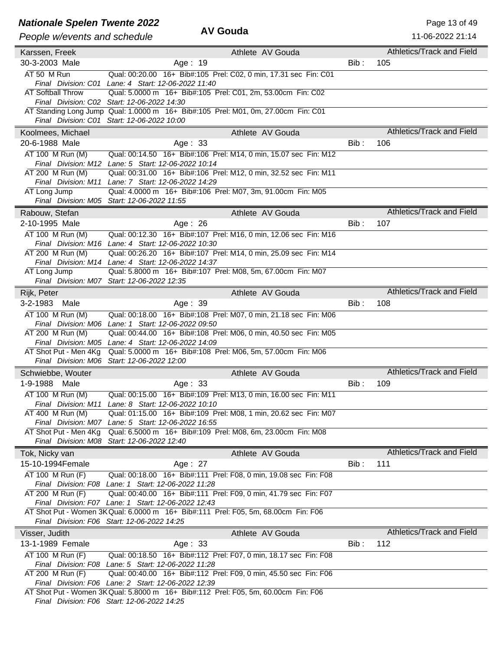### **Nationale Spelen Twente 2022** AV Gouda<br>
AV Gouda

| Athletics/Track and Field<br>Athlete AV Gouda<br>Karssen, Freek<br>$Bib$ :<br>30-3-2003 Male<br>Age: 19<br>105<br>AT 50 M Run<br>Qual: 00:20.00 16+ Bib#:105 Prel: C02, 0 min, 17.31 sec Fin: C01<br>Final Division: C01 Lane: 4 Start: 12-06-2022 11:40<br><b>AT Softball Throw</b><br>Qual: 5.0000 m 16+ Bib#:105 Prel: C01, 2m, 53.00cm Fin: C02<br>Final Division: C02 Start: 12-06-2022 14:30<br>AT Standing Long Jump Qual: 1.0000 m 16+ Bib#:105 Prel: M01, 0m, 27.00cm Fin: C01<br>Final Division: C01 Start: 12-06-2022 10:00<br>Athletics/Track and Field<br>Athlete AV Gouda<br>Koolmees, Michael<br>20-6-1988 Male<br>$Bib$ :<br>Age: $33$<br>106<br>AT 100 M Run (M)<br>Qual: 00:14.50 16+ Bib#:106 Prel: M14, 0 min, 15.07 sec Fin: M12<br>Final Division: M12 Lane: 5 Start: 12-06-2022 10:14<br>AT 200 M Run (M)<br>Qual: 00:31.00 16+ Bib#:106 Prel: M12, 0 min, 32.52 sec Fin: M11<br>Final Division: M11 Lane: 7 Start: 12-06-2022 14:29<br>AT Long Jump<br>Qual: 4.0000 m 16+ Bib#:106 Prel: M07, 3m, 91.00cm Fin: M05<br>Final Division: M05 Start: 12-06-2022 11:55<br><b>Athletics/Track and Field</b><br>Athlete AV Gouda<br>Rabouw, Stefan<br>$Bib$ :<br>2-10-1995 Male<br>Age: 26<br>107<br>AT 100 M Run (M)<br>Qual: 00:12.30 16+ Bib#:107 Prel: M16, 0 min, 12.06 sec Fin: M16<br>Final Division: M16 Lane: 4 Start: 12-06-2022 10:30<br>AT 200 M Run (M)<br>Qual: 00:26.20 16+ Bib#:107 Prel: M14, 0 min, 25.09 sec Fin: M14<br>Final Division: M14 Lane: 4 Start: 12-06-2022 14:37<br>Qual: 5.8000 m 16+ Bib#:107 Prel: M08, 5m, 67.00cm Fin: M07<br>AT Long Jump<br>Final Division: M07 Start: 12-06-2022 12:35<br>Athletics/Track and Field<br>Rijk, Peter<br>Athlete AV Gouda<br>3-2-1983<br>Age: 39<br>$Bib$ :<br>108<br>Male<br>AT 100 M Run (M)<br>Qual: 00:18.00 16+ Bib#:108 Prel: M07, 0 min, 21.18 sec Fin: M06<br>Final Division: M06 Lane: 1 Start: 12-06-2022 09:50<br>Qual: 00:44.00 16+ Bib#:108 Prel: M06, 0 min, 40.50 sec Fin: M05<br>AT 200 M Run (M)<br>Final Division: M05 Lane: 4 Start: 12-06-2022 14:09<br>AT Shot Put - Men 4Kg<br>Qual: 5.0000 m 16+ Bib#:108 Prel: M06, 5m, 57.00cm Fin: M06<br>Final Division: M06 Start: 12-06-2022 12:00<br>Athletics/Track and Field<br>Athlete AV Gouda<br>Schwiebbe, Wouter<br>1-9-1988 Male<br>Bib:<br>109<br>Age: 33<br>AT 100 M Run (M)<br>Qual: 00:15.00 16+ Bib#:109 Prel: M13, 0 min, 16.00 sec Fin: M11<br>Final Division: M11 Lane: 8 Start: 12-06-2022 10:10<br>AT 400 M Run (M)<br>Qual: 01:15.00 16+ Bib#:109 Prel: M08, 1 min, 20.62 sec Fin: M07<br>Final Division: M07 Lane: 5 Start: 12-06-2022 16:55<br>AT Shot Put - Men 4Kg<br>Qual: 6.5000 m 16+ Bib#:109 Prel: M08, 6m, 23.00cm Fin: M08<br>Final Division: M08 Start: 12-06-2022 12:40<br>Athletics/Track and Field<br>Athlete AV Gouda<br>Tok, Nicky van<br>15-10-1994Female<br>$Bib$ :<br>Age: 27<br>111<br>AT 100 M Run (F)<br>Qual: 00:18.00 16+ Bib#:111 Prel: F08, 0 min, 19.08 sec Fin: F08<br>Final Division: F08 Lane: 1 Start: 12-06-2022 11:28<br>AT 200 M Run (F)<br>Qual: 00:40.00 16+ Bib#:111 Prel: F09, 0 min, 41.79 sec Fin: F07<br>Final Division: F07 Lane: 1 Start: 12-06-2022 12:43<br>AT Shot Put - Women 3K Qual: 6.0000 m 16+ Bib#:111 Prel: F05, 5m, 68.00cm Fin: F06<br>Final Division: F06 Start: 12-06-2022 14:25<br>Athletics/Track and Field<br>Athlete AV Gouda<br>Visser, Judith |
|--------------------------------------------------------------------------------------------------------------------------------------------------------------------------------------------------------------------------------------------------------------------------------------------------------------------------------------------------------------------------------------------------------------------------------------------------------------------------------------------------------------------------------------------------------------------------------------------------------------------------------------------------------------------------------------------------------------------------------------------------------------------------------------------------------------------------------------------------------------------------------------------------------------------------------------------------------------------------------------------------------------------------------------------------------------------------------------------------------------------------------------------------------------------------------------------------------------------------------------------------------------------------------------------------------------------------------------------------------------------------------------------------------------------------------------------------------------------------------------------------------------------------------------------------------------------------------------------------------------------------------------------------------------------------------------------------------------------------------------------------------------------------------------------------------------------------------------------------------------------------------------------------------------------------------------------------------------------------------------------------------------------------------------------------------------------------------------------------------------------------------------------------------------------------------------------------------------------------------------------------------------------------------------------------------------------------------------------------------------------------------------------------------------------------------------------------------------------------------------------------------------------------------------------------------------------------------------------------------------------------------------------------------------------------------------------------------------------------------------------------------------------------------------------------------------------------------------------------------------------------------------------------------------------------------------------------------------------------------------------------------------------------------------------------------------------------------------------------------------------------------------------------------------------------------------------------------------------------------------------------------------------------------------------------------------------------------------------------------------------------------------|
|                                                                                                                                                                                                                                                                                                                                                                                                                                                                                                                                                                                                                                                                                                                                                                                                                                                                                                                                                                                                                                                                                                                                                                                                                                                                                                                                                                                                                                                                                                                                                                                                                                                                                                                                                                                                                                                                                                                                                                                                                                                                                                                                                                                                                                                                                                                                                                                                                                                                                                                                                                                                                                                                                                                                                                                                                                                                                                                                                                                                                                                                                                                                                                                                                                                                                                                                                                                      |
|                                                                                                                                                                                                                                                                                                                                                                                                                                                                                                                                                                                                                                                                                                                                                                                                                                                                                                                                                                                                                                                                                                                                                                                                                                                                                                                                                                                                                                                                                                                                                                                                                                                                                                                                                                                                                                                                                                                                                                                                                                                                                                                                                                                                                                                                                                                                                                                                                                                                                                                                                                                                                                                                                                                                                                                                                                                                                                                                                                                                                                                                                                                                                                                                                                                                                                                                                                                      |
|                                                                                                                                                                                                                                                                                                                                                                                                                                                                                                                                                                                                                                                                                                                                                                                                                                                                                                                                                                                                                                                                                                                                                                                                                                                                                                                                                                                                                                                                                                                                                                                                                                                                                                                                                                                                                                                                                                                                                                                                                                                                                                                                                                                                                                                                                                                                                                                                                                                                                                                                                                                                                                                                                                                                                                                                                                                                                                                                                                                                                                                                                                                                                                                                                                                                                                                                                                                      |
|                                                                                                                                                                                                                                                                                                                                                                                                                                                                                                                                                                                                                                                                                                                                                                                                                                                                                                                                                                                                                                                                                                                                                                                                                                                                                                                                                                                                                                                                                                                                                                                                                                                                                                                                                                                                                                                                                                                                                                                                                                                                                                                                                                                                                                                                                                                                                                                                                                                                                                                                                                                                                                                                                                                                                                                                                                                                                                                                                                                                                                                                                                                                                                                                                                                                                                                                                                                      |
|                                                                                                                                                                                                                                                                                                                                                                                                                                                                                                                                                                                                                                                                                                                                                                                                                                                                                                                                                                                                                                                                                                                                                                                                                                                                                                                                                                                                                                                                                                                                                                                                                                                                                                                                                                                                                                                                                                                                                                                                                                                                                                                                                                                                                                                                                                                                                                                                                                                                                                                                                                                                                                                                                                                                                                                                                                                                                                                                                                                                                                                                                                                                                                                                                                                                                                                                                                                      |
|                                                                                                                                                                                                                                                                                                                                                                                                                                                                                                                                                                                                                                                                                                                                                                                                                                                                                                                                                                                                                                                                                                                                                                                                                                                                                                                                                                                                                                                                                                                                                                                                                                                                                                                                                                                                                                                                                                                                                                                                                                                                                                                                                                                                                                                                                                                                                                                                                                                                                                                                                                                                                                                                                                                                                                                                                                                                                                                                                                                                                                                                                                                                                                                                                                                                                                                                                                                      |
|                                                                                                                                                                                                                                                                                                                                                                                                                                                                                                                                                                                                                                                                                                                                                                                                                                                                                                                                                                                                                                                                                                                                                                                                                                                                                                                                                                                                                                                                                                                                                                                                                                                                                                                                                                                                                                                                                                                                                                                                                                                                                                                                                                                                                                                                                                                                                                                                                                                                                                                                                                                                                                                                                                                                                                                                                                                                                                                                                                                                                                                                                                                                                                                                                                                                                                                                                                                      |
|                                                                                                                                                                                                                                                                                                                                                                                                                                                                                                                                                                                                                                                                                                                                                                                                                                                                                                                                                                                                                                                                                                                                                                                                                                                                                                                                                                                                                                                                                                                                                                                                                                                                                                                                                                                                                                                                                                                                                                                                                                                                                                                                                                                                                                                                                                                                                                                                                                                                                                                                                                                                                                                                                                                                                                                                                                                                                                                                                                                                                                                                                                                                                                                                                                                                                                                                                                                      |
|                                                                                                                                                                                                                                                                                                                                                                                                                                                                                                                                                                                                                                                                                                                                                                                                                                                                                                                                                                                                                                                                                                                                                                                                                                                                                                                                                                                                                                                                                                                                                                                                                                                                                                                                                                                                                                                                                                                                                                                                                                                                                                                                                                                                                                                                                                                                                                                                                                                                                                                                                                                                                                                                                                                                                                                                                                                                                                                                                                                                                                                                                                                                                                                                                                                                                                                                                                                      |
|                                                                                                                                                                                                                                                                                                                                                                                                                                                                                                                                                                                                                                                                                                                                                                                                                                                                                                                                                                                                                                                                                                                                                                                                                                                                                                                                                                                                                                                                                                                                                                                                                                                                                                                                                                                                                                                                                                                                                                                                                                                                                                                                                                                                                                                                                                                                                                                                                                                                                                                                                                                                                                                                                                                                                                                                                                                                                                                                                                                                                                                                                                                                                                                                                                                                                                                                                                                      |
|                                                                                                                                                                                                                                                                                                                                                                                                                                                                                                                                                                                                                                                                                                                                                                                                                                                                                                                                                                                                                                                                                                                                                                                                                                                                                                                                                                                                                                                                                                                                                                                                                                                                                                                                                                                                                                                                                                                                                                                                                                                                                                                                                                                                                                                                                                                                                                                                                                                                                                                                                                                                                                                                                                                                                                                                                                                                                                                                                                                                                                                                                                                                                                                                                                                                                                                                                                                      |
|                                                                                                                                                                                                                                                                                                                                                                                                                                                                                                                                                                                                                                                                                                                                                                                                                                                                                                                                                                                                                                                                                                                                                                                                                                                                                                                                                                                                                                                                                                                                                                                                                                                                                                                                                                                                                                                                                                                                                                                                                                                                                                                                                                                                                                                                                                                                                                                                                                                                                                                                                                                                                                                                                                                                                                                                                                                                                                                                                                                                                                                                                                                                                                                                                                                                                                                                                                                      |
|                                                                                                                                                                                                                                                                                                                                                                                                                                                                                                                                                                                                                                                                                                                                                                                                                                                                                                                                                                                                                                                                                                                                                                                                                                                                                                                                                                                                                                                                                                                                                                                                                                                                                                                                                                                                                                                                                                                                                                                                                                                                                                                                                                                                                                                                                                                                                                                                                                                                                                                                                                                                                                                                                                                                                                                                                                                                                                                                                                                                                                                                                                                                                                                                                                                                                                                                                                                      |
|                                                                                                                                                                                                                                                                                                                                                                                                                                                                                                                                                                                                                                                                                                                                                                                                                                                                                                                                                                                                                                                                                                                                                                                                                                                                                                                                                                                                                                                                                                                                                                                                                                                                                                                                                                                                                                                                                                                                                                                                                                                                                                                                                                                                                                                                                                                                                                                                                                                                                                                                                                                                                                                                                                                                                                                                                                                                                                                                                                                                                                                                                                                                                                                                                                                                                                                                                                                      |
|                                                                                                                                                                                                                                                                                                                                                                                                                                                                                                                                                                                                                                                                                                                                                                                                                                                                                                                                                                                                                                                                                                                                                                                                                                                                                                                                                                                                                                                                                                                                                                                                                                                                                                                                                                                                                                                                                                                                                                                                                                                                                                                                                                                                                                                                                                                                                                                                                                                                                                                                                                                                                                                                                                                                                                                                                                                                                                                                                                                                                                                                                                                                                                                                                                                                                                                                                                                      |
|                                                                                                                                                                                                                                                                                                                                                                                                                                                                                                                                                                                                                                                                                                                                                                                                                                                                                                                                                                                                                                                                                                                                                                                                                                                                                                                                                                                                                                                                                                                                                                                                                                                                                                                                                                                                                                                                                                                                                                                                                                                                                                                                                                                                                                                                                                                                                                                                                                                                                                                                                                                                                                                                                                                                                                                                                                                                                                                                                                                                                                                                                                                                                                                                                                                                                                                                                                                      |
|                                                                                                                                                                                                                                                                                                                                                                                                                                                                                                                                                                                                                                                                                                                                                                                                                                                                                                                                                                                                                                                                                                                                                                                                                                                                                                                                                                                                                                                                                                                                                                                                                                                                                                                                                                                                                                                                                                                                                                                                                                                                                                                                                                                                                                                                                                                                                                                                                                                                                                                                                                                                                                                                                                                                                                                                                                                                                                                                                                                                                                                                                                                                                                                                                                                                                                                                                                                      |
|                                                                                                                                                                                                                                                                                                                                                                                                                                                                                                                                                                                                                                                                                                                                                                                                                                                                                                                                                                                                                                                                                                                                                                                                                                                                                                                                                                                                                                                                                                                                                                                                                                                                                                                                                                                                                                                                                                                                                                                                                                                                                                                                                                                                                                                                                                                                                                                                                                                                                                                                                                                                                                                                                                                                                                                                                                                                                                                                                                                                                                                                                                                                                                                                                                                                                                                                                                                      |
|                                                                                                                                                                                                                                                                                                                                                                                                                                                                                                                                                                                                                                                                                                                                                                                                                                                                                                                                                                                                                                                                                                                                                                                                                                                                                                                                                                                                                                                                                                                                                                                                                                                                                                                                                                                                                                                                                                                                                                                                                                                                                                                                                                                                                                                                                                                                                                                                                                                                                                                                                                                                                                                                                                                                                                                                                                                                                                                                                                                                                                                                                                                                                                                                                                                                                                                                                                                      |
|                                                                                                                                                                                                                                                                                                                                                                                                                                                                                                                                                                                                                                                                                                                                                                                                                                                                                                                                                                                                                                                                                                                                                                                                                                                                                                                                                                                                                                                                                                                                                                                                                                                                                                                                                                                                                                                                                                                                                                                                                                                                                                                                                                                                                                                                                                                                                                                                                                                                                                                                                                                                                                                                                                                                                                                                                                                                                                                                                                                                                                                                                                                                                                                                                                                                                                                                                                                      |
|                                                                                                                                                                                                                                                                                                                                                                                                                                                                                                                                                                                                                                                                                                                                                                                                                                                                                                                                                                                                                                                                                                                                                                                                                                                                                                                                                                                                                                                                                                                                                                                                                                                                                                                                                                                                                                                                                                                                                                                                                                                                                                                                                                                                                                                                                                                                                                                                                                                                                                                                                                                                                                                                                                                                                                                                                                                                                                                                                                                                                                                                                                                                                                                                                                                                                                                                                                                      |
|                                                                                                                                                                                                                                                                                                                                                                                                                                                                                                                                                                                                                                                                                                                                                                                                                                                                                                                                                                                                                                                                                                                                                                                                                                                                                                                                                                                                                                                                                                                                                                                                                                                                                                                                                                                                                                                                                                                                                                                                                                                                                                                                                                                                                                                                                                                                                                                                                                                                                                                                                                                                                                                                                                                                                                                                                                                                                                                                                                                                                                                                                                                                                                                                                                                                                                                                                                                      |
|                                                                                                                                                                                                                                                                                                                                                                                                                                                                                                                                                                                                                                                                                                                                                                                                                                                                                                                                                                                                                                                                                                                                                                                                                                                                                                                                                                                                                                                                                                                                                                                                                                                                                                                                                                                                                                                                                                                                                                                                                                                                                                                                                                                                                                                                                                                                                                                                                                                                                                                                                                                                                                                                                                                                                                                                                                                                                                                                                                                                                                                                                                                                                                                                                                                                                                                                                                                      |
|                                                                                                                                                                                                                                                                                                                                                                                                                                                                                                                                                                                                                                                                                                                                                                                                                                                                                                                                                                                                                                                                                                                                                                                                                                                                                                                                                                                                                                                                                                                                                                                                                                                                                                                                                                                                                                                                                                                                                                                                                                                                                                                                                                                                                                                                                                                                                                                                                                                                                                                                                                                                                                                                                                                                                                                                                                                                                                                                                                                                                                                                                                                                                                                                                                                                                                                                                                                      |
|                                                                                                                                                                                                                                                                                                                                                                                                                                                                                                                                                                                                                                                                                                                                                                                                                                                                                                                                                                                                                                                                                                                                                                                                                                                                                                                                                                                                                                                                                                                                                                                                                                                                                                                                                                                                                                                                                                                                                                                                                                                                                                                                                                                                                                                                                                                                                                                                                                                                                                                                                                                                                                                                                                                                                                                                                                                                                                                                                                                                                                                                                                                                                                                                                                                                                                                                                                                      |
|                                                                                                                                                                                                                                                                                                                                                                                                                                                                                                                                                                                                                                                                                                                                                                                                                                                                                                                                                                                                                                                                                                                                                                                                                                                                                                                                                                                                                                                                                                                                                                                                                                                                                                                                                                                                                                                                                                                                                                                                                                                                                                                                                                                                                                                                                                                                                                                                                                                                                                                                                                                                                                                                                                                                                                                                                                                                                                                                                                                                                                                                                                                                                                                                                                                                                                                                                                                      |
|                                                                                                                                                                                                                                                                                                                                                                                                                                                                                                                                                                                                                                                                                                                                                                                                                                                                                                                                                                                                                                                                                                                                                                                                                                                                                                                                                                                                                                                                                                                                                                                                                                                                                                                                                                                                                                                                                                                                                                                                                                                                                                                                                                                                                                                                                                                                                                                                                                                                                                                                                                                                                                                                                                                                                                                                                                                                                                                                                                                                                                                                                                                                                                                                                                                                                                                                                                                      |
|                                                                                                                                                                                                                                                                                                                                                                                                                                                                                                                                                                                                                                                                                                                                                                                                                                                                                                                                                                                                                                                                                                                                                                                                                                                                                                                                                                                                                                                                                                                                                                                                                                                                                                                                                                                                                                                                                                                                                                                                                                                                                                                                                                                                                                                                                                                                                                                                                                                                                                                                                                                                                                                                                                                                                                                                                                                                                                                                                                                                                                                                                                                                                                                                                                                                                                                                                                                      |
|                                                                                                                                                                                                                                                                                                                                                                                                                                                                                                                                                                                                                                                                                                                                                                                                                                                                                                                                                                                                                                                                                                                                                                                                                                                                                                                                                                                                                                                                                                                                                                                                                                                                                                                                                                                                                                                                                                                                                                                                                                                                                                                                                                                                                                                                                                                                                                                                                                                                                                                                                                                                                                                                                                                                                                                                                                                                                                                                                                                                                                                                                                                                                                                                                                                                                                                                                                                      |
|                                                                                                                                                                                                                                                                                                                                                                                                                                                                                                                                                                                                                                                                                                                                                                                                                                                                                                                                                                                                                                                                                                                                                                                                                                                                                                                                                                                                                                                                                                                                                                                                                                                                                                                                                                                                                                                                                                                                                                                                                                                                                                                                                                                                                                                                                                                                                                                                                                                                                                                                                                                                                                                                                                                                                                                                                                                                                                                                                                                                                                                                                                                                                                                                                                                                                                                                                                                      |
|                                                                                                                                                                                                                                                                                                                                                                                                                                                                                                                                                                                                                                                                                                                                                                                                                                                                                                                                                                                                                                                                                                                                                                                                                                                                                                                                                                                                                                                                                                                                                                                                                                                                                                                                                                                                                                                                                                                                                                                                                                                                                                                                                                                                                                                                                                                                                                                                                                                                                                                                                                                                                                                                                                                                                                                                                                                                                                                                                                                                                                                                                                                                                                                                                                                                                                                                                                                      |
|                                                                                                                                                                                                                                                                                                                                                                                                                                                                                                                                                                                                                                                                                                                                                                                                                                                                                                                                                                                                                                                                                                                                                                                                                                                                                                                                                                                                                                                                                                                                                                                                                                                                                                                                                                                                                                                                                                                                                                                                                                                                                                                                                                                                                                                                                                                                                                                                                                                                                                                                                                                                                                                                                                                                                                                                                                                                                                                                                                                                                                                                                                                                                                                                                                                                                                                                                                                      |
|                                                                                                                                                                                                                                                                                                                                                                                                                                                                                                                                                                                                                                                                                                                                                                                                                                                                                                                                                                                                                                                                                                                                                                                                                                                                                                                                                                                                                                                                                                                                                                                                                                                                                                                                                                                                                                                                                                                                                                                                                                                                                                                                                                                                                                                                                                                                                                                                                                                                                                                                                                                                                                                                                                                                                                                                                                                                                                                                                                                                                                                                                                                                                                                                                                                                                                                                                                                      |
|                                                                                                                                                                                                                                                                                                                                                                                                                                                                                                                                                                                                                                                                                                                                                                                                                                                                                                                                                                                                                                                                                                                                                                                                                                                                                                                                                                                                                                                                                                                                                                                                                                                                                                                                                                                                                                                                                                                                                                                                                                                                                                                                                                                                                                                                                                                                                                                                                                                                                                                                                                                                                                                                                                                                                                                                                                                                                                                                                                                                                                                                                                                                                                                                                                                                                                                                                                                      |
|                                                                                                                                                                                                                                                                                                                                                                                                                                                                                                                                                                                                                                                                                                                                                                                                                                                                                                                                                                                                                                                                                                                                                                                                                                                                                                                                                                                                                                                                                                                                                                                                                                                                                                                                                                                                                                                                                                                                                                                                                                                                                                                                                                                                                                                                                                                                                                                                                                                                                                                                                                                                                                                                                                                                                                                                                                                                                                                                                                                                                                                                                                                                                                                                                                                                                                                                                                                      |
|                                                                                                                                                                                                                                                                                                                                                                                                                                                                                                                                                                                                                                                                                                                                                                                                                                                                                                                                                                                                                                                                                                                                                                                                                                                                                                                                                                                                                                                                                                                                                                                                                                                                                                                                                                                                                                                                                                                                                                                                                                                                                                                                                                                                                                                                                                                                                                                                                                                                                                                                                                                                                                                                                                                                                                                                                                                                                                                                                                                                                                                                                                                                                                                                                                                                                                                                                                                      |
|                                                                                                                                                                                                                                                                                                                                                                                                                                                                                                                                                                                                                                                                                                                                                                                                                                                                                                                                                                                                                                                                                                                                                                                                                                                                                                                                                                                                                                                                                                                                                                                                                                                                                                                                                                                                                                                                                                                                                                                                                                                                                                                                                                                                                                                                                                                                                                                                                                                                                                                                                                                                                                                                                                                                                                                                                                                                                                                                                                                                                                                                                                                                                                                                                                                                                                                                                                                      |
|                                                                                                                                                                                                                                                                                                                                                                                                                                                                                                                                                                                                                                                                                                                                                                                                                                                                                                                                                                                                                                                                                                                                                                                                                                                                                                                                                                                                                                                                                                                                                                                                                                                                                                                                                                                                                                                                                                                                                                                                                                                                                                                                                                                                                                                                                                                                                                                                                                                                                                                                                                                                                                                                                                                                                                                                                                                                                                                                                                                                                                                                                                                                                                                                                                                                                                                                                                                      |
|                                                                                                                                                                                                                                                                                                                                                                                                                                                                                                                                                                                                                                                                                                                                                                                                                                                                                                                                                                                                                                                                                                                                                                                                                                                                                                                                                                                                                                                                                                                                                                                                                                                                                                                                                                                                                                                                                                                                                                                                                                                                                                                                                                                                                                                                                                                                                                                                                                                                                                                                                                                                                                                                                                                                                                                                                                                                                                                                                                                                                                                                                                                                                                                                                                                                                                                                                                                      |
|                                                                                                                                                                                                                                                                                                                                                                                                                                                                                                                                                                                                                                                                                                                                                                                                                                                                                                                                                                                                                                                                                                                                                                                                                                                                                                                                                                                                                                                                                                                                                                                                                                                                                                                                                                                                                                                                                                                                                                                                                                                                                                                                                                                                                                                                                                                                                                                                                                                                                                                                                                                                                                                                                                                                                                                                                                                                                                                                                                                                                                                                                                                                                                                                                                                                                                                                                                                      |
|                                                                                                                                                                                                                                                                                                                                                                                                                                                                                                                                                                                                                                                                                                                                                                                                                                                                                                                                                                                                                                                                                                                                                                                                                                                                                                                                                                                                                                                                                                                                                                                                                                                                                                                                                                                                                                                                                                                                                                                                                                                                                                                                                                                                                                                                                                                                                                                                                                                                                                                                                                                                                                                                                                                                                                                                                                                                                                                                                                                                                                                                                                                                                                                                                                                                                                                                                                                      |
|                                                                                                                                                                                                                                                                                                                                                                                                                                                                                                                                                                                                                                                                                                                                                                                                                                                                                                                                                                                                                                                                                                                                                                                                                                                                                                                                                                                                                                                                                                                                                                                                                                                                                                                                                                                                                                                                                                                                                                                                                                                                                                                                                                                                                                                                                                                                                                                                                                                                                                                                                                                                                                                                                                                                                                                                                                                                                                                                                                                                                                                                                                                                                                                                                                                                                                                                                                                      |
|                                                                                                                                                                                                                                                                                                                                                                                                                                                                                                                                                                                                                                                                                                                                                                                                                                                                                                                                                                                                                                                                                                                                                                                                                                                                                                                                                                                                                                                                                                                                                                                                                                                                                                                                                                                                                                                                                                                                                                                                                                                                                                                                                                                                                                                                                                                                                                                                                                                                                                                                                                                                                                                                                                                                                                                                                                                                                                                                                                                                                                                                                                                                                                                                                                                                                                                                                                                      |
|                                                                                                                                                                                                                                                                                                                                                                                                                                                                                                                                                                                                                                                                                                                                                                                                                                                                                                                                                                                                                                                                                                                                                                                                                                                                                                                                                                                                                                                                                                                                                                                                                                                                                                                                                                                                                                                                                                                                                                                                                                                                                                                                                                                                                                                                                                                                                                                                                                                                                                                                                                                                                                                                                                                                                                                                                                                                                                                                                                                                                                                                                                                                                                                                                                                                                                                                                                                      |
|                                                                                                                                                                                                                                                                                                                                                                                                                                                                                                                                                                                                                                                                                                                                                                                                                                                                                                                                                                                                                                                                                                                                                                                                                                                                                                                                                                                                                                                                                                                                                                                                                                                                                                                                                                                                                                                                                                                                                                                                                                                                                                                                                                                                                                                                                                                                                                                                                                                                                                                                                                                                                                                                                                                                                                                                                                                                                                                                                                                                                                                                                                                                                                                                                                                                                                                                                                                      |
|                                                                                                                                                                                                                                                                                                                                                                                                                                                                                                                                                                                                                                                                                                                                                                                                                                                                                                                                                                                                                                                                                                                                                                                                                                                                                                                                                                                                                                                                                                                                                                                                                                                                                                                                                                                                                                                                                                                                                                                                                                                                                                                                                                                                                                                                                                                                                                                                                                                                                                                                                                                                                                                                                                                                                                                                                                                                                                                                                                                                                                                                                                                                                                                                                                                                                                                                                                                      |
| 112<br>Age: 33<br>Bib:<br>13-1-1989 Female                                                                                                                                                                                                                                                                                                                                                                                                                                                                                                                                                                                                                                                                                                                                                                                                                                                                                                                                                                                                                                                                                                                                                                                                                                                                                                                                                                                                                                                                                                                                                                                                                                                                                                                                                                                                                                                                                                                                                                                                                                                                                                                                                                                                                                                                                                                                                                                                                                                                                                                                                                                                                                                                                                                                                                                                                                                                                                                                                                                                                                                                                                                                                                                                                                                                                                                                           |
| AT 100 M Run (F)<br>Qual: 00:18.50 16+ Bib#:112 Prel: F07, 0 min, 18.17 sec Fin: F08<br>Final Division: F08 Lane: 5 Start: 12-06-2022 11:28                                                                                                                                                                                                                                                                                                                                                                                                                                                                                                                                                                                                                                                                                                                                                                                                                                                                                                                                                                                                                                                                                                                                                                                                                                                                                                                                                                                                                                                                                                                                                                                                                                                                                                                                                                                                                                                                                                                                                                                                                                                                                                                                                                                                                                                                                                                                                                                                                                                                                                                                                                                                                                                                                                                                                                                                                                                                                                                                                                                                                                                                                                                                                                                                                                          |
|                                                                                                                                                                                                                                                                                                                                                                                                                                                                                                                                                                                                                                                                                                                                                                                                                                                                                                                                                                                                                                                                                                                                                                                                                                                                                                                                                                                                                                                                                                                                                                                                                                                                                                                                                                                                                                                                                                                                                                                                                                                                                                                                                                                                                                                                                                                                                                                                                                                                                                                                                                                                                                                                                                                                                                                                                                                                                                                                                                                                                                                                                                                                                                                                                                                                                                                                                                                      |
|                                                                                                                                                                                                                                                                                                                                                                                                                                                                                                                                                                                                                                                                                                                                                                                                                                                                                                                                                                                                                                                                                                                                                                                                                                                                                                                                                                                                                                                                                                                                                                                                                                                                                                                                                                                                                                                                                                                                                                                                                                                                                                                                                                                                                                                                                                                                                                                                                                                                                                                                                                                                                                                                                                                                                                                                                                                                                                                                                                                                                                                                                                                                                                                                                                                                                                                                                                                      |
| AT 200 M Run (F)<br>Qual: 00:40.00 16+ Bib#:112 Prel: F09, 0 min, 45.50 sec Fin: F06<br>Final Division: F06 Lane: 2 Start: 12-06-2022 12:39                                                                                                                                                                                                                                                                                                                                                                                                                                                                                                                                                                                                                                                                                                                                                                                                                                                                                                                                                                                                                                                                                                                                                                                                                                                                                                                                                                                                                                                                                                                                                                                                                                                                                                                                                                                                                                                                                                                                                                                                                                                                                                                                                                                                                                                                                                                                                                                                                                                                                                                                                                                                                                                                                                                                                                                                                                                                                                                                                                                                                                                                                                                                                                                                                                          |

*Final Division: F06 Start: 12-06-2022 14:25*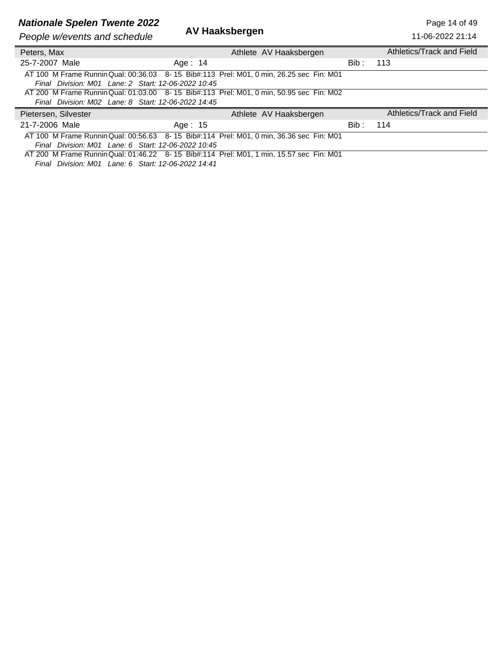## **Nationale Spelen Twente 2022**<br>**AV Haaksbergen** Page 14 of 49

| People w/events and schedule                        | AV Haaksbergen                                                                          |       | 11-06-2022 21:14          |
|-----------------------------------------------------|-----------------------------------------------------------------------------------------|-------|---------------------------|
| Peters, Max                                         | Athlete AV Haaksbergen                                                                  |       | Athletics/Track and Field |
| 25-7-2007 Male                                      | Age: 14                                                                                 | Bib : | 113                       |
| Final Division: M01 Lane: 2 Start: 12-06-2022 10:45 | AT 100 M Frame Runnin Qual: 00:36.03 8-15 Bib#:113 Prel: M01, 0 min, 26.25 sec Fin: M01 |       |                           |
| Final Division: M02 Lane: 8 Start: 12-06-2022 14:45 | AT 200 M Frame Runnin Qual: 01:03.00 8-15 Bib#:113 Prel: M01, 0 min, 50.95 sec Fin: M02 |       |                           |
| Pietersen, Silvester                                | Athlete AV Haaksbergen                                                                  |       | Athletics/Track and Field |
| 21-7-2006 Male                                      | Age: 15                                                                                 | Bib : | 114                       |
| Final Division: M01 Lane: 6 Start: 12-06-2022 10:45 | AT 100 M Frame Runnin Qual: 00:56.63 8-15 Bib#:114 Prel: M01, 0 min, 36.36 sec Fin: M01 |       |                           |

AT 200 M Frame Running Qual: 01:46.22 8- 15 Bib#:114 Prel: M01, 1 min, 15.57 sec Fin: M01 *Final Division: M01 Lane: 6 Start: 12-06-2022 14:41*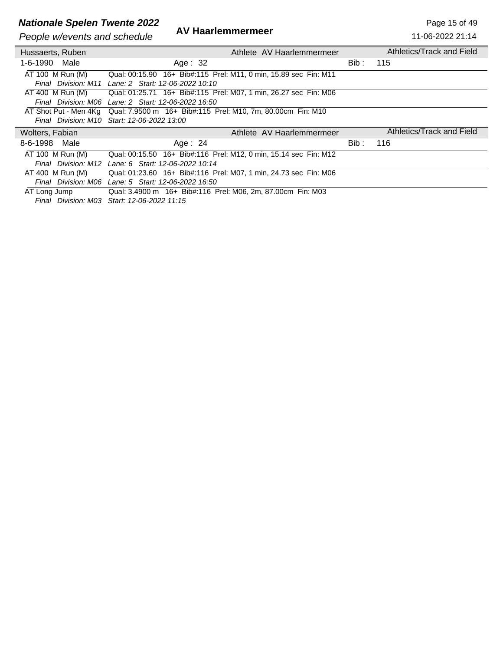## **Nationale Spelen Twente 2022**<br>**AV Haarlemmermeer** Page 15 of 49

**People w/events and schedule** 

 $\overline{a}$ 

| People w/events and schedule | AV HAANGINNENINGEN                                                                |       | 11-06-2022 21:14          |
|------------------------------|-----------------------------------------------------------------------------------|-------|---------------------------|
| Hussaerts, Ruben             | Athlete AV Haarlemmermeer                                                         |       | Athletics/Track and Field |
| 1-6-1990 Male                | Age: $32$                                                                         | Bib : | 115                       |
| AT 100 M Run (M)             | Qual: 00:15.90 16+ Bib#:115 Prel: M11, 0 min, 15.89 sec Fin: M11                  |       |                           |
|                              | Final Division: M11 Lane: 2 Start: 12-06-2022 10:10                               |       |                           |
|                              | AT 400 M Run (M) Qual: 01:25.71 16+ Bib#:115 Prel: M07, 1 min, 26.27 sec Fin: M06 |       |                           |
|                              | Final Division: M06 Lane: 2 Start: 12-06-2022 16:50                               |       |                           |
|                              | AT Shot Put - Men 4Kg Qual: 7.9500 m 16+ Bib#:115 Prel: M10, 7m, 80.00cm Fin: M10 |       |                           |
|                              | Final Division: M10 Start: 12-06-2022 13:00                                       |       |                           |
|                              |                                                                                   |       |                           |
| Wolters, Fabian              | Athlete AV Haarlemmermeer                                                         |       | Athletics/Track and Field |
| 8-6-1998<br>Male             | Age: $24$                                                                         | Bib : | 116                       |
| AT 100 M Run (M)             | Qual: 00:15.50 16+ Bib#:116 Prel: M12, 0 min, 15.14 sec Fin: M12                  |       |                           |
|                              | Final Division: M12 Lane: 6 Start: 12-06-2022 10:14                               |       |                           |
| AT 400 M Run (M)             | Qual: 01:23.60 16+ Bib#:116 Prel: M07, 1 min, 24.73 sec Fin: M06                  |       |                           |
|                              | Final Division: M06 Lane: 5 Start: 12-06-2022 16:50                               |       |                           |
| AT Long Jump                 | Qual: 3.4900 m 16+ Bib#:116 Prel: M06, 2m, 87.00cm Fin: M03                       |       |                           |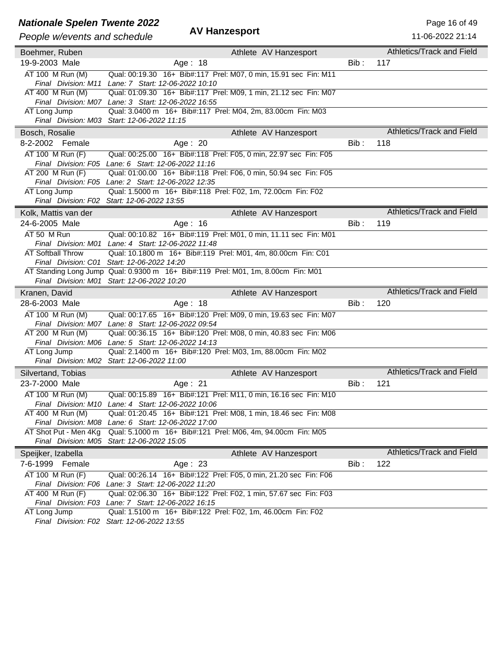## **Nationale Spelen Twente 2022**<br>**AV Hanzesport** Page 16 of 49

#### *People w/events and schedule* **AV Hanzesport**

| People w/events and schedule         | <b>AV Hanzesport</b>                                                                                                    |      | 11-06-2022 21:14                 |
|--------------------------------------|-------------------------------------------------------------------------------------------------------------------------|------|----------------------------------|
| Boehmer, Ruben                       | Athlete AV Hanzesport                                                                                                   |      | Athletics/Track and Field        |
| 19-9-2003 Male                       | Age: 18                                                                                                                 | Bib: | 117                              |
| AT 100 M Run (M)                     | Qual: 00:19.30 16+ Bib#:117 Prel: M07, 0 min, 15.91 sec Fin: M11<br>Final Division: M11 Lane: 7 Start: 12-06-2022 10:10 |      |                                  |
| AT 400 M Run (M)                     | Qual: 01:09.30 16+ Bib#:117 Prel: M09, 1 min, 21.12 sec Fin: M07                                                        |      |                                  |
| AT Long Jump                         | Final Division: M07 Lane: 3 Start: 12-06-2022 16:55<br>Qual: 3.0400 m 16+ Bib#:117 Prel: M04, 2m, 83.00cm Fin: M03      |      |                                  |
|                                      | Final Division: M03 Start: 12-06-2022 11:15                                                                             |      |                                  |
| Bosch, Rosalie                       | Athlete AV Hanzesport                                                                                                   |      | Athletics/Track and Field        |
| 8-2-2002 Female                      | Age: 20                                                                                                                 | Bib: | 118                              |
| AT 100 M Run (F)                     | Qual: 00:25.00 16+ Bib#:118 Prel: F05, 0 min, 22.97 sec Fin: F05                                                        |      |                                  |
|                                      | Final Division: F05 Lane: 6 Start: 12-06-2022 11:16                                                                     |      |                                  |
| AT 200 M Run (F)                     | Qual: 01:00.00 16+ Bib#:118 Prel: F06, 0 min, 50.94 sec Fin: F05<br>Final Division: F05 Lane: 2 Start: 12-06-2022 12:35 |      |                                  |
| AT Long Jump                         | Qual: 1.5000 m 16+ Bib#:118 Prel: F02, 1m, 72.00cm Fin: F02                                                             |      |                                  |
| Final Division: F02                  | Start: 12-06-2022 13:55                                                                                                 |      |                                  |
| Kolk, Mattis van der                 | Athlete AV Hanzesport                                                                                                   |      | Athletics/Track and Field        |
| 24-6-2005 Male                       | Age: $16$                                                                                                               | Bib: | 119                              |
| AT 50 M Run                          | Qual: 00:10.82 16+ Bib#:119 Prel: M01, 0 min, 11.11 sec Fin: M01                                                        |      |                                  |
|                                      | Final Division: M01 Lane: 4 Start: 12-06-2022 11:48                                                                     |      |                                  |
| <b>AT Softball Throw</b>             | Qual: 10.1800 m 16+ Bib#:119 Prel: M01, 4m, 80.00cm Fin: C01                                                            |      |                                  |
| Final Division: C01                  | Start: 12-06-2022 14:20                                                                                                 |      |                                  |
|                                      | AT Standing Long Jump Qual: 0.9300 m 16+ Bib#:119 Prel: M01, 1m, 8.00cm Fin: M01                                        |      |                                  |
|                                      | Final Division: M01 Start: 12-06-2022 10:20                                                                             |      |                                  |
| Kranen, David                        | Athlete AV Hanzesport                                                                                                   |      | Athletics/Track and Field        |
| 28-6-2003 Male                       | Age: 18                                                                                                                 | Bib: | 120                              |
| AT 100 M Run (M)                     | Qual: 00:17.65 16+ Bib#:120 Prel: M09, 0 min, 19.63 sec Fin: M07                                                        |      |                                  |
|                                      | Final Division: M07 Lane: 8 Start: 12-06-2022 09:54                                                                     |      |                                  |
| AT 200 M Run (M)                     | Qual: 00:36.15 16+ Bib#:120 Prel: M08, 0 min, 40.83 sec Fin: M06                                                        |      |                                  |
|                                      | Final Division: M06 Lane: 5 Start: 12-06-2022 14:13                                                                     |      |                                  |
| AT Long Jump                         | Qual: 2.1400 m 16+ Bib#:120 Prel: M03, 1m, 88.00cm Fin: M02<br>Final Division: M02 Start: 12-06-2022 11:00              |      |                                  |
|                                      |                                                                                                                         |      | Athletics/Track and Field        |
| Silvertand, Tobias<br>23-7-2000 Male | Athlete AV Hanzesport                                                                                                   | Bib: | 121                              |
|                                      | Age: 21                                                                                                                 |      |                                  |
| AT 100 M Run (M)                     | Qual: 00:15.89 16+ Bib#:121 Prel: M11, 0 min, 16.16 sec Fin: M10<br>Final Division: M10 Lane: 4 Start: 12-06-2022 10:06 |      |                                  |
| AT 400 M Run (M)                     | Qual: 01:20.45 16+ Bib#:121 Prel: M08, 1 min, 18.46 sec Fin: M08                                                        |      |                                  |
| Final Division: M08                  | Lane: 6 Start: 12-06-2022 17:00                                                                                         |      |                                  |
| AT Shot Put - Men 4Kg                | Qual: 5.1000 m 16+ Bib#:121 Prel: M06, 4m, 94.00cm Fin: M05                                                             |      |                                  |
|                                      | Final Division: M05 Start: 12-06-2022 15:05                                                                             |      |                                  |
| Speijker, Izabella                   | Athlete AV Hanzesport                                                                                                   |      | <b>Athletics/Track and Field</b> |
| 7-6-1999 Female                      | Age: $23$                                                                                                               | Bib: | 122                              |
| AT 100 M Run (F)                     | Qual: 00:26.14 16+ Bib#:122 Prel: F05, 0 min, 21.20 sec Fin: F06                                                        |      |                                  |
| Final Division: F06                  | Lane: 3 Start: 12-06-2022 11:20                                                                                         |      |                                  |
| AT 400 M Run (F)                     | Qual: 02:06.30 16+ Bib#:122 Prel: F02, 1 min, 57.67 sec Fin: F03                                                        |      |                                  |
|                                      | Final Division: F03 Lane: 7 Start: 12-06-2022 16:15                                                                     |      |                                  |
| AT Long Jump                         | Qual: 1.5100 m 16+ Bib#:122 Prel: F02, 1m, 46.00cm Fin: F02                                                             |      |                                  |
| Final Division: F02                  | Start: 12-06-2022 13:55                                                                                                 |      |                                  |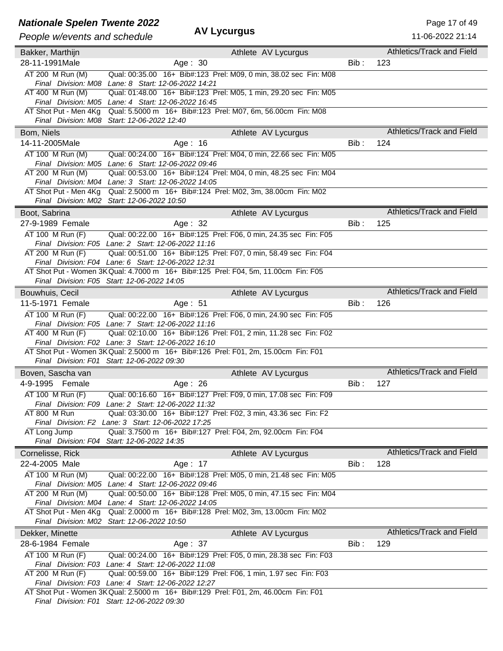### **Nationale Spelen Twente 2022** And All Control of the Page 17 of 49

### *People w/events and schedule* **AV Lycurgus**

| People w/events and schedule | Av Lyvuryus                                                                                                                               |         | 11-06-2022 21:14                 |
|------------------------------|-------------------------------------------------------------------------------------------------------------------------------------------|---------|----------------------------------|
| Bakker, Marthijn             | Athlete AV Lycurgus                                                                                                                       |         | Athletics/Track and Field        |
| 28-11-1991Male               | Age: $30$                                                                                                                                 | Bib:    | 123                              |
| AT 200 M Run (M)             | Qual: 00:35.00 16+ Bib#:123 Prel: M09, 0 min, 38.02 sec Fin: M08                                                                          |         |                                  |
|                              | Final Division: M08 Lane: 8 Start: 12-06-2022 14:21                                                                                       |         |                                  |
| AT 400 M Run (M)             | Qual: 01:48.00 16+ Bib#:123 Prel: M05, 1 min, 29.20 sec Fin: M05                                                                          |         |                                  |
|                              | Final Division: M05 Lane: 4 Start: 12-06-2022 16:45                                                                                       |         |                                  |
| AT Shot Put - Men 4Kg        | Qual: 5.5000 m 16+ Bib#:123 Prel: M07, 6m, 56.00cm Fin: M08                                                                               |         |                                  |
|                              | Final Division: M08 Start: 12-06-2022 12:40                                                                                               |         |                                  |
| Bom, Niels                   | Athlete AV Lycurgus                                                                                                                       |         | Athletics/Track and Field        |
| 14-11-2005Male               | Age: 16                                                                                                                                   | $Bib$ : | 124                              |
| AT 100 M Run (M)             | Qual: 00:24.00 16+ Bib#:124 Prel: M04, 0 min, 22.66 sec Fin: M05                                                                          |         |                                  |
|                              | Final Division: M05 Lane: 6 Start: 12-06-2022 09:46                                                                                       |         |                                  |
| AT 200 M Run (M)             | Qual: 00:53.00 16+ Bib#:124 Prel: M04, 0 min, 48.25 sec Fin: M04                                                                          |         |                                  |
|                              | Final Division: M04 Lane: 3 Start: 12-06-2022 14:05                                                                                       |         |                                  |
| AT Shot Put - Men 4Kg        | Qual: 2.5000 m 16+ Bib#:124 Prel: M02, 3m, 38.00cm Fin: M02                                                                               |         |                                  |
|                              | Final Division: M02 Start: 12-06-2022 10:50                                                                                               |         |                                  |
| Boot, Sabrina                | Athlete AV Lycurgus                                                                                                                       |         | <b>Athletics/Track and Field</b> |
| 27-9-1989 Female             | Age: 32                                                                                                                                   | Bib:    | 125                              |
| AT 100 M Run (F)             | Qual: 00:22.00 16+ Bib#:125 Prel: F06, 0 min, 24.35 sec Fin: F05                                                                          |         |                                  |
|                              | Final Division: F05 Lane: 2 Start: 12-06-2022 11:16                                                                                       |         |                                  |
| AT 200 M Run (F)             | Qual: 00:51.00 16+ Bib#:125 Prel: F07, 0 min, 58.49 sec Fin: F04                                                                          |         |                                  |
|                              | Final Division: F04 Lane: 6 Start: 12-06-2022 12:31<br>AT Shot Put - Women 3K Qual: 4.7000 m 16+ Bib#:125 Prel: F04, 5m, 11.00cm Fin: F05 |         |                                  |
|                              | Final Division: F05 Start: 12-06-2022 14:05                                                                                               |         |                                  |
| Bouwhuis, Cecil              | Athlete AV Lycurgus                                                                                                                       |         | <b>Athletics/Track and Field</b> |
| 11-5-1971 Female             | Age: 51                                                                                                                                   | Bib:    | 126                              |
| AT 100 M Run (F)             | Qual: 00:22.00 16+ Bib#:126 Prel: F06, 0 min, 24.90 sec Fin: F05                                                                          |         |                                  |
|                              | Final Division: F05 Lane: 7 Start: 12-06-2022 11:16                                                                                       |         |                                  |
| AT 400 M Run (F)             | Qual: 02:10.00 16+ Bib#:126 Prel: F01, 2 min, 11.28 sec Fin: F02                                                                          |         |                                  |
|                              | Final Division: F02 Lane: 3 Start: 12-06-2022 16:10                                                                                       |         |                                  |
|                              | AT Shot Put - Women 3K Qual: 2.5000 m 16+ Bib#:126 Prel: F01, 2m, 15.00cm Fin: F01                                                        |         |                                  |
|                              | Final Division: F01 Start: 12-06-2022 09:30                                                                                               |         |                                  |
| Boven, Sascha van            | Athlete AV Lycurgus                                                                                                                       |         | Athletics/Track and Field        |
| 4-9-1995 Female              | Age: $26$                                                                                                                                 | Bib:    | 127                              |
| AT 100 M Run (F)             | Qual: 00:16.60 16+ Bib#:127 Prel: F09, 0 min, 17.08 sec Fin: F09                                                                          |         |                                  |
|                              | Final Division: F09 Lane: 2 Start: 12-06-2022 11:32                                                                                       |         |                                  |
| AT 800 M Run                 | Qual: 03:30.00 16+ Bib#:127 Prel: F02, 3 min, 43.36 sec Fin: F2                                                                           |         |                                  |
|                              | Final Division: F2 Lane: 3 Start: 12-06-2022 17:25                                                                                        |         |                                  |
| AT Long Jump                 | Qual: 3.7500 m 16+ Bib#:127 Prel: F04, 2m, 92.00cm Fin: F04                                                                               |         |                                  |
|                              | Final Division: F04 Start: 12-06-2022 14:35                                                                                               |         |                                  |
| Cornelisse, Rick             | Athlete AV Lycurgus                                                                                                                       |         | Athletics/Track and Field        |
| 22-4-2005 Male               | Age: 17                                                                                                                                   | Bib:    | 128                              |
| AT 100 M Run (M)             | Qual: 00:22.00 16+ Bib#:128 Prel: M05, 0 min, 21.48 sec Fin: M05                                                                          |         |                                  |
| AT 200 M Run (M)             | Final Division: M05 Lane: 4 Start: 12-06-2022 09:46<br>Qual: 00:50.00 16+ Bib#:128 Prel: M05, 0 min, 47.15 sec Fin: M04                   |         |                                  |
|                              | Final Division: M04 Lane: 4 Start: 12-06-2022 14:05                                                                                       |         |                                  |
| AT Shot Put - Men 4Kg        | Qual: 2.0000 m 16+ Bib#:128 Prel: M02, 3m, 13.00cm Fin: M02                                                                               |         |                                  |
|                              | Final Division: M02 Start: 12-06-2022 10:50                                                                                               |         |                                  |
| Dekker, Minette              | Athlete AV Lycurgus                                                                                                                       |         | Athletics/Track and Field        |
| 28-6-1984 Female             | Age: 37                                                                                                                                   | Bib:    | 129                              |
| AT 100 M Run (F)             | Qual: 00:24.00 16+ Bib#:129 Prel: F05, 0 min, 28.38 sec Fin: F03                                                                          |         |                                  |
|                              | Final Division: F03 Lane: 4 Start: 12-06-2022 11:08                                                                                       |         |                                  |
| AT 200 M Run (F)             | Qual: 00:59.00 16+ Bib#:129 Prel: F06, 1 min, 1.97 sec Fin: F03                                                                           |         |                                  |
|                              | Final Division: F03 Lane: 4 Start: 12-06-2022 12:27                                                                                       |         |                                  |
|                              | AT Shot Put - Women 3K Qual: 2.5000 m 16+ Bib#:129 Prel: F01, 2m, 46.00cm Fin: F01                                                        |         |                                  |

*Final Division: F01 Start: 12-06-2022 09:30*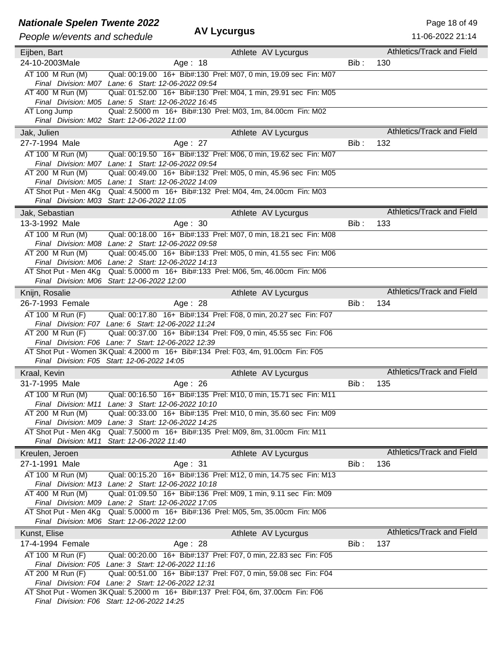### **Nationale Spelen Twente 2022** And All Control of the Page 18 of 49

### *People w/events and schedule* **AV Lycurgus**

| People w/events and schedule | лт шусигуиз                                                                                                                       |         | 11-06-2022 21:14                 |
|------------------------------|-----------------------------------------------------------------------------------------------------------------------------------|---------|----------------------------------|
| Eijben, Bart                 | Athlete AV Lycurgus                                                                                                               |         | Athletics/Track and Field        |
| 24-10-2003Male               | Age: 18                                                                                                                           | Bib:    | 130                              |
| AT 100 M Run (M)             | Qual: 00:19.00 16+ Bib#:130 Prel: M07, 0 min, 19.09 sec Fin: M07                                                                  |         |                                  |
|                              | Final Division: M07 Lane: 6 Start: 12-06-2022 09:54                                                                               |         |                                  |
| AT 400 M Run (M)             | Qual: 01:52.00 16+ Bib#:130 Prel: M04, 1 min, 29.91 sec Fin: M05                                                                  |         |                                  |
|                              | Final Division: M05 Lane: 5 Start: 12-06-2022 16:45                                                                               |         |                                  |
| AT Long Jump                 | Qual: 2.5000 m 16+ Bib#:130 Prel: M03, 1m, 84.00cm Fin: M02                                                                       |         |                                  |
|                              | Final Division: M02 Start: 12-06-2022 11:00                                                                                       |         |                                  |
| Jak, Julien                  | Athlete AV Lycurgus                                                                                                               |         | Athletics/Track and Field        |
| 27-7-1994 Male               | Age: 27                                                                                                                           | Bib:    | 132                              |
| AT 100 M Run (M)             | Qual: 00:19.50 16+ Bib#:132 Prel: M06, 0 min, 19.62 sec Fin: M07                                                                  |         |                                  |
|                              | Final Division: M07 Lane: 1 Start: 12-06-2022 09:54                                                                               |         |                                  |
| AT 200 M Run (M)             | Qual: 00:49.00 16+ Bib#:132 Prel: M05, 0 min, 45.96 sec Fin: M05                                                                  |         |                                  |
|                              | Final Division: M05 Lane: 1 Start: 12-06-2022 14:09                                                                               |         |                                  |
| AT Shot Put - Men 4Kg        | Qual: 4.5000 m 16+ Bib#:132 Prel: M04, 4m, 24.00cm Fin: M03                                                                       |         |                                  |
|                              | Final Division: M03 Start: 12-06-2022 11:05                                                                                       |         |                                  |
| Jak, Sebastian               | Athlete AV Lycurgus                                                                                                               |         | <b>Athletics/Track and Field</b> |
| 13-3-1992 Male               | Age: 30                                                                                                                           | $Bib$ : | 133                              |
| AT 100 M Run (M)             | Qual: 00:18.00 16+ Bib#:133 Prel: M07, 0 min, 18.21 sec Fin: M08                                                                  |         |                                  |
|                              | Final Division: M08 Lane: 2 Start: 12-06-2022 09:58                                                                               |         |                                  |
| AT 200 M Run (M)             | Qual: 00:45.00 16+ Bib#:133 Prel: M05, 0 min, 41.55 sec Fin: M06                                                                  |         |                                  |
|                              | Final Division: M06 Lane: 2 Start: 12-06-2022 14:13                                                                               |         |                                  |
| AT Shot Put - Men 4Kg        | Qual: 5.0000 m 16+ Bib#:133 Prel: M06, 5m, 46.00cm Fin: M06                                                                       |         |                                  |
|                              | Final Division: M06 Start: 12-06-2022 12:00                                                                                       |         |                                  |
| Knijn, Rosalie               | Athlete AV Lycurgus                                                                                                               |         | <b>Athletics/Track and Field</b> |
| 26-7-1993 Female             | Age: 28                                                                                                                           | Bib:    | 134                              |
| AT 100 M Run (F)             | Qual: 00:17.80  16+ Bib#:134  Prel: F08, 0 min, 20.27 sec  Fin: F07                                                               |         |                                  |
|                              | Final Division: F07 Lane: 6 Start: 12-06-2022 11:24                                                                               |         |                                  |
| AT 200 M Run (F)             | Qual: 00:37.00 16+ Bib#:134 Prel: F09, 0 min, 45.55 sec Fin: F06                                                                  |         |                                  |
|                              | Final Division: F06 Lane: 7 Start: 12-06-2022 12:39                                                                               |         |                                  |
|                              | AT Shot Put - Women 3K Qual: 4.2000 m 16+ Bib#:134 Prel: F03, 4m, 91.00cm Fin: F05<br>Final Division: F05 Start: 12-06-2022 14:05 |         |                                  |
|                              |                                                                                                                                   |         | Athletics/Track and Field        |
| Kraal, Kevin                 | Athlete AV Lycurgus                                                                                                               |         |                                  |
| 31-7-1995 Male               | Age: 26                                                                                                                           | Bib:    | 135                              |
| AT 100 M Run (M)             | Qual: 00:16.50 16+ Bib#:135 Prel: M10, 0 min, 15.71 sec Fin: M11                                                                  |         |                                  |
| AT 200 M Run (M)             | Final Division: M11 Lane: 3 Start: 12-06-2022 10:10<br>Qual: 00:33.00 16+ Bib#:135 Prel: M10, 0 min, 35.60 sec Fin: M09           |         |                                  |
|                              | Final Division: M09 Lane: 3 Start: 12-06-2022 14:25                                                                               |         |                                  |
| AT Shot Put - Men 4Kg        | Qual: 7.5000 m 16+ Bib#:135 Prel: M09, 8m, 31.00cm Fin: M11                                                                       |         |                                  |
|                              | Final Division: M11 Start: 12-06-2022 11:40                                                                                       |         |                                  |
| Kreulen, Jeroen              | Athlete AV Lycurgus                                                                                                               |         | Athletics/Track and Field        |
| 27-1-1991 Male               | Age: 31                                                                                                                           | Bib:    | 136                              |
| AT 100 M Run (M)             | Qual: 00:15.20 16+ Bib#:136 Prel: M12, 0 min, 14.75 sec Fin: M13                                                                  |         |                                  |
|                              | Final Division: M13 Lane: 2 Start: 12-06-2022 10:18                                                                               |         |                                  |
| AT 400 M Run (M)             | Qual: 01:09.50 16+ Bib#:136 Prel: M09, 1 min, 9.11 sec Fin: M09                                                                   |         |                                  |
|                              | Final Division: M09 Lane: 2 Start: 12-06-2022 17:05                                                                               |         |                                  |
| AT Shot Put - Men 4Kg        | Qual: 5.0000 m 16+ Bib#:136 Prel: M05, 5m, 35.00cm Fin: M06                                                                       |         |                                  |
|                              | Final Division: M06 Start: 12-06-2022 12:00                                                                                       |         |                                  |
| Kunst, Elise                 | Athlete AV Lycurgus                                                                                                               |         | Athletics/Track and Field        |
| 17-4-1994 Female             | Age: 28                                                                                                                           | Bib:    | 137                              |
| AT 100 M Run (F)             | Qual: 00:20.00 16+ Bib#:137 Prel: F07, 0 min, 22.83 sec Fin: F05                                                                  |         |                                  |
|                              | Final Division: F05 Lane: 3 Start: 12-06-2022 11:16                                                                               |         |                                  |
| AT 200 M Run (F)             | Qual: 00:51.00 16+ Bib#:137 Prel: F07, 0 min, 59.08 sec Fin: F04                                                                  |         |                                  |
|                              | Final Division: F04 Lane: 2 Start: 12-06-2022 12:31                                                                               |         |                                  |
|                              | AT Shot Put - Women 3K Qual: 5.2000 m 16+ Bib#:137 Prel: F04, 6m, 37.00cm Fin: F06                                                |         |                                  |

*Final Division: F06 Start: 12-06-2022 14:25*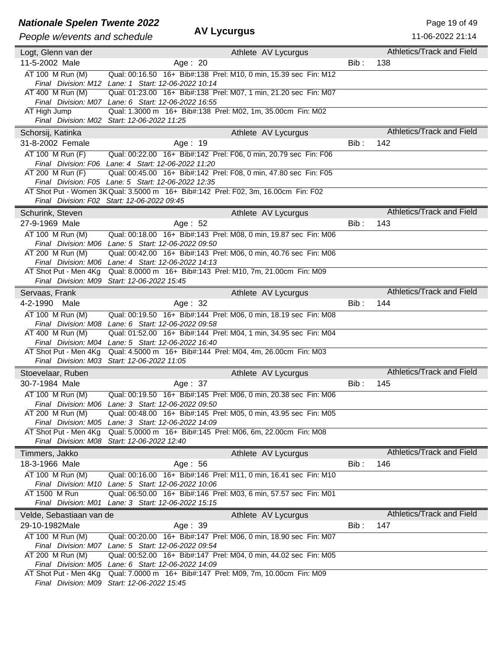### **Nationale Spelen Twente 2022** AM **AND Page 19 of 49** Page 19 of 49

### *People w/events and schedule* **AV Lycurgus**

| People w/events and schedule                 | -yvurguo                                                                                                                |      | 11-06-2022 21:14                 |
|----------------------------------------------|-------------------------------------------------------------------------------------------------------------------------|------|----------------------------------|
| Logt, Glenn van der                          | Athlete AV Lycurgus                                                                                                     |      | Athletics/Track and Field        |
| 11-5-2002 Male                               | Age: 20                                                                                                                 | Bib: | 138                              |
| AT 100 M Run (M)                             | Qual: 00:16.50 16+ Bib#:138 Prel: M10, 0 min, 15.39 sec Fin: M12                                                        |      |                                  |
|                                              | Final Division: M12 Lane: 1 Start: 12-06-2022 10:14                                                                     |      |                                  |
| AT 400 M Run (M)                             | Qual: 01:23.00 16+ Bib#:138 Prel: M07, 1 min, 21.20 sec Fin: M07                                                        |      |                                  |
|                                              | Final Division: M07 Lane: 6 Start: 12-06-2022 16:55                                                                     |      |                                  |
| AT High Jump                                 | Qual: 1.3000 m 16+ Bib#:138 Prel: M02, 1m, 35.00cm Fin: M02                                                             |      |                                  |
|                                              | Final Division: M02 Start: 12-06-2022 11:25                                                                             |      |                                  |
| Schorsij, Katinka                            | Athlete AV Lycurgus                                                                                                     |      | Athletics/Track and Field        |
| 31-8-2002 Female                             | Age: 19                                                                                                                 | Bib: | 142                              |
| AT 100 M Run (F)                             | Qual: 00:22.00 16+ Bib#:142 Prel: F06, 0 min, 20.79 sec Fin: F06                                                        |      |                                  |
|                                              | Final Division: F06 Lane: 4 Start: 12-06-2022 11:20                                                                     |      |                                  |
| AT 200 M Run (F)                             | Qual: 00:45.00 16+ Bib#:142 Prel: F08, 0 min, 47.80 sec Fin: F05<br>Final Division: F05 Lane: 5 Start: 12-06-2022 12:35 |      |                                  |
|                                              | AT Shot Put - Women 3K Qual: 3.5000 m 16+ Bib#:142 Prel: F02, 3m, 16.00cm Fin: F02                                      |      |                                  |
|                                              | Final Division: F02 Start: 12-06-2022 09:45                                                                             |      |                                  |
| Schurink, Steven                             | Athlete AV Lycurgus                                                                                                     |      | Athletics/Track and Field        |
| 27-9-1969 Male                               | Age: 52                                                                                                                 | Bib: | 143                              |
| AT 100 M Run (M)                             | Qual: 00:18.00 16+ Bib#:143 Prel: M08, 0 min, 19.87 sec Fin: M06                                                        |      |                                  |
|                                              | Final Division: M06 Lane: 5 Start: 12-06-2022 09:50                                                                     |      |                                  |
| AT 200 M Run (M)                             | Qual: 00:42.00 16+ Bib#:143 Prel: M06, 0 min, 40.76 sec Fin: M06                                                        |      |                                  |
|                                              | Final Division: M06 Lane: 4 Start: 12-06-2022 14:13                                                                     |      |                                  |
| AT Shot Put - Men 4Kg                        | Qual: 8.0000 m 16+ Bib#:143 Prel: M10, 7m, 21.00cm Fin: M09                                                             |      |                                  |
|                                              | Final Division: M09 Start: 12-06-2022 15:45                                                                             |      |                                  |
| Servaas, Frank                               | Athlete AV Lycurgus                                                                                                     |      | <b>Athletics/Track and Field</b> |
| 4-2-1990 Male                                | Age: 32                                                                                                                 | Bib: | 144                              |
| AT 100 M Run (M)                             | Qual: 00:19.50 16+ Bib#:144 Prel: M06, 0 min, 18.19 sec Fin: M08                                                        |      |                                  |
|                                              |                                                                                                                         |      |                                  |
|                                              | Final Division: M08 Lane: 6 Start: 12-06-2022 09:58                                                                     |      |                                  |
| AT 400 M Run (M)                             | Qual: 01:52.00 16+ Bib#:144 Prel: M04, 1 min, 34.95 sec Fin: M04                                                        |      |                                  |
|                                              | Final Division: M04 Lane: 5 Start: 12-06-2022 16:40                                                                     |      |                                  |
| AT Shot Put - Men 4Kg                        | Qual: 4.5000 m 16+ Bib#:144 Prel: M04, 4m, 26.00cm Fin: M03                                                             |      |                                  |
|                                              | Final Division: M03 Start: 12-06-2022 11:05                                                                             |      |                                  |
| Stoevelaar, Ruben                            | Athlete AV Lycurgus                                                                                                     |      | Athletics/Track and Field        |
| 30-7-1984 Male                               | Age: 37                                                                                                                 | Bib: | 145                              |
| AT 100 M Run (M)                             | Qual: 00:19.50 16+ Bib#:145 Prel: M06, 0 min, 20.38 sec Fin: M06                                                        |      |                                  |
|                                              | Final Division: M06 Lane: 3 Start: 12-06-2022 09:50                                                                     |      |                                  |
| AT 200 M Run (M)                             | Qual: 00:48.00 16+ Bib#:145 Prel: M05, 0 min, 43.95 sec Fin: M05<br>Final Division: M05 Lane: 3 Start: 12-06-2022 14:09 |      |                                  |
| AT Shot Put - Men 4Kg                        | Qual: 5.0000 m 16+ Bib#:145 Prel: M06, 6m, 22.00cm Fin: M08                                                             |      |                                  |
|                                              | Final Division: M08 Start: 12-06-2022 12:40                                                                             |      |                                  |
| Timmers, Jakko                               | Athlete AV Lycurgus                                                                                                     |      | Athletics/Track and Field        |
| 18-3-1966 Male                               | Age: 56                                                                                                                 | Bib: | 146                              |
| AT 100 M Run (M)                             | Qual: 00:16.00 16+ Bib#:146 Prel: M11, 0 min, 16.41 sec Fin: M10                                                        |      |                                  |
|                                              | Final Division: M10 Lane: 5 Start: 12-06-2022 10:06                                                                     |      |                                  |
| AT 1500 M Run                                | Qual: 06:50.00 16+ Bib#:146 Prel: M03, 6 min, 57.57 sec Fin: M01                                                        |      |                                  |
|                                              | Final Division: M01 Lane: 3 Start: 12-06-2022 15:15                                                                     |      |                                  |
| Velde, Sebastiaan van de                     | Athlete AV Lycurgus                                                                                                     |      | Athletics/Track and Field        |
| 29-10-1982Male                               | Age: 39                                                                                                                 | Bib: | 147                              |
| AT 100 M Run (M)                             | Qual: 00:20.00 16+ Bib#:147 Prel: M06, 0 min, 18.90 sec Fin: M07                                                        |      |                                  |
|                                              | Final Division: M07 Lane: 5 Start: 12-06-2022 09:54                                                                     |      |                                  |
| AT 200 M Run (M)                             | Qual: 00:52.00 16+ Bib#:147 Prel: M04, 0 min, 44.02 sec Fin: M05                                                        |      |                                  |
| Final Division: M05<br>AT Shot Put - Men 4Kg | Lane: 6 Start: 12-06-2022 14:09<br>Qual: 7.0000 m 16+ Bib#:147 Prel: M09, 7m, 10.00cm Fin: M09                          |      |                                  |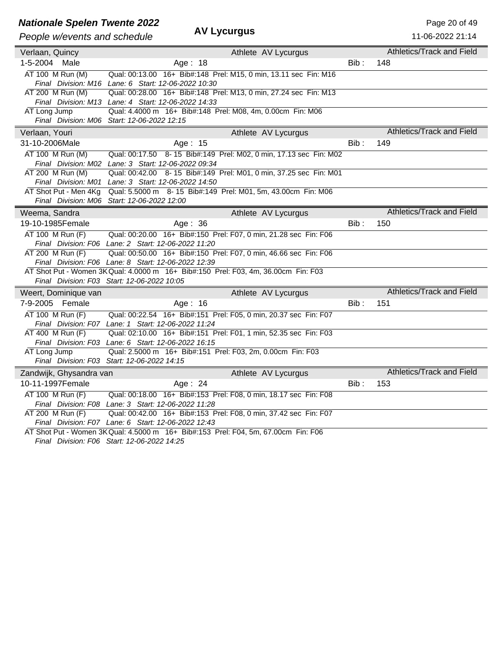# **Nationale Spelen Twente 2022**<br>**AV Lycurgus** Page 20 of 49

| People w/events and schedule | <b>AV Lycurgus</b>                                                                                                                        |      | 11-06-2022 21:14                 |  |
|------------------------------|-------------------------------------------------------------------------------------------------------------------------------------------|------|----------------------------------|--|
| Verlaan, Quincy              | Athlete AV Lycurgus                                                                                                                       |      | <b>Athletics/Track and Field</b> |  |
| 1-5-2004 Male                | Age: 18                                                                                                                                   | Bib: | 148                              |  |
| AT 100 M Run (M)             | Qual: 00:13.00 16+ Bib#:148 Prel: M15, 0 min, 13.11 sec Fin: M16                                                                          |      |                                  |  |
|                              | Final Division: M16 Lane: 6 Start: 12-06-2022 10:30                                                                                       |      |                                  |  |
| AT 200 M Run (M)             | Qual: 00:28.00 16+ Bib#:148 Prel: M13, 0 min, 27.24 sec Fin: M13                                                                          |      |                                  |  |
|                              | Final Division: M13 Lane: 4 Start: 12-06-2022 14:33                                                                                       |      |                                  |  |
| AT Long Jump                 | Qual: 4.4000 m 16+ Bib#:148 Prel: M08, 4m, 0.00cm Fin: M06<br>Final Division: M06 Start: 12-06-2022 12:15                                 |      |                                  |  |
|                              |                                                                                                                                           |      | Athletics/Track and Field        |  |
| Verlaan, Youri               | Athlete AV Lycurgus                                                                                                                       |      |                                  |  |
| 31-10-2006Male               | Age: 15                                                                                                                                   | Bib: | 149                              |  |
| AT 100 M Run (M)             | Qual: 00:17.50 8-15 Bib#:149 Prel: M02, 0 min, 17.13 sec Fin: M02                                                                         |      |                                  |  |
| AT 200 M Run (M)             | Final Division: M02 Lane: 3 Start: 12-06-2022 09:34<br>Qual: 00:42.00 8-15 Bib#:149 Prel: M01, 0 min, 37.25 sec Fin: M01                  |      |                                  |  |
|                              | Final Division: M01 Lane: 3 Start: 12-06-2022 14:50                                                                                       |      |                                  |  |
| AT Shot Put - Men 4Kg        | Qual: 5.5000 m 8-15 Bib#:149 Prel: M01, 5m, 43.00cm Fin: M06                                                                              |      |                                  |  |
|                              | Final Division: M06 Start: 12-06-2022 12:00                                                                                               |      |                                  |  |
| Weema, Sandra                | Athlete AV Lycurgus                                                                                                                       |      | <b>Athletics/Track and Field</b> |  |
| 19-10-1985Female             | Age: 36                                                                                                                                   | Bib: | 150                              |  |
| AT 100 M Run (F)             | Qual: 00:20.00 16+ Bib#:150 Prel: F07, 0 min, 21.28 sec Fin: F06                                                                          |      |                                  |  |
|                              | Final Division: F06 Lane: 2 Start: 12-06-2022 11:20                                                                                       |      |                                  |  |
| AT 200 M Run (F)             | Qual: 00:50.00 16+ Bib#:150 Prel: F07, 0 min, 46.66 sec Fin: F06                                                                          |      |                                  |  |
|                              | Final Division: F06 Lane: 8 Start: 12-06-2022 12:39                                                                                       |      |                                  |  |
|                              | AT Shot Put - Women 3K Qual: 4.0000 m 16+ Bib#:150 Prel: F03, 4m, 36.00cm Fin: F03<br>Final Division: F03 Start: 12-06-2022 10:05         |      |                                  |  |
|                              |                                                                                                                                           |      | <b>Athletics/Track and Field</b> |  |
| Weert, Dominique van         | Athlete AV Lycurgus                                                                                                                       |      |                                  |  |
| 7-9-2005 Female              | Age: 16                                                                                                                                   | Bib: | 151                              |  |
| AT 100 M Run (F)             | Qual: 00:22.54 16+ Bib#:151 Prel: F05, 0 min, 20.37 sec Fin: F07                                                                          |      |                                  |  |
| AT 400 M Run (F)             | Final Division: F07 Lane: 1 Start: 12-06-2022 11:24<br>Qual: 02:10.00 16+ Bib#:151 Prel: F01, 1 min, 52.35 sec Fin: F03                   |      |                                  |  |
|                              | Final Division: F03 Lane: 6 Start: 12-06-2022 16:15                                                                                       |      |                                  |  |
| AT Long Jump                 | Qual: 2.5000 m 16+ Bib#:151 Prel: F03, 2m, 0.00cm Fin: F03                                                                                |      |                                  |  |
|                              | Final Division: F03 Start: 12-06-2022 14:15                                                                                               |      |                                  |  |
| Zandwijk, Ghysandra van      | Athlete AV Lycurgus                                                                                                                       |      | Athletics/Track and Field        |  |
| 10-11-1997Female             | Age: 24                                                                                                                                   | Bib: | 153                              |  |
| AT 100 M Run (F)             | Qual: 00:18.00 16+ Bib#:153 Prel: F08, 0 min, 18.17 sec Fin: F08                                                                          |      |                                  |  |
|                              | Final Division: F08 Lane: 3 Start: 12-06-2022 11:28                                                                                       |      |                                  |  |
| AT 200 M Run (F)             | Qual: 00:42.00 16+ Bib#:153 Prel: F08, 0 min, 37.42 sec Fin: F07                                                                          |      |                                  |  |
|                              | Final Division: F07 Lane: 6 Start: 12-06-2022 12:43<br>AT Shot Put - Women 3K Qual: 4.5000 m 16+ Bib#:153 Prel: F04, 5m, 67.00cm Fin: F06 |      |                                  |  |
|                              |                                                                                                                                           |      |                                  |  |

*Final Division: F06 Start: 12-06-2022 14:25*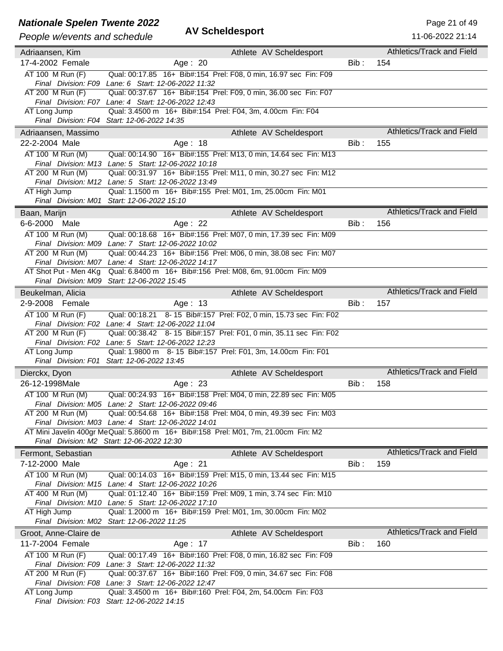## **Nationale Spelen Twente 2022**<br>**AV Scheldesport Page 21 of 49** Page 21 of 49

### *People w/events and schedule* **AV Scheldesport**

| People w/events and schedule | <b>AV Scheldesport</b>                                                                                                   |       | 11-06-2022 21:14          |
|------------------------------|--------------------------------------------------------------------------------------------------------------------------|-------|---------------------------|
|                              |                                                                                                                          |       | Athletics/Track and Field |
| Adriaansen, Kim              | Athlete AV Scheldesport                                                                                                  |       |                           |
| 17-4-2002 Female             | Age: 20                                                                                                                  | Bib:  | 154                       |
| AT 100 M Run (F)             | Qual: 00:17.85 16+ Bib#:154 Prel: F08, 0 min, 16.97 sec Fin: F09                                                         |       |                           |
|                              | Final Division: F09 Lane: 6 Start: 12-06-2022 11:32                                                                      |       |                           |
| $AT 200$ M Run (F)           | Qual: 00:37.67 16+ Bib#:154 Prel: F09, 0 min, 36.00 sec Fin: F07                                                         |       |                           |
| AT Long Jump                 | Final Division: F07 Lane: 4 Start: 12-06-2022 12:43<br>Qual: 3.4500 m 16+ Bib#:154 Prel: F04, 3m, 4.00cm Fin: F04        |       |                           |
|                              | Final Division: F04 Start: 12-06-2022 14:35                                                                              |       |                           |
| Adriaansen, Massimo          |                                                                                                                          |       | Athletics/Track and Field |
|                              | Athlete AV Scheldesport                                                                                                  |       |                           |
| 22-2-2004 Male               | Age: 18                                                                                                                  | Bib:  | 155                       |
| AT 100 M Run (M)             | Qual: 00:14.90 16+ Bib#:155 Prel: M13, 0 min, 14.64 sec Fin: M13                                                         |       |                           |
|                              | Final Division: M13 Lane: 5 Start: 12-06-2022 10:18                                                                      |       |                           |
| AT 200 M Run (M)             | Qual: 00:31.97 16+ Bib#:155 Prel: M11, 0 min, 30.27 sec Fin: M12<br>Final Division: M12 Lane: 5 Start: 12-06-2022 13:49  |       |                           |
| AT High Jump                 | Qual: 1.1500 m 16+ Bib#:155 Prel: M01, 1m, 25.00cm Fin: M01                                                              |       |                           |
|                              | Final Division: M01 Start: 12-06-2022 15:10                                                                              |       |                           |
| Baan, Marijn                 | Athlete AV Scheldesport                                                                                                  |       | Athletics/Track and Field |
| 6-6-2000 Male                | Age: $22$                                                                                                                | Bib:  | 156                       |
|                              |                                                                                                                          |       |                           |
| AT 100 M Run (M)             | Qual: 00:18.68 16+ Bib#:156 Prel: M07, 0 min, 17.39 sec Fin: M09                                                         |       |                           |
| AT 200 M Run (M)             | Final Division: M09 Lane: 7 Start: 12-06-2022 10:02<br>Qual: 00:44.23 16+ Bib#:156 Prel: M06, 0 min, 38.08 sec Fin: M07  |       |                           |
|                              | Final Division: M07 Lane: 4 Start: 12-06-2022 14:17                                                                      |       |                           |
| AT Shot Put - Men 4Kg        | Qual: 6.8400 m 16+ Bib#:156 Prel: M08, 6m, 91.00cm Fin: M09                                                              |       |                           |
|                              | Final Division: M09 Start: 12-06-2022 15:45                                                                              |       |                           |
| Beukelman, Alicia            | Athlete AV Scheldesport                                                                                                  |       | Athletics/Track and Field |
| 2-9-2008 Female              | Age: 13                                                                                                                  | Bib:  | 157                       |
|                              |                                                                                                                          |       |                           |
| AT 100 M Run (F)             | Qual: 00:18.21 8-15 Bib#:157 Prel: F02, 0 min, 15.73 sec Fin: F02<br>Final Division: F02 Lane: 4 Start: 12-06-2022 11:04 |       |                           |
| AT 200 M Run (F)             | Qual: 00:38.42 8-15 Bib#:157 Prel: F01, 0 min, 35.11 sec Fin: F02                                                        |       |                           |
|                              | Final Division: F02 Lane: 5 Start: 12-06-2022 12:23                                                                      |       |                           |
| AT Long Jump                 | Qual: 1.9800 m 8-15 Bib#:157 Prel: F01, 3m, 14.00cm Fin: F01                                                             |       |                           |
|                              | Final Division: F01 Start: 12-06-2022 13:45                                                                              |       |                           |
| Dierckx, Dyon                | Athlete AV Scheldesport                                                                                                  |       | Athletics/Track and Field |
| 26-12-1998Male               | Age: 23                                                                                                                  | Bib : | 158                       |
| AT 100 M Run (M)             | Qual: 00:24.93 16+ Bib#:158 Prel: M04, 0 min, 22.89 sec Fin: M05                                                         |       |                           |
|                              | Final Division: M05 Lane: 2 Start: 12-06-2022 09:46                                                                      |       |                           |
| AT 200 M Run (M)             | Qual: 00:54.68 16+ Bib#:158 Prel: M04, 0 min, 49.39 sec Fin: M03                                                         |       |                           |
|                              | Final Division: M03 Lane: 4 Start: 12-06-2022 14:01                                                                      |       |                           |
|                              | AT Mini Javelin 400gr Me Qual: 5.8600 m 16+ Bib#:158 Prel: M01, 7m, 21.00cm Fin: M2                                      |       |                           |
|                              | Final Division: M2 Start: 12-06-2022 12:30                                                                               |       |                           |
| Fermont, Sebastian           | Athlete AV Scheldesport                                                                                                  |       | Athletics/Track and Field |
| 7-12-2000 Male               | Age: 21                                                                                                                  | Bib : | 159                       |
| AT 100 M Run (M)             | Qual: 00:14.03 16+ Bib#:159 Prel: M15, 0 min, 13.44 sec Fin: M15                                                         |       |                           |
|                              | Final Division: M15 Lane: 4 Start: 12-06-2022 10:26                                                                      |       |                           |
| AT 400 M Run (M)             | Qual: 01:12.40 16+ Bib#:159 Prel: M09, 1 min, 3.74 sec Fin: M10                                                          |       |                           |
|                              | Final Division: M10 Lane: 5 Start: 12-06-2022 17:10                                                                      |       |                           |
| AT High Jump                 | Qual: 1.2000 m 16+ Bib#:159 Prel: M01, 1m, 30.00cm Fin: M02                                                              |       |                           |
|                              | Final Division: M02 Start: 12-06-2022 11:25                                                                              |       |                           |
| Groot, Anne-Claire de        | Athlete AV Scheldesport                                                                                                  |       | Athletics/Track and Field |
| 11-7-2004 Female             | Age: 17                                                                                                                  | Bib:  | 160                       |
| AT 100 M Run (F)             | Qual: 00:17.49 16+ Bib#:160 Prel: F08, 0 min, 16.82 sec Fin: F09                                                         |       |                           |
|                              | Final Division: F09 Lane: 3 Start: 12-06-2022 11:32                                                                      |       |                           |
| AT 200 M Run (F)             | Qual: 00:37.67 16+ Bib#:160 Prel: F09, 0 min, 34.67 sec Fin: F08                                                         |       |                           |
|                              | Final Division: F08 Lane: 3 Start: 12-06-2022 12:47                                                                      |       |                           |
| AT Long Jump                 | Qual: 3.4500 m 16+ Bib#:160 Prel: F04, 2m, 54.00cm Fin: F03                                                              |       |                           |
|                              | Final Division: F03 Start: 12-06-2022 14:15                                                                              |       |                           |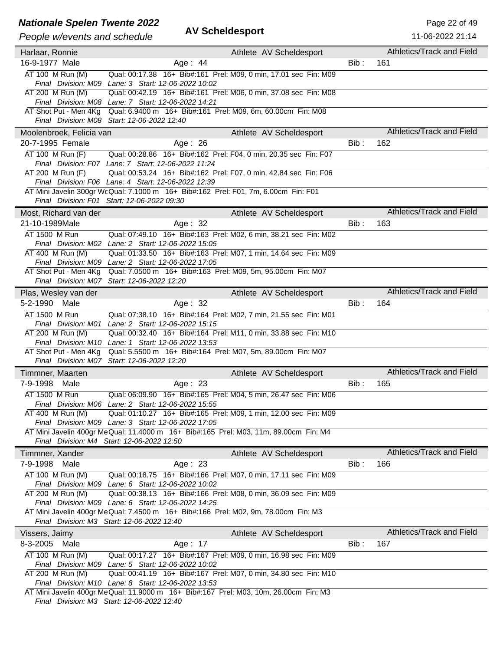## **Nationale Spelen Twente 2022**<br>**AV Scheldesport Page 22 of 49** Page 22 of 49

| Athletics/Track and Field<br>Athlete AV Scheldesport<br>Harlaar, Ronnie<br>16-9-1977 Male<br>Age: 44<br>$Bib$ :<br>161<br>AT 100 M Run (M)<br>Qual: 00:17.38 16+ Bib#:161 Prel: M09, 0 min, 17.01 sec Fin: M09<br>Final Division: M09 Lane: 3 Start: 12-06-2022 10:02<br>AT 200 M Run (M)<br>Qual: 00:42.19 16+ Bib#:161 Prel: M06, 0 min, 37.08 sec Fin: M08<br>Final Division: M08 Lane: 7 Start: 12-06-2022 14:21<br>AT Shot Put - Men 4Kg Qual: 6.9400 m 16+ Bib#:161 Prel: M09, 6m, 60.00cm Fin: M08<br>Final Division: M08 Start: 12-06-2022 12:40<br>Athletics/Track and Field<br>Moolenbroek, Felicia van<br>Athlete AV Scheldesport<br>20-7-1995 Female<br>162<br>Age: $26$<br>Bib:<br>AT 100 M Run (F)<br>Qual: 00:28.86 16+ Bib#:162 Prel: F04, 0 min, 20.35 sec Fin: F07<br>Final Division: F07 Lane: 7 Start: 12-06-2022 11:24<br>Qual: 00:53.24 16+ Bib#:162 Prel: F07, 0 min, 42.84 sec Fin: F06<br>AT 200 M Run (F)<br>Final Division: F06 Lane: 4 Start: 12-06-2022 12:39<br>AT Mini Javelin 300gr WcQual: 7.1000 m 16+ Bib#:162 Prel: F01, 7m, 6.00cm Fin: F01<br>Final Division: F01 Start: 12-06-2022 09:30<br>Athletics/Track and Field<br>Most, Richard van der<br>Athlete AV Scheldesport<br>21-10-1989Male<br>Bib:<br>163<br>Age: $32$<br>AT 1500 M Run<br>Qual: 07:49.10 16+ Bib#:163 Prel: M02, 6 min, 38.21 sec Fin: M02<br>Final Division: M02 Lane: 2 Start: 12-06-2022 15:05<br>Qual: 01:33.50 16+ Bib#:163 Prel: M07, 1 min, 14.64 sec Fin: M09<br>AT 400 M Run (M)<br>Final Division: M09 Lane: 2 Start: 12-06-2022 17:05<br>AT Shot Put - Men 4Kg<br>Qual: 7.0500 m 16+ Bib#:163 Prel: M09, 5m, 95.00cm Fin: M07<br>Final Division: M07 Start: 12-06-2022 12:20<br>Athletics/Track and Field<br>Athlete AV Scheldesport<br>Plas, Wesley van der<br>$Bib$ :<br>5-2-1990 Male<br>Age: 32<br>164<br>AT 1500 M Run<br>Qual: 07:38.10 16+ Bib#:164 Prel: M02, 7 min, 21.55 sec Fin: M01<br>Final Division: M01 Lane: 2 Start: 12-06-2022 15:15<br>AT 200 M Run (M)<br>Qual: 00:32.40 16+ Bib#:164 Prel: M11, 0 min, 33.88 sec Fin: M10<br>Final Division: M10 Lane: 1 Start: 12-06-2022 13:53<br>Qual: 5.5500 m 16+ Bib#:164 Prel: M07, 5m, 89.00cm Fin: M07<br>AT Shot Put - Men 4Kg<br>Final Division: M07 Start: 12-06-2022 12:20<br>Athletics/Track and Field<br>Athlete AV Scheldesport<br>Timmner, Maarten<br>7-9-1998<br>Male<br>Age: 23<br>Bib :<br>165<br>AT 1500 M Run<br>Qual: 06:09.90 16+ Bib#:165 Prel: M04, 5 min, 26.47 sec Fin: M06<br>Final Division: M06 Lane: 2 Start: 12-06-2022 15:55<br>AT 400 M Run (M)<br>Qual: 01:10.27 16+ Bib#:165 Prel: M09, 1 min, 12.00 sec Fin: M09<br>Final Division: M09 Lane: 3 Start: 12-06-2022 17:05<br>AT Mini Javelin 400gr MeQual: 11.4000 m 16+ Bib#:165 Prel: M03, 11m, 89.00cm Fin: M4<br>Final Division: M4 Start: 12-06-2022 12:50<br>Athletics/Track and Field<br>Timmner, Xander<br>Athlete AV Scheldesport<br>7-9-1998<br>Age: $23$<br>166<br>Male<br>Bib :<br>AT 100 M Run (M)<br>Qual: 00:18.75 16+ Bib#:166 Prel: M07, 0 min, 17.11 sec Fin: M09<br>Final Division: M09 Lane: 6 Start: 12-06-2022 10:02<br>AT 200 M Run (M)<br>Qual: 00:38.13 16+ Bib#:166 Prel: M08, 0 min, 36.09 sec Fin: M09<br>Final Division: M09 Lane: 6 Start: 12-06-2022 14:25<br>AT Mini Javelin 400gr MeQual: 7.4500 m 16+ Bib#:166 Prel: M02, 9m, 78.00cm Fin: M3<br>Final Division: M3 Start: 12-06-2022 12:40<br>Athletics/Track and Field<br>Athlete AV Scheldesport<br>Vissers, Jaimy<br>8-3-2005 Male<br>Age: 17<br>Bib:<br>167<br>AT 100 M Run (M)<br>Qual: 00:17.27 16+ Bib#:167 Prel: M09, 0 min, 16.98 sec Fin: M09<br>Final Division: M09 Lane: 5 Start: 12-06-2022 10:02<br>AT 200 M Run (M)<br>Qual: 00:41.19 16+ Bib#:167 Prel: M07, 0 min, 34.80 sec Fin: M10<br>Final Division: M10 Lane: 8 Start: 12-06-2022 13:53<br>AT Mini Javelin 400gr MeQual: 11.9000 m 16+ Bib#:167 Prel: M03, 10m, 26.00cm Fin: M3<br>Final Division: M3 Start: 12-06-2022 12:40 | People w/events and schedule | <b>AV Scheldesport</b> | 11-06-2022 21:14 |
|-----------------------------------------------------------------------------------------------------------------------------------------------------------------------------------------------------------------------------------------------------------------------------------------------------------------------------------------------------------------------------------------------------------------------------------------------------------------------------------------------------------------------------------------------------------------------------------------------------------------------------------------------------------------------------------------------------------------------------------------------------------------------------------------------------------------------------------------------------------------------------------------------------------------------------------------------------------------------------------------------------------------------------------------------------------------------------------------------------------------------------------------------------------------------------------------------------------------------------------------------------------------------------------------------------------------------------------------------------------------------------------------------------------------------------------------------------------------------------------------------------------------------------------------------------------------------------------------------------------------------------------------------------------------------------------------------------------------------------------------------------------------------------------------------------------------------------------------------------------------------------------------------------------------------------------------------------------------------------------------------------------------------------------------------------------------------------------------------------------------------------------------------------------------------------------------------------------------------------------------------------------------------------------------------------------------------------------------------------------------------------------------------------------------------------------------------------------------------------------------------------------------------------------------------------------------------------------------------------------------------------------------------------------------------------------------------------------------------------------------------------------------------------------------------------------------------------------------------------------------------------------------------------------------------------------------------------------------------------------------------------------------------------------------------------------------------------------------------------------------------------------------------------------------------------------------------------------------------------------------------------------------------------------------------------------------------------------------------------------------------------------------------------------------------------------------------------------------------------------------------------------------------------------------------------------------------------------------------------------------------------------------------------------------------------------------------------------------------------------------------------------------------------------------------------------------------------------------------------------------------------------------------------------------------------------------------------|------------------------------|------------------------|------------------|
|                                                                                                                                                                                                                                                                                                                                                                                                                                                                                                                                                                                                                                                                                                                                                                                                                                                                                                                                                                                                                                                                                                                                                                                                                                                                                                                                                                                                                                                                                                                                                                                                                                                                                                                                                                                                                                                                                                                                                                                                                                                                                                                                                                                                                                                                                                                                                                                                                                                                                                                                                                                                                                                                                                                                                                                                                                                                                                                                                                                                                                                                                                                                                                                                                                                                                                                                                                                                                                                                                                                                                                                                                                                                                                                                                                                                                                                                                                                                                     |                              |                        |                  |
|                                                                                                                                                                                                                                                                                                                                                                                                                                                                                                                                                                                                                                                                                                                                                                                                                                                                                                                                                                                                                                                                                                                                                                                                                                                                                                                                                                                                                                                                                                                                                                                                                                                                                                                                                                                                                                                                                                                                                                                                                                                                                                                                                                                                                                                                                                                                                                                                                                                                                                                                                                                                                                                                                                                                                                                                                                                                                                                                                                                                                                                                                                                                                                                                                                                                                                                                                                                                                                                                                                                                                                                                                                                                                                                                                                                                                                                                                                                                                     |                              |                        |                  |
|                                                                                                                                                                                                                                                                                                                                                                                                                                                                                                                                                                                                                                                                                                                                                                                                                                                                                                                                                                                                                                                                                                                                                                                                                                                                                                                                                                                                                                                                                                                                                                                                                                                                                                                                                                                                                                                                                                                                                                                                                                                                                                                                                                                                                                                                                                                                                                                                                                                                                                                                                                                                                                                                                                                                                                                                                                                                                                                                                                                                                                                                                                                                                                                                                                                                                                                                                                                                                                                                                                                                                                                                                                                                                                                                                                                                                                                                                                                                                     |                              |                        |                  |
|                                                                                                                                                                                                                                                                                                                                                                                                                                                                                                                                                                                                                                                                                                                                                                                                                                                                                                                                                                                                                                                                                                                                                                                                                                                                                                                                                                                                                                                                                                                                                                                                                                                                                                                                                                                                                                                                                                                                                                                                                                                                                                                                                                                                                                                                                                                                                                                                                                                                                                                                                                                                                                                                                                                                                                                                                                                                                                                                                                                                                                                                                                                                                                                                                                                                                                                                                                                                                                                                                                                                                                                                                                                                                                                                                                                                                                                                                                                                                     |                              |                        |                  |
|                                                                                                                                                                                                                                                                                                                                                                                                                                                                                                                                                                                                                                                                                                                                                                                                                                                                                                                                                                                                                                                                                                                                                                                                                                                                                                                                                                                                                                                                                                                                                                                                                                                                                                                                                                                                                                                                                                                                                                                                                                                                                                                                                                                                                                                                                                                                                                                                                                                                                                                                                                                                                                                                                                                                                                                                                                                                                                                                                                                                                                                                                                                                                                                                                                                                                                                                                                                                                                                                                                                                                                                                                                                                                                                                                                                                                                                                                                                                                     |                              |                        |                  |
|                                                                                                                                                                                                                                                                                                                                                                                                                                                                                                                                                                                                                                                                                                                                                                                                                                                                                                                                                                                                                                                                                                                                                                                                                                                                                                                                                                                                                                                                                                                                                                                                                                                                                                                                                                                                                                                                                                                                                                                                                                                                                                                                                                                                                                                                                                                                                                                                                                                                                                                                                                                                                                                                                                                                                                                                                                                                                                                                                                                                                                                                                                                                                                                                                                                                                                                                                                                                                                                                                                                                                                                                                                                                                                                                                                                                                                                                                                                                                     |                              |                        |                  |
|                                                                                                                                                                                                                                                                                                                                                                                                                                                                                                                                                                                                                                                                                                                                                                                                                                                                                                                                                                                                                                                                                                                                                                                                                                                                                                                                                                                                                                                                                                                                                                                                                                                                                                                                                                                                                                                                                                                                                                                                                                                                                                                                                                                                                                                                                                                                                                                                                                                                                                                                                                                                                                                                                                                                                                                                                                                                                                                                                                                                                                                                                                                                                                                                                                                                                                                                                                                                                                                                                                                                                                                                                                                                                                                                                                                                                                                                                                                                                     |                              |                        |                  |
|                                                                                                                                                                                                                                                                                                                                                                                                                                                                                                                                                                                                                                                                                                                                                                                                                                                                                                                                                                                                                                                                                                                                                                                                                                                                                                                                                                                                                                                                                                                                                                                                                                                                                                                                                                                                                                                                                                                                                                                                                                                                                                                                                                                                                                                                                                                                                                                                                                                                                                                                                                                                                                                                                                                                                                                                                                                                                                                                                                                                                                                                                                                                                                                                                                                                                                                                                                                                                                                                                                                                                                                                                                                                                                                                                                                                                                                                                                                                                     |                              |                        |                  |
|                                                                                                                                                                                                                                                                                                                                                                                                                                                                                                                                                                                                                                                                                                                                                                                                                                                                                                                                                                                                                                                                                                                                                                                                                                                                                                                                                                                                                                                                                                                                                                                                                                                                                                                                                                                                                                                                                                                                                                                                                                                                                                                                                                                                                                                                                                                                                                                                                                                                                                                                                                                                                                                                                                                                                                                                                                                                                                                                                                                                                                                                                                                                                                                                                                                                                                                                                                                                                                                                                                                                                                                                                                                                                                                                                                                                                                                                                                                                                     |                              |                        |                  |
|                                                                                                                                                                                                                                                                                                                                                                                                                                                                                                                                                                                                                                                                                                                                                                                                                                                                                                                                                                                                                                                                                                                                                                                                                                                                                                                                                                                                                                                                                                                                                                                                                                                                                                                                                                                                                                                                                                                                                                                                                                                                                                                                                                                                                                                                                                                                                                                                                                                                                                                                                                                                                                                                                                                                                                                                                                                                                                                                                                                                                                                                                                                                                                                                                                                                                                                                                                                                                                                                                                                                                                                                                                                                                                                                                                                                                                                                                                                                                     |                              |                        |                  |
|                                                                                                                                                                                                                                                                                                                                                                                                                                                                                                                                                                                                                                                                                                                                                                                                                                                                                                                                                                                                                                                                                                                                                                                                                                                                                                                                                                                                                                                                                                                                                                                                                                                                                                                                                                                                                                                                                                                                                                                                                                                                                                                                                                                                                                                                                                                                                                                                                                                                                                                                                                                                                                                                                                                                                                                                                                                                                                                                                                                                                                                                                                                                                                                                                                                                                                                                                                                                                                                                                                                                                                                                                                                                                                                                                                                                                                                                                                                                                     |                              |                        |                  |
|                                                                                                                                                                                                                                                                                                                                                                                                                                                                                                                                                                                                                                                                                                                                                                                                                                                                                                                                                                                                                                                                                                                                                                                                                                                                                                                                                                                                                                                                                                                                                                                                                                                                                                                                                                                                                                                                                                                                                                                                                                                                                                                                                                                                                                                                                                                                                                                                                                                                                                                                                                                                                                                                                                                                                                                                                                                                                                                                                                                                                                                                                                                                                                                                                                                                                                                                                                                                                                                                                                                                                                                                                                                                                                                                                                                                                                                                                                                                                     |                              |                        |                  |
|                                                                                                                                                                                                                                                                                                                                                                                                                                                                                                                                                                                                                                                                                                                                                                                                                                                                                                                                                                                                                                                                                                                                                                                                                                                                                                                                                                                                                                                                                                                                                                                                                                                                                                                                                                                                                                                                                                                                                                                                                                                                                                                                                                                                                                                                                                                                                                                                                                                                                                                                                                                                                                                                                                                                                                                                                                                                                                                                                                                                                                                                                                                                                                                                                                                                                                                                                                                                                                                                                                                                                                                                                                                                                                                                                                                                                                                                                                                                                     |                              |                        |                  |
|                                                                                                                                                                                                                                                                                                                                                                                                                                                                                                                                                                                                                                                                                                                                                                                                                                                                                                                                                                                                                                                                                                                                                                                                                                                                                                                                                                                                                                                                                                                                                                                                                                                                                                                                                                                                                                                                                                                                                                                                                                                                                                                                                                                                                                                                                                                                                                                                                                                                                                                                                                                                                                                                                                                                                                                                                                                                                                                                                                                                                                                                                                                                                                                                                                                                                                                                                                                                                                                                                                                                                                                                                                                                                                                                                                                                                                                                                                                                                     |                              |                        |                  |
|                                                                                                                                                                                                                                                                                                                                                                                                                                                                                                                                                                                                                                                                                                                                                                                                                                                                                                                                                                                                                                                                                                                                                                                                                                                                                                                                                                                                                                                                                                                                                                                                                                                                                                                                                                                                                                                                                                                                                                                                                                                                                                                                                                                                                                                                                                                                                                                                                                                                                                                                                                                                                                                                                                                                                                                                                                                                                                                                                                                                                                                                                                                                                                                                                                                                                                                                                                                                                                                                                                                                                                                                                                                                                                                                                                                                                                                                                                                                                     |                              |                        |                  |
|                                                                                                                                                                                                                                                                                                                                                                                                                                                                                                                                                                                                                                                                                                                                                                                                                                                                                                                                                                                                                                                                                                                                                                                                                                                                                                                                                                                                                                                                                                                                                                                                                                                                                                                                                                                                                                                                                                                                                                                                                                                                                                                                                                                                                                                                                                                                                                                                                                                                                                                                                                                                                                                                                                                                                                                                                                                                                                                                                                                                                                                                                                                                                                                                                                                                                                                                                                                                                                                                                                                                                                                                                                                                                                                                                                                                                                                                                                                                                     |                              |                        |                  |
|                                                                                                                                                                                                                                                                                                                                                                                                                                                                                                                                                                                                                                                                                                                                                                                                                                                                                                                                                                                                                                                                                                                                                                                                                                                                                                                                                                                                                                                                                                                                                                                                                                                                                                                                                                                                                                                                                                                                                                                                                                                                                                                                                                                                                                                                                                                                                                                                                                                                                                                                                                                                                                                                                                                                                                                                                                                                                                                                                                                                                                                                                                                                                                                                                                                                                                                                                                                                                                                                                                                                                                                                                                                                                                                                                                                                                                                                                                                                                     |                              |                        |                  |
|                                                                                                                                                                                                                                                                                                                                                                                                                                                                                                                                                                                                                                                                                                                                                                                                                                                                                                                                                                                                                                                                                                                                                                                                                                                                                                                                                                                                                                                                                                                                                                                                                                                                                                                                                                                                                                                                                                                                                                                                                                                                                                                                                                                                                                                                                                                                                                                                                                                                                                                                                                                                                                                                                                                                                                                                                                                                                                                                                                                                                                                                                                                                                                                                                                                                                                                                                                                                                                                                                                                                                                                                                                                                                                                                                                                                                                                                                                                                                     |                              |                        |                  |
|                                                                                                                                                                                                                                                                                                                                                                                                                                                                                                                                                                                                                                                                                                                                                                                                                                                                                                                                                                                                                                                                                                                                                                                                                                                                                                                                                                                                                                                                                                                                                                                                                                                                                                                                                                                                                                                                                                                                                                                                                                                                                                                                                                                                                                                                                                                                                                                                                                                                                                                                                                                                                                                                                                                                                                                                                                                                                                                                                                                                                                                                                                                                                                                                                                                                                                                                                                                                                                                                                                                                                                                                                                                                                                                                                                                                                                                                                                                                                     |                              |                        |                  |
|                                                                                                                                                                                                                                                                                                                                                                                                                                                                                                                                                                                                                                                                                                                                                                                                                                                                                                                                                                                                                                                                                                                                                                                                                                                                                                                                                                                                                                                                                                                                                                                                                                                                                                                                                                                                                                                                                                                                                                                                                                                                                                                                                                                                                                                                                                                                                                                                                                                                                                                                                                                                                                                                                                                                                                                                                                                                                                                                                                                                                                                                                                                                                                                                                                                                                                                                                                                                                                                                                                                                                                                                                                                                                                                                                                                                                                                                                                                                                     |                              |                        |                  |
|                                                                                                                                                                                                                                                                                                                                                                                                                                                                                                                                                                                                                                                                                                                                                                                                                                                                                                                                                                                                                                                                                                                                                                                                                                                                                                                                                                                                                                                                                                                                                                                                                                                                                                                                                                                                                                                                                                                                                                                                                                                                                                                                                                                                                                                                                                                                                                                                                                                                                                                                                                                                                                                                                                                                                                                                                                                                                                                                                                                                                                                                                                                                                                                                                                                                                                                                                                                                                                                                                                                                                                                                                                                                                                                                                                                                                                                                                                                                                     |                              |                        |                  |
|                                                                                                                                                                                                                                                                                                                                                                                                                                                                                                                                                                                                                                                                                                                                                                                                                                                                                                                                                                                                                                                                                                                                                                                                                                                                                                                                                                                                                                                                                                                                                                                                                                                                                                                                                                                                                                                                                                                                                                                                                                                                                                                                                                                                                                                                                                                                                                                                                                                                                                                                                                                                                                                                                                                                                                                                                                                                                                                                                                                                                                                                                                                                                                                                                                                                                                                                                                                                                                                                                                                                                                                                                                                                                                                                                                                                                                                                                                                                                     |                              |                        |                  |
|                                                                                                                                                                                                                                                                                                                                                                                                                                                                                                                                                                                                                                                                                                                                                                                                                                                                                                                                                                                                                                                                                                                                                                                                                                                                                                                                                                                                                                                                                                                                                                                                                                                                                                                                                                                                                                                                                                                                                                                                                                                                                                                                                                                                                                                                                                                                                                                                                                                                                                                                                                                                                                                                                                                                                                                                                                                                                                                                                                                                                                                                                                                                                                                                                                                                                                                                                                                                                                                                                                                                                                                                                                                                                                                                                                                                                                                                                                                                                     |                              |                        |                  |
|                                                                                                                                                                                                                                                                                                                                                                                                                                                                                                                                                                                                                                                                                                                                                                                                                                                                                                                                                                                                                                                                                                                                                                                                                                                                                                                                                                                                                                                                                                                                                                                                                                                                                                                                                                                                                                                                                                                                                                                                                                                                                                                                                                                                                                                                                                                                                                                                                                                                                                                                                                                                                                                                                                                                                                                                                                                                                                                                                                                                                                                                                                                                                                                                                                                                                                                                                                                                                                                                                                                                                                                                                                                                                                                                                                                                                                                                                                                                                     |                              |                        |                  |
|                                                                                                                                                                                                                                                                                                                                                                                                                                                                                                                                                                                                                                                                                                                                                                                                                                                                                                                                                                                                                                                                                                                                                                                                                                                                                                                                                                                                                                                                                                                                                                                                                                                                                                                                                                                                                                                                                                                                                                                                                                                                                                                                                                                                                                                                                                                                                                                                                                                                                                                                                                                                                                                                                                                                                                                                                                                                                                                                                                                                                                                                                                                                                                                                                                                                                                                                                                                                                                                                                                                                                                                                                                                                                                                                                                                                                                                                                                                                                     |                              |                        |                  |
|                                                                                                                                                                                                                                                                                                                                                                                                                                                                                                                                                                                                                                                                                                                                                                                                                                                                                                                                                                                                                                                                                                                                                                                                                                                                                                                                                                                                                                                                                                                                                                                                                                                                                                                                                                                                                                                                                                                                                                                                                                                                                                                                                                                                                                                                                                                                                                                                                                                                                                                                                                                                                                                                                                                                                                                                                                                                                                                                                                                                                                                                                                                                                                                                                                                                                                                                                                                                                                                                                                                                                                                                                                                                                                                                                                                                                                                                                                                                                     |                              |                        |                  |
|                                                                                                                                                                                                                                                                                                                                                                                                                                                                                                                                                                                                                                                                                                                                                                                                                                                                                                                                                                                                                                                                                                                                                                                                                                                                                                                                                                                                                                                                                                                                                                                                                                                                                                                                                                                                                                                                                                                                                                                                                                                                                                                                                                                                                                                                                                                                                                                                                                                                                                                                                                                                                                                                                                                                                                                                                                                                                                                                                                                                                                                                                                                                                                                                                                                                                                                                                                                                                                                                                                                                                                                                                                                                                                                                                                                                                                                                                                                                                     |                              |                        |                  |
|                                                                                                                                                                                                                                                                                                                                                                                                                                                                                                                                                                                                                                                                                                                                                                                                                                                                                                                                                                                                                                                                                                                                                                                                                                                                                                                                                                                                                                                                                                                                                                                                                                                                                                                                                                                                                                                                                                                                                                                                                                                                                                                                                                                                                                                                                                                                                                                                                                                                                                                                                                                                                                                                                                                                                                                                                                                                                                                                                                                                                                                                                                                                                                                                                                                                                                                                                                                                                                                                                                                                                                                                                                                                                                                                                                                                                                                                                                                                                     |                              |                        |                  |
|                                                                                                                                                                                                                                                                                                                                                                                                                                                                                                                                                                                                                                                                                                                                                                                                                                                                                                                                                                                                                                                                                                                                                                                                                                                                                                                                                                                                                                                                                                                                                                                                                                                                                                                                                                                                                                                                                                                                                                                                                                                                                                                                                                                                                                                                                                                                                                                                                                                                                                                                                                                                                                                                                                                                                                                                                                                                                                                                                                                                                                                                                                                                                                                                                                                                                                                                                                                                                                                                                                                                                                                                                                                                                                                                                                                                                                                                                                                                                     |                              |                        |                  |
|                                                                                                                                                                                                                                                                                                                                                                                                                                                                                                                                                                                                                                                                                                                                                                                                                                                                                                                                                                                                                                                                                                                                                                                                                                                                                                                                                                                                                                                                                                                                                                                                                                                                                                                                                                                                                                                                                                                                                                                                                                                                                                                                                                                                                                                                                                                                                                                                                                                                                                                                                                                                                                                                                                                                                                                                                                                                                                                                                                                                                                                                                                                                                                                                                                                                                                                                                                                                                                                                                                                                                                                                                                                                                                                                                                                                                                                                                                                                                     |                              |                        |                  |
|                                                                                                                                                                                                                                                                                                                                                                                                                                                                                                                                                                                                                                                                                                                                                                                                                                                                                                                                                                                                                                                                                                                                                                                                                                                                                                                                                                                                                                                                                                                                                                                                                                                                                                                                                                                                                                                                                                                                                                                                                                                                                                                                                                                                                                                                                                                                                                                                                                                                                                                                                                                                                                                                                                                                                                                                                                                                                                                                                                                                                                                                                                                                                                                                                                                                                                                                                                                                                                                                                                                                                                                                                                                                                                                                                                                                                                                                                                                                                     |                              |                        |                  |
|                                                                                                                                                                                                                                                                                                                                                                                                                                                                                                                                                                                                                                                                                                                                                                                                                                                                                                                                                                                                                                                                                                                                                                                                                                                                                                                                                                                                                                                                                                                                                                                                                                                                                                                                                                                                                                                                                                                                                                                                                                                                                                                                                                                                                                                                                                                                                                                                                                                                                                                                                                                                                                                                                                                                                                                                                                                                                                                                                                                                                                                                                                                                                                                                                                                                                                                                                                                                                                                                                                                                                                                                                                                                                                                                                                                                                                                                                                                                                     |                              |                        |                  |
|                                                                                                                                                                                                                                                                                                                                                                                                                                                                                                                                                                                                                                                                                                                                                                                                                                                                                                                                                                                                                                                                                                                                                                                                                                                                                                                                                                                                                                                                                                                                                                                                                                                                                                                                                                                                                                                                                                                                                                                                                                                                                                                                                                                                                                                                                                                                                                                                                                                                                                                                                                                                                                                                                                                                                                                                                                                                                                                                                                                                                                                                                                                                                                                                                                                                                                                                                                                                                                                                                                                                                                                                                                                                                                                                                                                                                                                                                                                                                     |                              |                        |                  |
|                                                                                                                                                                                                                                                                                                                                                                                                                                                                                                                                                                                                                                                                                                                                                                                                                                                                                                                                                                                                                                                                                                                                                                                                                                                                                                                                                                                                                                                                                                                                                                                                                                                                                                                                                                                                                                                                                                                                                                                                                                                                                                                                                                                                                                                                                                                                                                                                                                                                                                                                                                                                                                                                                                                                                                                                                                                                                                                                                                                                                                                                                                                                                                                                                                                                                                                                                                                                                                                                                                                                                                                                                                                                                                                                                                                                                                                                                                                                                     |                              |                        |                  |
|                                                                                                                                                                                                                                                                                                                                                                                                                                                                                                                                                                                                                                                                                                                                                                                                                                                                                                                                                                                                                                                                                                                                                                                                                                                                                                                                                                                                                                                                                                                                                                                                                                                                                                                                                                                                                                                                                                                                                                                                                                                                                                                                                                                                                                                                                                                                                                                                                                                                                                                                                                                                                                                                                                                                                                                                                                                                                                                                                                                                                                                                                                                                                                                                                                                                                                                                                                                                                                                                                                                                                                                                                                                                                                                                                                                                                                                                                                                                                     |                              |                        |                  |
|                                                                                                                                                                                                                                                                                                                                                                                                                                                                                                                                                                                                                                                                                                                                                                                                                                                                                                                                                                                                                                                                                                                                                                                                                                                                                                                                                                                                                                                                                                                                                                                                                                                                                                                                                                                                                                                                                                                                                                                                                                                                                                                                                                                                                                                                                                                                                                                                                                                                                                                                                                                                                                                                                                                                                                                                                                                                                                                                                                                                                                                                                                                                                                                                                                                                                                                                                                                                                                                                                                                                                                                                                                                                                                                                                                                                                                                                                                                                                     |                              |                        |                  |
|                                                                                                                                                                                                                                                                                                                                                                                                                                                                                                                                                                                                                                                                                                                                                                                                                                                                                                                                                                                                                                                                                                                                                                                                                                                                                                                                                                                                                                                                                                                                                                                                                                                                                                                                                                                                                                                                                                                                                                                                                                                                                                                                                                                                                                                                                                                                                                                                                                                                                                                                                                                                                                                                                                                                                                                                                                                                                                                                                                                                                                                                                                                                                                                                                                                                                                                                                                                                                                                                                                                                                                                                                                                                                                                                                                                                                                                                                                                                                     |                              |                        |                  |
|                                                                                                                                                                                                                                                                                                                                                                                                                                                                                                                                                                                                                                                                                                                                                                                                                                                                                                                                                                                                                                                                                                                                                                                                                                                                                                                                                                                                                                                                                                                                                                                                                                                                                                                                                                                                                                                                                                                                                                                                                                                                                                                                                                                                                                                                                                                                                                                                                                                                                                                                                                                                                                                                                                                                                                                                                                                                                                                                                                                                                                                                                                                                                                                                                                                                                                                                                                                                                                                                                                                                                                                                                                                                                                                                                                                                                                                                                                                                                     |                              |                        |                  |
|                                                                                                                                                                                                                                                                                                                                                                                                                                                                                                                                                                                                                                                                                                                                                                                                                                                                                                                                                                                                                                                                                                                                                                                                                                                                                                                                                                                                                                                                                                                                                                                                                                                                                                                                                                                                                                                                                                                                                                                                                                                                                                                                                                                                                                                                                                                                                                                                                                                                                                                                                                                                                                                                                                                                                                                                                                                                                                                                                                                                                                                                                                                                                                                                                                                                                                                                                                                                                                                                                                                                                                                                                                                                                                                                                                                                                                                                                                                                                     |                              |                        |                  |
|                                                                                                                                                                                                                                                                                                                                                                                                                                                                                                                                                                                                                                                                                                                                                                                                                                                                                                                                                                                                                                                                                                                                                                                                                                                                                                                                                                                                                                                                                                                                                                                                                                                                                                                                                                                                                                                                                                                                                                                                                                                                                                                                                                                                                                                                                                                                                                                                                                                                                                                                                                                                                                                                                                                                                                                                                                                                                                                                                                                                                                                                                                                                                                                                                                                                                                                                                                                                                                                                                                                                                                                                                                                                                                                                                                                                                                                                                                                                                     |                              |                        |                  |
|                                                                                                                                                                                                                                                                                                                                                                                                                                                                                                                                                                                                                                                                                                                                                                                                                                                                                                                                                                                                                                                                                                                                                                                                                                                                                                                                                                                                                                                                                                                                                                                                                                                                                                                                                                                                                                                                                                                                                                                                                                                                                                                                                                                                                                                                                                                                                                                                                                                                                                                                                                                                                                                                                                                                                                                                                                                                                                                                                                                                                                                                                                                                                                                                                                                                                                                                                                                                                                                                                                                                                                                                                                                                                                                                                                                                                                                                                                                                                     |                              |                        |                  |
|                                                                                                                                                                                                                                                                                                                                                                                                                                                                                                                                                                                                                                                                                                                                                                                                                                                                                                                                                                                                                                                                                                                                                                                                                                                                                                                                                                                                                                                                                                                                                                                                                                                                                                                                                                                                                                                                                                                                                                                                                                                                                                                                                                                                                                                                                                                                                                                                                                                                                                                                                                                                                                                                                                                                                                                                                                                                                                                                                                                                                                                                                                                                                                                                                                                                                                                                                                                                                                                                                                                                                                                                                                                                                                                                                                                                                                                                                                                                                     |                              |                        |                  |
|                                                                                                                                                                                                                                                                                                                                                                                                                                                                                                                                                                                                                                                                                                                                                                                                                                                                                                                                                                                                                                                                                                                                                                                                                                                                                                                                                                                                                                                                                                                                                                                                                                                                                                                                                                                                                                                                                                                                                                                                                                                                                                                                                                                                                                                                                                                                                                                                                                                                                                                                                                                                                                                                                                                                                                                                                                                                                                                                                                                                                                                                                                                                                                                                                                                                                                                                                                                                                                                                                                                                                                                                                                                                                                                                                                                                                                                                                                                                                     |                              |                        |                  |
|                                                                                                                                                                                                                                                                                                                                                                                                                                                                                                                                                                                                                                                                                                                                                                                                                                                                                                                                                                                                                                                                                                                                                                                                                                                                                                                                                                                                                                                                                                                                                                                                                                                                                                                                                                                                                                                                                                                                                                                                                                                                                                                                                                                                                                                                                                                                                                                                                                                                                                                                                                                                                                                                                                                                                                                                                                                                                                                                                                                                                                                                                                                                                                                                                                                                                                                                                                                                                                                                                                                                                                                                                                                                                                                                                                                                                                                                                                                                                     |                              |                        |                  |
|                                                                                                                                                                                                                                                                                                                                                                                                                                                                                                                                                                                                                                                                                                                                                                                                                                                                                                                                                                                                                                                                                                                                                                                                                                                                                                                                                                                                                                                                                                                                                                                                                                                                                                                                                                                                                                                                                                                                                                                                                                                                                                                                                                                                                                                                                                                                                                                                                                                                                                                                                                                                                                                                                                                                                                                                                                                                                                                                                                                                                                                                                                                                                                                                                                                                                                                                                                                                                                                                                                                                                                                                                                                                                                                                                                                                                                                                                                                                                     |                              |                        |                  |
|                                                                                                                                                                                                                                                                                                                                                                                                                                                                                                                                                                                                                                                                                                                                                                                                                                                                                                                                                                                                                                                                                                                                                                                                                                                                                                                                                                                                                                                                                                                                                                                                                                                                                                                                                                                                                                                                                                                                                                                                                                                                                                                                                                                                                                                                                                                                                                                                                                                                                                                                                                                                                                                                                                                                                                                                                                                                                                                                                                                                                                                                                                                                                                                                                                                                                                                                                                                                                                                                                                                                                                                                                                                                                                                                                                                                                                                                                                                                                     |                              |                        |                  |
|                                                                                                                                                                                                                                                                                                                                                                                                                                                                                                                                                                                                                                                                                                                                                                                                                                                                                                                                                                                                                                                                                                                                                                                                                                                                                                                                                                                                                                                                                                                                                                                                                                                                                                                                                                                                                                                                                                                                                                                                                                                                                                                                                                                                                                                                                                                                                                                                                                                                                                                                                                                                                                                                                                                                                                                                                                                                                                                                                                                                                                                                                                                                                                                                                                                                                                                                                                                                                                                                                                                                                                                                                                                                                                                                                                                                                                                                                                                                                     |                              |                        |                  |
|                                                                                                                                                                                                                                                                                                                                                                                                                                                                                                                                                                                                                                                                                                                                                                                                                                                                                                                                                                                                                                                                                                                                                                                                                                                                                                                                                                                                                                                                                                                                                                                                                                                                                                                                                                                                                                                                                                                                                                                                                                                                                                                                                                                                                                                                                                                                                                                                                                                                                                                                                                                                                                                                                                                                                                                                                                                                                                                                                                                                                                                                                                                                                                                                                                                                                                                                                                                                                                                                                                                                                                                                                                                                                                                                                                                                                                                                                                                                                     |                              |                        |                  |
|                                                                                                                                                                                                                                                                                                                                                                                                                                                                                                                                                                                                                                                                                                                                                                                                                                                                                                                                                                                                                                                                                                                                                                                                                                                                                                                                                                                                                                                                                                                                                                                                                                                                                                                                                                                                                                                                                                                                                                                                                                                                                                                                                                                                                                                                                                                                                                                                                                                                                                                                                                                                                                                                                                                                                                                                                                                                                                                                                                                                                                                                                                                                                                                                                                                                                                                                                                                                                                                                                                                                                                                                                                                                                                                                                                                                                                                                                                                                                     |                              |                        |                  |
|                                                                                                                                                                                                                                                                                                                                                                                                                                                                                                                                                                                                                                                                                                                                                                                                                                                                                                                                                                                                                                                                                                                                                                                                                                                                                                                                                                                                                                                                                                                                                                                                                                                                                                                                                                                                                                                                                                                                                                                                                                                                                                                                                                                                                                                                                                                                                                                                                                                                                                                                                                                                                                                                                                                                                                                                                                                                                                                                                                                                                                                                                                                                                                                                                                                                                                                                                                                                                                                                                                                                                                                                                                                                                                                                                                                                                                                                                                                                                     |                              |                        |                  |
|                                                                                                                                                                                                                                                                                                                                                                                                                                                                                                                                                                                                                                                                                                                                                                                                                                                                                                                                                                                                                                                                                                                                                                                                                                                                                                                                                                                                                                                                                                                                                                                                                                                                                                                                                                                                                                                                                                                                                                                                                                                                                                                                                                                                                                                                                                                                                                                                                                                                                                                                                                                                                                                                                                                                                                                                                                                                                                                                                                                                                                                                                                                                                                                                                                                                                                                                                                                                                                                                                                                                                                                                                                                                                                                                                                                                                                                                                                                                                     |                              |                        |                  |
|                                                                                                                                                                                                                                                                                                                                                                                                                                                                                                                                                                                                                                                                                                                                                                                                                                                                                                                                                                                                                                                                                                                                                                                                                                                                                                                                                                                                                                                                                                                                                                                                                                                                                                                                                                                                                                                                                                                                                                                                                                                                                                                                                                                                                                                                                                                                                                                                                                                                                                                                                                                                                                                                                                                                                                                                                                                                                                                                                                                                                                                                                                                                                                                                                                                                                                                                                                                                                                                                                                                                                                                                                                                                                                                                                                                                                                                                                                                                                     |                              |                        |                  |
|                                                                                                                                                                                                                                                                                                                                                                                                                                                                                                                                                                                                                                                                                                                                                                                                                                                                                                                                                                                                                                                                                                                                                                                                                                                                                                                                                                                                                                                                                                                                                                                                                                                                                                                                                                                                                                                                                                                                                                                                                                                                                                                                                                                                                                                                                                                                                                                                                                                                                                                                                                                                                                                                                                                                                                                                                                                                                                                                                                                                                                                                                                                                                                                                                                                                                                                                                                                                                                                                                                                                                                                                                                                                                                                                                                                                                                                                                                                                                     |                              |                        |                  |
|                                                                                                                                                                                                                                                                                                                                                                                                                                                                                                                                                                                                                                                                                                                                                                                                                                                                                                                                                                                                                                                                                                                                                                                                                                                                                                                                                                                                                                                                                                                                                                                                                                                                                                                                                                                                                                                                                                                                                                                                                                                                                                                                                                                                                                                                                                                                                                                                                                                                                                                                                                                                                                                                                                                                                                                                                                                                                                                                                                                                                                                                                                                                                                                                                                                                                                                                                                                                                                                                                                                                                                                                                                                                                                                                                                                                                                                                                                                                                     |                              |                        |                  |
|                                                                                                                                                                                                                                                                                                                                                                                                                                                                                                                                                                                                                                                                                                                                                                                                                                                                                                                                                                                                                                                                                                                                                                                                                                                                                                                                                                                                                                                                                                                                                                                                                                                                                                                                                                                                                                                                                                                                                                                                                                                                                                                                                                                                                                                                                                                                                                                                                                                                                                                                                                                                                                                                                                                                                                                                                                                                                                                                                                                                                                                                                                                                                                                                                                                                                                                                                                                                                                                                                                                                                                                                                                                                                                                                                                                                                                                                                                                                                     |                              |                        |                  |
|                                                                                                                                                                                                                                                                                                                                                                                                                                                                                                                                                                                                                                                                                                                                                                                                                                                                                                                                                                                                                                                                                                                                                                                                                                                                                                                                                                                                                                                                                                                                                                                                                                                                                                                                                                                                                                                                                                                                                                                                                                                                                                                                                                                                                                                                                                                                                                                                                                                                                                                                                                                                                                                                                                                                                                                                                                                                                                                                                                                                                                                                                                                                                                                                                                                                                                                                                                                                                                                                                                                                                                                                                                                                                                                                                                                                                                                                                                                                                     |                              |                        |                  |
|                                                                                                                                                                                                                                                                                                                                                                                                                                                                                                                                                                                                                                                                                                                                                                                                                                                                                                                                                                                                                                                                                                                                                                                                                                                                                                                                                                                                                                                                                                                                                                                                                                                                                                                                                                                                                                                                                                                                                                                                                                                                                                                                                                                                                                                                                                                                                                                                                                                                                                                                                                                                                                                                                                                                                                                                                                                                                                                                                                                                                                                                                                                                                                                                                                                                                                                                                                                                                                                                                                                                                                                                                                                                                                                                                                                                                                                                                                                                                     |                              |                        |                  |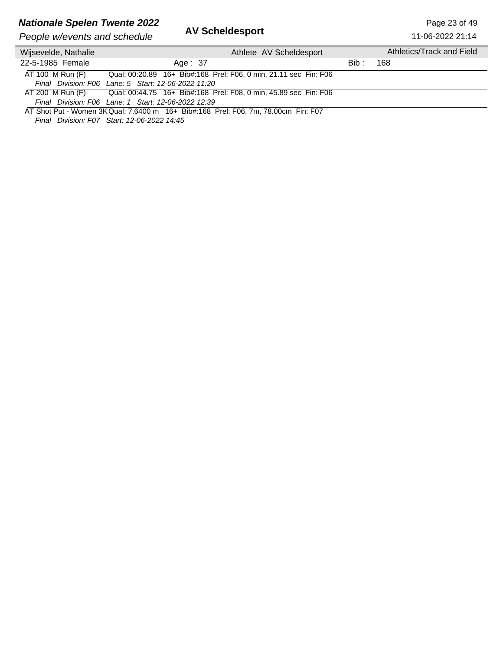## **Nationale Spelen Twente 2022**<br>**AV Scheldesport Page 23 of 49** Page 23 of 49

| People w/events and schedule |                                                                                    | AV SCREIGESPORT                                                  |       | 11-06-2022 21:14          |
|------------------------------|------------------------------------------------------------------------------------|------------------------------------------------------------------|-------|---------------------------|
| Wijsevelde, Nathalie         |                                                                                    | Athlete AV Scheldesport                                          |       | Athletics/Track and Field |
| 22-5-1985 Female             | Age: 37                                                                            |                                                                  | Bib : | 168                       |
| AT 100 M Run (F)             | Final Division: F06 Lane: 5 Start: 12-06-2022 11:20                                | Qual: 00:20.89 16+ Bib#:168 Prel: F06, 0 min, 21.11 sec Fin: F06 |       |                           |
| AT 200 M Run (F)             | Final Division: F06 Lane: 1 Start: 12-06-2022 12:39                                | Qual: 00:44.75 16+ Bib#:168 Prel: F08, 0 min, 45.89 sec Fin: F06 |       |                           |
|                              | AT Shot Put - Women 3K Qual: 7.6400 m 16+ Bib#:168 Prel: F06, 7m, 78.00cm Fin: F07 |                                                                  |       |                           |

*Final Division: F07 Start: 12-06-2022 14:45*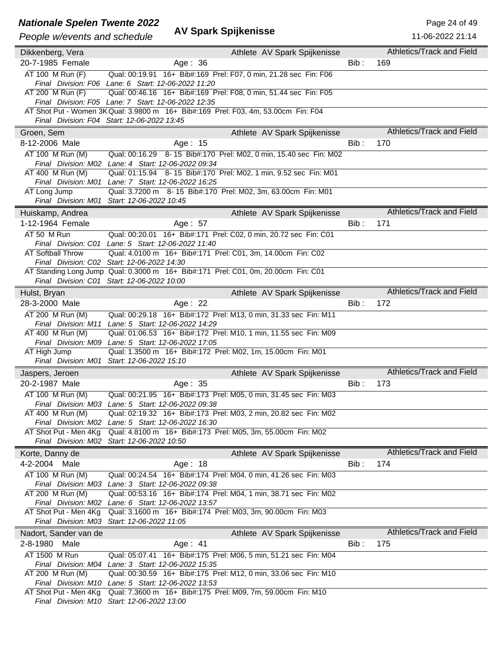#### **Nationale Spelen Twente 2022** And **Containers** Page 24 of 49

| People w/events and schedule | <b>AV Spark Spijkenisse</b>                                                                                                      |         | 11-06-2022 21:14          |
|------------------------------|----------------------------------------------------------------------------------------------------------------------------------|---------|---------------------------|
| Dikkenberg, Vera             | Athlete AV Spark Spijkenisse                                                                                                     |         | Athletics/Track and Field |
| 20-7-1985 Female             | Age: 36                                                                                                                          | Bib :   | 169                       |
| AT 100 M Run (F)             | Qual: 00:19.91  16+ Bib#:169  Prel: F07, 0 min, 21.28 sec  Fin: F06                                                              |         |                           |
|                              | Final Division: F06 Lane: 6 Start: 12-06-2022 11:20                                                                              |         |                           |
| AT 200 M Run (F)             | Qual: 00:46.16  16+ Bib#:169  Prel: F08, 0 min, 51.44 sec Fin: F05                                                               |         |                           |
|                              | Final Division: F05 Lane: 7 Start: 12-06-2022 12:35                                                                              |         |                           |
|                              | AT Shot Put - Women 3K Qual: 3.9800 m 16+ Bib#:169 Prel: F03, 4m, 53.00cm Fin: F04                                               |         |                           |
|                              | Final Division: F04 Start: 12-06-2022 13:45                                                                                      |         |                           |
| Groen, Sem                   | Athlete AV Spark Spijkenisse                                                                                                     |         | Athletics/Track and Field |
| 8-12-2006 Male               | Age: 15                                                                                                                          | Bib:    | 170                       |
| AT 100 M Run (M)             | Qual: 00:16.29 8-15 Bib#:170 Prel: M02, 0 min, 15.40 sec Fin: M02                                                                |         |                           |
| AT 400 M Run (M)             | Final Division: M02 Lane: 4 Start: 12-06-2022 09:34<br>Qual: 01:15.94 8-15 Bib#:170 Prel: M02, 1 min, 9.52 sec Fin: M01          |         |                           |
|                              | Final Division: M01 Lane: 7 Start: 12-06-2022 16:25                                                                              |         |                           |
| AT Long Jump                 | Qual: 3.7200 m 8-15 Bib#:170 Prel: M02, 3m, 63.00cm Fin: M01                                                                     |         |                           |
|                              | Final Division: M01 Start: 12-06-2022 10:45                                                                                      |         |                           |
| Huiskamp, Andrea             | Athlete AV Spark Spijkenisse                                                                                                     |         | Athletics/Track and Field |
| 1-12-1964 Female             | Age: 57                                                                                                                          | Bib:    | 171                       |
| AT 50 M Run                  | Qual: 00:20.01 16+ Bib#:171 Prel: C02, 0 min, 20.72 sec Fin: C01                                                                 |         |                           |
|                              | Final Division: C01 Lane: 5 Start: 12-06-2022 11:40                                                                              |         |                           |
| <b>AT Softball Throw</b>     | Qual: 4.0100 m 16+ Bib#:171 Prel: C01, 3m, 14.00cm Fin: C02                                                                      |         |                           |
|                              | Final Division: C02 Start: 12-06-2022 14:30<br>AT Standing Long Jump Qual: 0.3000 m 16+ Bib#:171 Prel: C01, 0m, 20.00cm Fin: C01 |         |                           |
|                              | Final Division: C01 Start: 12-06-2022 10:00                                                                                      |         |                           |
| Hulst, Bryan                 | Athlete AV Spark Spijkenisse                                                                                                     |         | Athletics/Track and Field |
| 28-3-2000 Male               | Age: 22                                                                                                                          | $Bib$ : | 172                       |
| AT 200 M Run (M)             | Qual: 00:29.18 16+ Bib#:172 Prel: M13, 0 min, 31.33 sec Fin: M11                                                                 |         |                           |
| Final Division: M11          | Lane: 5 Start: 12-06-2022 14:29                                                                                                  |         |                           |
| AT 400 M Run (M)             | Qual: 01:06.53 16+ Bib#:172 Prel: M10, 1 min, 11.55 sec Fin: M09                                                                 |         |                           |
|                              | Final Division: M09 Lane: 5 Start: 12-06-2022 17:05                                                                              |         |                           |
| AT High Jump                 | Qual: 1.3500 m 16+ Bib#:172 Prel: M02, 1m, 15.00cm Fin: M01                                                                      |         |                           |
|                              | Final Division: M01 Start: 12-06-2022 15:10                                                                                      |         |                           |
| Jaspers, Jeroen              | Athlete AV Spark Spijkenisse                                                                                                     |         | Athletics/Track and Field |
| 20-2-1987 Male               | Age: 35                                                                                                                          | Bib:    | 173                       |
| AT 100 M Run (M)             | Qual: 00:21.95 16+ Bib#:173 Prel: M05, 0 min, 31.45 sec Fin: M03                                                                 |         |                           |
|                              | Final Division: M03 Lane: 5 Start: 12-06-2022 09:38                                                                              |         |                           |
| AT 400 M Run (M)             | Qual: 02:19.32  16+ Bib#:173  Prel: M03, 2  min, 20.82 sec  Fin: M02                                                             |         |                           |
|                              | Final Division: M02 Lane: 5 Start: 12-06-2022 16:30                                                                              |         |                           |
| AT Shot Put - Men 4Kg        | Qual: 4.8100 m 16+ Bib#:173 Prel: M05, 3m, 55.00cm Fin: M02<br>Final Division: M02 Start: 12-06-2022 10:50                       |         |                           |
| Korte, Danny de              | Athlete AV Spark Spijkenisse                                                                                                     |         | Athletics/Track and Field |
| 4-2-2004 Male                | Age: 18                                                                                                                          | Bib :   | 174                       |
| AT 100 M Run (M)             | Qual: 00:24.54 16+ Bib#:174 Prel: M04, 0 min, 41.26 sec Fin: M03                                                                 |         |                           |
|                              | Final Division: M03 Lane: 3 Start: 12-06-2022 09:38                                                                              |         |                           |
| AT 200 M Run (M)             | Qual: 00:53.16 16+ Bib#:174 Prel: M04, 1 min, 38.71 sec Fin: M02                                                                 |         |                           |
|                              | Final Division: M02 Lane: 6 Start: 12-06-2022 13:57                                                                              |         |                           |
| AT Shot Put - Men 4Kg        | Qual: 3.1600 m 16+ Bib#:174 Prel: M03, 3m, 90.00cm Fin: M03                                                                      |         |                           |
|                              | Final Division: M03 Start: 12-06-2022 11:05                                                                                      |         |                           |
| Nadort, Sander van de        | Athlete AV Spark Spijkenisse                                                                                                     |         | Athletics/Track and Field |
| 2-8-1980 Male                | Age: 41                                                                                                                          | Bib:    | 175                       |
| AT 1500 M Run                | Qual: 05:07.41 16+ Bib#:175 Prel: M06, 5 min, 51.21 sec Fin: M04                                                                 |         |                           |
|                              | Final Division: M04 Lane: 3 Start: 12-06-2022 15:35                                                                              |         |                           |
| AT 200 M Run (M)             | Qual: 00:30.59 16+ Bib#:175 Prel: M12, 0 min, 33.06 sec Fin: M10<br>Final Division: M10 Lane: 5 Start: 12-06-2022 13:53          |         |                           |
| AT Shot Put - Men 4Kg        | Qual: 7.3600 m 16+ Bib#:175 Prel: M09, 7m, 59.00cm Fin: M10                                                                      |         |                           |
|                              | Final Division: M10 Start: 12-06-2022 13:00                                                                                      |         |                           |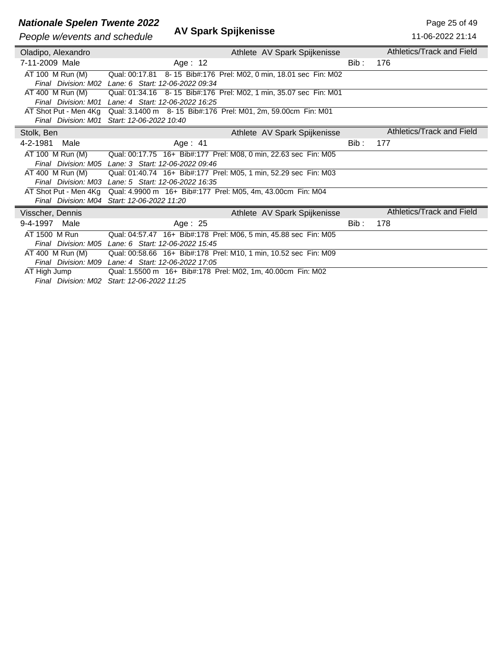# *Nationale Spelen Twente 2022*<br>*People w/eyents and schedule* **AV Spark Spijkenisse**<br>People w/eyents and schedule **AV Spark Spijkenisse**

#### **People w/events and schedule**

| People w/events and schedule | AV OPAIN OPIJNEIIISSE                                             |       | 11-06-2022 21:14          |
|------------------------------|-------------------------------------------------------------------|-------|---------------------------|
| Oladipo, Alexandro           | Athlete AV Spark Spijkenisse                                      |       | Athletics/Track and Field |
| 7-11-2009 Male               | Age: $12$                                                         | Bib : | 176                       |
| AT 100 M Run (M)             | Qual: 00:17.81 8-15 Bib#:176 Prel: M02, 0 min, 18.01 sec Fin: M02 |       |                           |
|                              | Final Division: M02 Lane: 6 Start: 12-06-2022 09:34               |       |                           |
| AT 400 M Run (M)             | Qual: 01:34.16 8-15 Bib#:176 Prel: M02, 1 min, 35.07 sec Fin: M01 |       |                           |
|                              | Final Division: M01 Lane: 4 Start: 12-06-2022 16:25               |       |                           |
| AT Shot Put - Men 4Kg        | Qual: 3.1400 m 8-15 Bib#:176 Prel: M01, 2m, 59.00cm Fin: M01      |       |                           |
|                              | Final Division: M01 Start: 12-06-2022 10:40                       |       |                           |
| Stolk, Ben                   | Athlete AV Spark Spijkenisse                                      |       | Athletics/Track and Field |
| 4-2-1981<br>Male             | Age: $41$                                                         | Bib:  | 177                       |
| AT 100 M Run (M)             | Qual: 00:17.75 16+ Bib#:177 Prel: M08, 0 min, 22.63 sec Fin: M05  |       |                           |
|                              | Final Division: M05 Lane: 3 Start: 12-06-2022 09:46               |       |                           |
| AT 400 M Run (M)             | Qual: 01:40.74 16+ Bib#:177 Prel: M05, 1 min, 52.29 sec Fin: M03  |       |                           |
|                              | Final Division: M03 Lane: 5 Start: 12-06-2022 16:35               |       |                           |
| AT Shot Put - Men 4Kg        | Qual: 4.9900 m 16+ Bib#:177 Prel: M05, 4m, 43.00cm Fin: M04       |       |                           |
|                              | Final Division: M04 Start: 12-06-2022 11:20                       |       |                           |
| Visscher, Dennis             | Athlete AV Spark Spijkenisse                                      |       | Athletics/Track and Field |
| Male<br>9-4-1997             | Age: 25                                                           | Bib : | 178                       |
| AT 1500 M Run                | Qual: 04:57.47 16+ Bib#:178 Prel: M06, 5 min, 45.88 sec Fin: M05  |       |                           |
| Final Division: M05          | Lane: 6 Start: 12-06-2022 15:45                                   |       |                           |
| AT 400 M Run (M)             | Qual: 00:58.66 16+ Bib#:178 Prel: M10, 1 min, 10.52 sec Fin: M09  |       |                           |
|                              | Final Division: M09 Lane: 4 Start: 12-06-2022 17:05               |       |                           |
| AT High Jump                 | Qual: 1.5500 m 16+ Bib#:178 Prel: M02, 1m, 40.00cm Fin: M02       |       |                           |
|                              | $\Gamma$ inal Division: 1400 $\Omega$ taut: 40.00.0000 44:05      |       |                           |

*Final Division: M02 Start: 12-06-2022 11:25*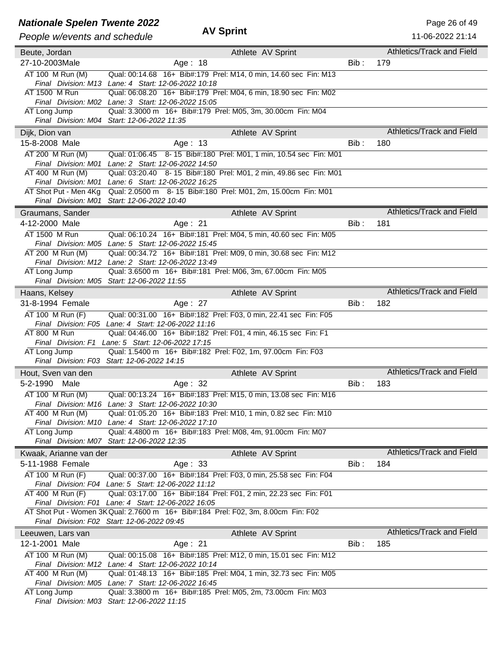### **Nationale Spelen Twente 2022** AV Sprint AV Solution AV Spelen 2022

| People w/events and schedule       | <b>AV Sprint</b>                                                                                                        |      | 11-06-2022 21:14          |
|------------------------------------|-------------------------------------------------------------------------------------------------------------------------|------|---------------------------|
|                                    |                                                                                                                         |      | Athletics/Track and Field |
| Beute, Jordan                      | Athlete AV Sprint                                                                                                       |      |                           |
| 27-10-2003Male                     | Age: 18                                                                                                                 | Bib: | 179                       |
| AT 100 M Run (M)                   | Qual: 00:14.68 16+ Bib#:179 Prel: M14, 0 min, 14.60 sec Fin: M13<br>Final Division: M13 Lane: 4 Start: 12-06-2022 10:18 |      |                           |
| AT 1500 M Run                      | Qual: 06:08.20 16+ Bib#:179 Prel: M04, 6 min, 18.90 sec Fin: M02                                                        |      |                           |
|                                    | Final Division: M02 Lane: 3 Start: 12-06-2022 15:05                                                                     |      |                           |
| AT Long Jump                       | Qual: 3.3000 m 16+ Bib#:179 Prel: M05, 3m, 30.00cm Fin: M04                                                             |      |                           |
|                                    | Final Division: M04 Start: 12-06-2022 11:35                                                                             |      |                           |
| Dijk, Dion van                     | Athlete AV Sprint                                                                                                       |      | Athletics/Track and Field |
| 15-8-2008 Male                     | Age: 13                                                                                                                 | Bib: | 180                       |
| AT 200 M Run (M)                   | Qual: 01:06.45 8-15 Bib#:180 Prel: M01, 1 min, 10.54 sec Fin: M01                                                       |      |                           |
|                                    | Final Division: M01 Lane: 2 Start: 12-06-2022 14:50                                                                     |      |                           |
| AT 400 M Run (M)                   | Qual: 03:20.40  8- 15  Bib#:180  Prel: M01, 2  min, 49.86 sec  Fin: M01                                                 |      |                           |
|                                    | Final Division: M01 Lane: 6 Start: 12-06-2022 16:25                                                                     |      |                           |
| AT Shot Put - Men 4Kg              | Qual: 2.0500 m 8-15 Bib#:180 Prel: M01, 2m, 15.00cm Fin: M01<br>Final Division: M01 Start: 12-06-2022 10:40             |      |                           |
|                                    |                                                                                                                         |      | Athletics/Track and Field |
| Graumans, Sander<br>4-12-2000 Male | Athlete AV Sprint<br>Age: 21                                                                                            | Bib: | 181                       |
| AT 1500 M Run                      | Qual: 06:10.24 16+ Bib#:181 Prel: M04, 5 min, 40.60 sec Fin: M05                                                        |      |                           |
|                                    | Final Division: M05 Lane: 5 Start: 12-06-2022 15:45                                                                     |      |                           |
| AT 200 M Run (M)                   | Qual: 00:34.72 16+ Bib#:181 Prel: M09, 0 min, 30.68 sec Fin: M12                                                        |      |                           |
|                                    | Final Division: M12 Lane: 2 Start: 12-06-2022 13:49                                                                     |      |                           |
| AT Long Jump                       | Qual: 3.6500 m 16+ Bib#:181 Prel: M06, 3m, 67.00cm Fin: M05                                                             |      |                           |
|                                    | Final Division: M05 Start: 12-06-2022 11:55                                                                             |      |                           |
| Haans, Kelsey                      | Athlete AV Sprint                                                                                                       |      | Athletics/Track and Field |
| 31-8-1994 Female                   | Age: 27                                                                                                                 | Bib: | 182                       |
| AT 100 M Run (F)                   | Qual: 00:31.00 16+ Bib#:182 Prel: F03, 0 min, 22.41 sec Fin: F05                                                        |      |                           |
|                                    | Final Division: F05 Lane: 4 Start: 12-06-2022 11:16                                                                     |      |                           |
| AT 800 M Run                       | Qual: 04:46.00 16+ Bib#:182 Prel: F01, 4 min, 46.15 sec Fin: F1                                                         |      |                           |
| AT Long Jump                       | Final Division: F1 Lane: 5 Start: 12-06-2022 17:15<br>Qual: 1.5400 m 16+ Bib#:182 Prel: F02, 1m, 97.00cm Fin: F03       |      |                           |
|                                    | Final Division: F03 Start: 12-06-2022 14:15                                                                             |      |                           |
| Hout, Sven van den                 | Athlete AV Sprint                                                                                                       |      | Athletics/Track and Field |
| 5-2-1990 Male                      | Age: 32                                                                                                                 | Bib: | 183                       |
| AT 100 M Run (M)                   | Qual: 00:13.24 16+ Bib#:183 Prel: M15, 0 min, 13.08 sec Fin: M16                                                        |      |                           |
|                                    | Final Division: M16 Lane: 3 Start: 12-06-2022 10:30                                                                     |      |                           |
| AT 400 M Run (M)                   | Qual: 01:05.20 16+ Bib#:183 Prel: M10, 1 min, 0.82 sec Fin: M10                                                         |      |                           |
|                                    | Final Division: M10 Lane: 4 Start: 12-06-2022 17:10                                                                     |      |                           |
| AT Long Jump                       | Qual: 4.4800 m 16+ Bib#:183 Prel: M08, 4m, 91.00cm Fin: M07                                                             |      |                           |
|                                    | Final Division: M07 Start: 12-06-2022 12:35                                                                             |      |                           |
| Kwaak, Arianne van der             | Athlete AV Sprint                                                                                                       |      | Athletics/Track and Field |
| 5-11-1988 Female                   | Age: 33                                                                                                                 | Bib: | 184                       |
| AT 100 M Run (F)                   | Qual: 00:37.00 16+ Bib#:184 Prel: F03, 0 min, 25.58 sec Fin: F04                                                        |      |                           |
| AT 400 M Run (F)                   | Final Division: F04 Lane: 5 Start: 12-06-2022 11:12<br>Qual: 03:17.00 16+ Bib#:184 Prel: F01, 2 min, 22.23 sec Fin: F01 |      |                           |
|                                    | Final Division: F01 Lane: 4 Start: 12-06-2022 16:05                                                                     |      |                           |
|                                    | AT Shot Put - Women 3K Qual: 2.7600 m 16+ Bib#:184 Prel: F02, 3m, 8.00cm Fin: F02                                       |      |                           |
|                                    | Final Division: F02 Start: 12-06-2022 09:45                                                                             |      |                           |
| Leeuwen, Lars van                  | Athlete AV Sprint                                                                                                       |      | Athletics/Track and Field |
| 12-1-2001 Male                     | Age: 21                                                                                                                 | Bib: | 185                       |
| AT 100 M Run (M)                   | Qual: 00:15.08 16+ Bib#:185 Prel: M12, 0 min, 15.01 sec Fin: M12                                                        |      |                           |
|                                    | Final Division: M12 Lane: 4 Start: 12-06-2022 10:14                                                                     |      |                           |
| AT 400 M Run (M)                   | Qual: 01:48.13 16+ Bib#:185 Prel: M04, 1 min, 32.73 sec Fin: M05                                                        |      |                           |
| AT Long Jump                       | Final Division: M05 Lane: 7 Start: 12-06-2022 16:45<br>Qual: 3.3800 m 16+ Bib#:185 Prel: M05, 2m, 73.00cm Fin: M03      |      |                           |
|                                    | Final Division: M03 Start: 12-06-2022 11:15                                                                             |      |                           |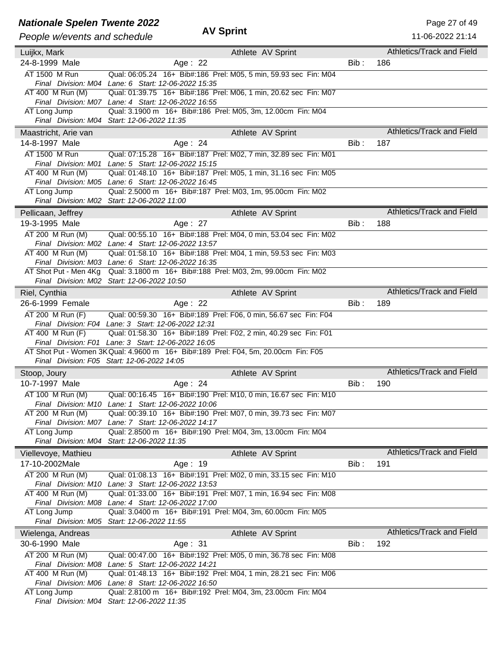### **Nationale Spelen Twente 2022** AM Sprint Mational Accounts 2022

| People w/events and schedule          | <b>AV Sprint</b>                                                                                                                          |         | 11-06-2022 21:14          |
|---------------------------------------|-------------------------------------------------------------------------------------------------------------------------------------------|---------|---------------------------|
|                                       |                                                                                                                                           |         |                           |
| Luijkx, Mark                          | Athlete AV Sprint                                                                                                                         |         | Athletics/Track and Field |
| 24-8-1999 Male                        | Age: 22                                                                                                                                   | $Bib$ : | 186                       |
| AT 1500 M Run                         | Qual: 06:05.24 16+ Bib#:186 Prel: M05, 5 min, 59.93 sec Fin: M04<br>Final Division: M04 Lane: 6 Start: 12-06-2022 15:35                   |         |                           |
| AT 400 M Run (M)                      | Qual: 01:39.75 16+ Bib#:186 Prel: M06, 1 min, 20.62 sec Fin: M07                                                                          |         |                           |
|                                       | Final Division: M07 Lane: 4 Start: 12-06-2022 16:55                                                                                       |         |                           |
| AT Long Jump                          | Qual: 3.1900 m 16+ Bib#:186 Prel: M05, 3m, 12.00cm Fin: M04                                                                               |         |                           |
|                                       | Final Division: M04 Start: 12-06-2022 11:35                                                                                               |         |                           |
| Maastricht, Arie van                  | Athlete AV Sprint                                                                                                                         |         | Athletics/Track and Field |
| 14-8-1997 Male                        | Age: $24$                                                                                                                                 | Bib:    | 187                       |
| AT 1500 M Run                         | Qual: 07:15.28 16+ Bib#:187 Prel: M02, 7 min, 32.89 sec Fin: M01                                                                          |         |                           |
|                                       | Final Division: M01 Lane: 5 Start: 12-06-2022 15:15                                                                                       |         |                           |
| AT 400 M Run (M)                      | Qual: 01:48.10 16+ Bib#:187 Prel: M05, 1 min, 31.16 sec Fin: M05                                                                          |         |                           |
|                                       | Final Division: M05 Lane: 6 Start: 12-06-2022 16:45                                                                                       |         |                           |
| AT Long Jump                          | Qual: 2.5000 m 16+ Bib#:187 Prel: M03, 1m, 95.00cm Fin: M02<br>Final Division: M02 Start: 12-06-2022 11:00                                |         |                           |
| Pellicaan, Jeffrey                    | Athlete AV Sprint                                                                                                                         |         | Athletics/Track and Field |
| 19-3-1995 Male                        | Age: 27                                                                                                                                   | Bib:    | 188                       |
| AT 200 M Run (M)                      | Qual: 00:55.10 16+ Bib#:188 Prel: M04, 0 min, 53.04 sec Fin: M02                                                                          |         |                           |
|                                       | Final Division: M02 Lane: 4 Start: 12-06-2022 13:57                                                                                       |         |                           |
| AT 400 M Run (M)                      | Qual: 01:58.10 16+ Bib#:188 Prel: M04, 1 min, 59.53 sec Fin: M03                                                                          |         |                           |
| Final Division: M03                   | Lane: 6 Start: 12-06-2022 16:35                                                                                                           |         |                           |
| AT Shot Put - Men 4Kg                 | Qual: 3.1800 m 16+ Bib#:188 Prel: M03, 2m, 99.00cm Fin: M02                                                                               |         |                           |
|                                       | Final Division: M02 Start: 12-06-2022 10:50                                                                                               |         |                           |
| Riel, Cynthia                         | Athlete AV Sprint                                                                                                                         |         | Athletics/Track and Field |
| 26-6-1999 Female                      | Age: 22                                                                                                                                   | $Bib$ : | 189                       |
| AT 200 M Run (F)                      | Qual: 00:59.30 16+ Bib#:189 Prel: F06, 0 min, 56.67 sec Fin: F04                                                                          |         |                           |
|                                       | Final Division: F04 Lane: 3 Start: 12-06-2022 12:31                                                                                       |         |                           |
| AT 400 M Run (F)                      | Qual: 01:58.30 16+ Bib#:189 Prel: F02, 2 min, 40.29 sec Fin: F01                                                                          |         |                           |
|                                       | Final Division: F01 Lane: 3 Start: 12-06-2022 16:05<br>AT Shot Put - Women 3K Qual: 4.9600 m 16+ Bib#:189 Prel: F04, 5m, 20.00cm Fin: F05 |         |                           |
|                                       | Final Division: F05 Start: 12-06-2022 14:05                                                                                               |         |                           |
| Stoop, Joury                          | Athlete AV Sprint                                                                                                                         |         | Athletics/Track and Field |
| 10-7-1997 Male                        | Age: 24                                                                                                                                   | Bib:    | 190                       |
| AT 100 M Run (M)                      | Qual: 00:16.45 16+ Bib#:190 Prel: M10, 0 min, 16.67 sec Fin: M10                                                                          |         |                           |
|                                       | Final Division: M10 Lane: 1 Start: 12-06-2022 10:06                                                                                       |         |                           |
| AT 200 M Run (M)                      | Qual: 00:39.10 16+ Bib#:190 Prel: M07, 0 min, 39.73 sec Fin: M07                                                                          |         |                           |
|                                       | Final Division: M07 Lane: 7 Start: 12-06-2022 14:17                                                                                       |         |                           |
| AT Long Jump                          | Qual: 2.8500 m 16+ Bib#:190 Prel: M04, 3m, 13.00cm Fin: M04<br>Final Division: M04 Start: 12-06-2022 11:35                                |         |                           |
|                                       |                                                                                                                                           |         | Athletics/Track and Field |
| Viellevoye, Mathieu<br>17-10-2002Male | Athlete AV Sprint<br>Age: 19                                                                                                              | Bib:    | 191                       |
| AT 200 M Run (M)                      |                                                                                                                                           |         |                           |
|                                       | Qual: 01:08.13 16+ Bib#:191 Prel: M02, 0 min, 33.15 sec Fin: M10<br>Final Division: M10 Lane: 3 Start: 12-06-2022 13:53                   |         |                           |
| AT 400 M Run (M)                      | Qual: 01:33.00 16+ Bib#:191 Prel: M07, 1 min, 16.94 sec Fin: M08                                                                          |         |                           |
|                                       | Final Division: M08 Lane: 4 Start: 12-06-2022 17:00                                                                                       |         |                           |
| AT Long Jump                          | Qual: 3.0400 m 16+ Bib#:191 Prel: M04, 3m, 60.00cm Fin: M05                                                                               |         |                           |
|                                       | Final Division: M05 Start: 12-06-2022 11:55                                                                                               |         |                           |
| Wielenga, Andreas                     | Athlete AV Sprint                                                                                                                         |         | Athletics/Track and Field |
| 30-6-1990 Male                        | Age: 31                                                                                                                                   | Bib:    | 192                       |
| AT 200 M Run (M)                      | Qual: 00:47.00 16+ Bib#:192 Prel: M05, 0 min, 36.78 sec Fin: M08                                                                          |         |                           |
|                                       | Final Division: M08 Lane: 5 Start: 12-06-2022 14:21                                                                                       |         |                           |
| AT 400 M Run (M)                      | Qual: 01:48.13 16+ Bib#:192 Prel: M04, 1 min, 28.21 sec Fin: M06                                                                          |         |                           |
| AT Long Jump                          | Final Division: M06 Lane: 8 Start: 12-06-2022 16:50<br>Qual: 2.8100 m 16+ Bib#:192 Prel: M04, 3m, 23.00cm Fin: M04                        |         |                           |
|                                       | Final Division: M04 Start: 12-06-2022 11:35                                                                                               |         |                           |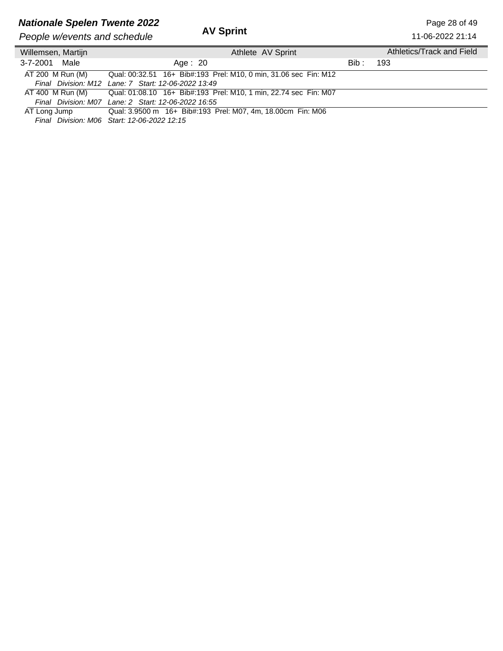## **Nationale Spelen Twente 2022**<br>**AV Sprint Page 28 of 49**<br>**AV Sprint Page 28 of 49**<br>**Page 28 of 49**

| <b>AV Sprint</b><br>People w/events and schedule |                                                                  |       | 11-06-2022 21:14          |
|--------------------------------------------------|------------------------------------------------------------------|-------|---------------------------|
| Willemsen, Martijn                               | Athlete AV Sprint                                                |       | Athletics/Track and Field |
| 3-7-2001 Male                                    | Age: $20$                                                        | Bib : | 193                       |
| AT 200 M Run (M)                                 | Qual: 00:32.51 16+ Bib#:193 Prel: M10, 0 min, 31.06 sec Fin: M12 |       |                           |
|                                                  | Final Division: M12 Lane: 7 Start: 12-06-2022 13:49              |       |                           |
| AT 400 M Run (M)                                 | Qual: 01:08.10 16+ Bib#:193 Prel: M10, 1 min, 22.74 sec Fin: M07 |       |                           |
|                                                  | Final Division: M07 Lane: 2 Start: 12-06-2022 16:55              |       |                           |
| AT Long Jump                                     | Qual: 3.9500 m 16+ Bib#:193 Prel: M07, 4m, 18.00cm Fin: M06      |       |                           |

*Final Division: M06 Start: 12-06-2022 12:15*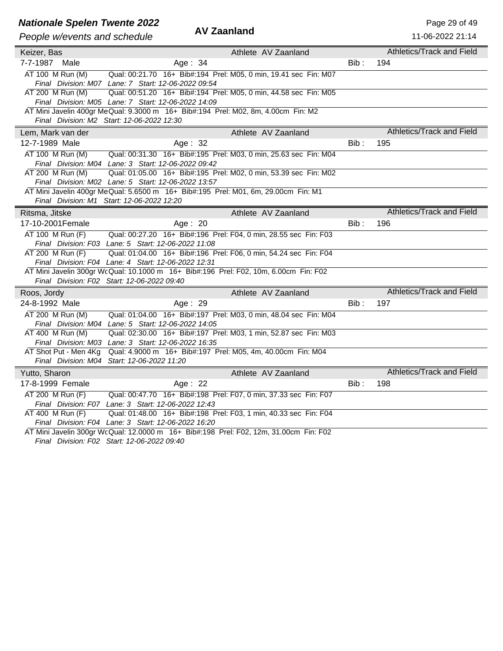## **Nationale Spelen Twente 2022**<br>**AV Zaanland** Page 29 of 49<br>**AV Zaanland** Page 2022 2022 2024

| People w/events and schedule | Av Zaaniand                                                                                                                              |         | 11-06-2022 21:14                 |
|------------------------------|------------------------------------------------------------------------------------------------------------------------------------------|---------|----------------------------------|
| Keizer, Bas                  | Athlete AV Zaanland                                                                                                                      |         | Athletics/Track and Field        |
| 7-7-1987 Male                | Age: 34                                                                                                                                  | Bib :   | 194                              |
| AT 100 M Run (M)             | Qual: 00:21.70 16+ Bib#:194 Prel: M05, 0 min, 19.41 sec Fin: M07                                                                         |         |                                  |
|                              | Final Division: M07 Lane: 7 Start: 12-06-2022 09:54                                                                                      |         |                                  |
| AT 200 M Run (M)             | Qual: 00:51.20 16+ Bib#:194 Prel: M05, 0 min, 44.58 sec Fin: M05                                                                         |         |                                  |
|                              | Final Division: M05 Lane: 7 Start: 12-06-2022 14:09<br>AT Mini Javelin 400gr MeQual: 9.3000 m 16+ Bib#:194 Prel: M02, 8m, 4.00cm Fin: M2 |         |                                  |
|                              | Final Division: M2 Start: 12-06-2022 12:30                                                                                               |         |                                  |
| Lem, Mark van der            | Athlete AV Zaanland                                                                                                                      |         | Athletics/Track and Field        |
| 12-7-1989 Male               | Age: 32                                                                                                                                  | Bib:    | 195                              |
| AT 100 M Run (M)             | Qual: 00:31.30 16+ Bib#:195 Prel: M03, 0 min, 25.63 sec Fin: M04                                                                         |         |                                  |
|                              | Final Division: M04 Lane: 3 Start: 12-06-2022 09:42                                                                                      |         |                                  |
| AT 200 M Run (M)             | Qual: 01:05.00 16+ Bib#:195 Prel: M02, 0 min, 53.39 sec Fin: M02                                                                         |         |                                  |
|                              | Final Division: M02 Lane: 5 Start: 12-06-2022 13:57                                                                                      |         |                                  |
|                              | AT Mini Javelin 400gr MeQual: 5.6500 m 16+ Bib#:195 Prel: M01, 6m, 29.00cm Fin: M1                                                       |         |                                  |
|                              | Final Division: M1 Start: 12-06-2022 12:20                                                                                               |         |                                  |
| Ritsma, Jitske               | Athlete AV Zaanland                                                                                                                      |         | Athletics/Track and Field        |
| 17-10-2001Female             | Age: 20                                                                                                                                  | Bib:    | 196                              |
| AT 100 M Run (F)             | Qual: 00:27.20 16+ Bib#:196 Prel: F04, 0 min, 28.55 sec Fin: F03                                                                         |         |                                  |
| AT 200 M Run (F)             | Final Division: F03 Lane: 5 Start: 12-06-2022 11:08<br>Qual: 01:04.00 16+ Bib#:196 Prel: F06, 0 min, 54.24 sec Fin: F04                  |         |                                  |
|                              | Final Division: F04 Lane: 4 Start: 12-06-2022 12:31                                                                                      |         |                                  |
|                              | AT Mini Javelin 300gr WcQual: 10.1000 m 16+ Bib#:196 Prel: F02, 10m, 6.00cm Fin: F02                                                     |         |                                  |
|                              | Final Division: F02 Start: 12-06-2022 09:40                                                                                              |         |                                  |
| Roos, Jordy                  | Athlete AV Zaanland                                                                                                                      |         | <b>Athletics/Track and Field</b> |
| 24-8-1992 Male               | Age: 29                                                                                                                                  | $Bib$ : | 197                              |
| AT 200 M Run (M)             | Qual: 01:04.00 16+ Bib#:197 Prel: M03, 0 min, 48.04 sec Fin: M04                                                                         |         |                                  |
|                              | Final Division: M04 Lane: 5 Start: 12-06-2022 14:05                                                                                      |         |                                  |
| AT 400 M Run (M)             | Qual: 02:30.00 16+ Bib#:197 Prel: M03, 1 min, 52.87 sec Fin: M03                                                                         |         |                                  |
| AT Shot Put - Men 4Kg        | Final Division: M03 Lane: 3 Start: 12-06-2022 16:35<br>Qual: 4.9000 m 16+ Bib#:197 Prel: M05, 4m, 40.00cm Fin: M04                       |         |                                  |
|                              | Final Division: M04 Start: 12-06-2022 11:20                                                                                              |         |                                  |
| Yutto, Sharon                | Athlete AV Zaanland                                                                                                                      |         | Athletics/Track and Field        |
| 17-8-1999 Female             | Age: 22                                                                                                                                  | $Bib$ : | 198                              |
| AT 200 M Run (F)             | Qual: 00:47.70 16+ Bib#:198 Prel: F07, 0 min, 37.33 sec Fin: F07                                                                         |         |                                  |
|                              | Final Division: F07 Lane: 3 Start: 12-06-2022 12:43                                                                                      |         |                                  |
| AT 400 M Run (F)             | Qual: 01:48.00 16+ Bib#:198 Prel: F03, 1 min, 40.33 sec Fin: F04                                                                         |         |                                  |
|                              | Final Division: F04 Lane: 3 Start: 12-06-2022 16:20                                                                                      |         |                                  |
|                              | AT Mini Javelin 300gr WcQual: 12.0000 m 16+ Bib#:198 Prel: F02, 12m, 31.00cm Fin: F02                                                    |         |                                  |

*Final Division: F02 Start: 12-06-2022 09:40*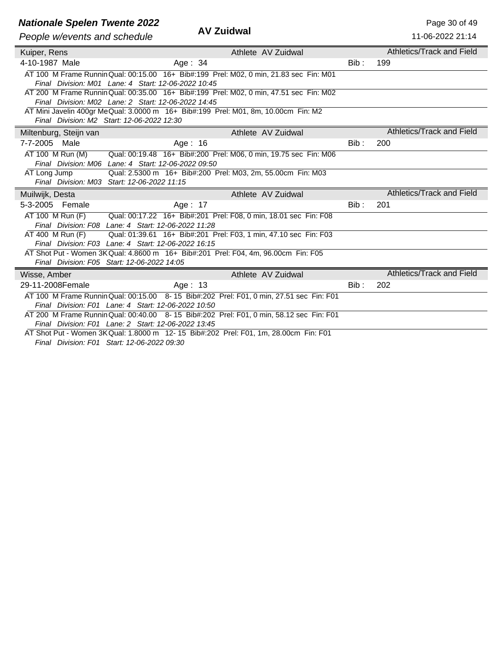#### **Nationale Spelen Twente 2022** AME **AND AND AND ALCORE 2008 ASSESSED AND Rage 30 of 49**

| AV Zuidwal |  |
|------------|--|
|------------|--|

| People w/events and schedule | <b>AV Zuidwal</b>                                                                                                                              |       | 11-06-2022 21:14          |
|------------------------------|------------------------------------------------------------------------------------------------------------------------------------------------|-------|---------------------------|
| Kuiper, Rens                 | Athlete AV Zuidwal                                                                                                                             |       | Athletics/Track and Field |
| 4-10-1987 Male               | Age: $34$                                                                                                                                      | Bib:  | 199                       |
|                              | AT 100 M Frame Runnin Qual: 00:15.00 16+ Bib#:199 Prel: M02, 0 min, 21.83 sec Fin: M01                                                         |       |                           |
|                              | Final Division: M01 Lane: 4 Start: 12-06-2022 10:45                                                                                            |       |                           |
|                              | AT 200 M Frame Runnin Qual: 00:35.00 16+ Bib#:199 Prel: M02, 0 min, 47.51 sec Fin: M02                                                         |       |                           |
|                              | Final Division: M02 Lane: 2 Start: 12-06-2022 14:45                                                                                            |       |                           |
|                              | AT Mini Javelin 400gr Me Qual: 3.0000 m 16+ Bib#:199 Prel: M01, 8m, 10.00cm Fin: M2                                                            |       |                           |
|                              | Final Division: M2 Start: 12-06-2022 12:30                                                                                                     |       |                           |
| Miltenburg, Steijn van       | Athlete AV Zuidwal                                                                                                                             |       | Athletics/Track and Field |
| 7-7-2005 Male                | Age: $16$                                                                                                                                      | Bib:  | 200                       |
| $AT 100$ M Run (M)           | Qual: 00:19.48 16+ Bib#:200 Prel: M06, 0 min, 19.75 sec Fin: M06                                                                               |       |                           |
|                              | Final Division: M06 Lane: 4 Start: 12-06-2022 09:50                                                                                            |       |                           |
| AT Long Jump                 | Qual: 2.5300 m 16+ Bib#:200 Prel: M03, 2m, 55.00cm Fin: M03                                                                                    |       |                           |
|                              | Final Division: M03 Start: 12-06-2022 11:15                                                                                                    |       |                           |
| Muilwijk, Desta              | Athlete AV Zuidwal                                                                                                                             |       | Athletics/Track and Field |
| 5-3-2005 Female              | Age: 17                                                                                                                                        | Bib:  | 201                       |
| AT 100 M Run (F)             | Qual: 00:17.22 16+ Bib#:201 Prel: F08, 0 min, 18.01 sec Fin: F08                                                                               |       |                           |
|                              | Final Division: F08 Lane: 4 Start: 12-06-2022 11:28                                                                                            |       |                           |
| AT 400 M Run (F)             | Qual: 01:39.61 16+ Bib#:201 Prel: F03, 1 min, 47.10 sec Fin: F03                                                                               |       |                           |
|                              | Final Division: F03 Lane: 4 Start: 12-06-2022 16:15<br>AT Shot Put - Women 3K Qual: 4.8600 m 16+ Bib#:201 Prel: F04, 4m, 96.00cm Fin: F05      |       |                           |
|                              | Final Division: F05 Start: 12-06-2022 14:05                                                                                                    |       |                           |
| Wisse, Amber                 | Athlete AV Zuidwal                                                                                                                             |       | Athletics/Track and Field |
| 29-11-2008Female             | Age: 13                                                                                                                                        | Bib : | 202                       |
|                              |                                                                                                                                                |       |                           |
|                              | AT 100 M Frame Runnin Qual: 00:15.00 8-15 Bib#:202 Prel: F01, 0 min, 27.51 sec Fin: F01<br>Final Division: F01 Lane: 4 Start: 12-06-2022 10:50 |       |                           |
|                              | AT 200 M Frame Runnin Qual: 00:40.00 8-15 Bib#:202 Prel: F01, 0 min, 58.12 sec Fin: F01                                                        |       |                           |
|                              | Final Division: F01 Lane: 2 Start: 12-06-2022 13:45                                                                                            |       |                           |
|                              | AT Shot Put - Women 3K Qual: 1.8000 m 12-15 Bib#:202 Prel: F01, 1m, 28.00cm Fin: F01                                                           |       |                           |
|                              | Final Division: F01 Start: 12-06-2022 09:30                                                                                                    |       |                           |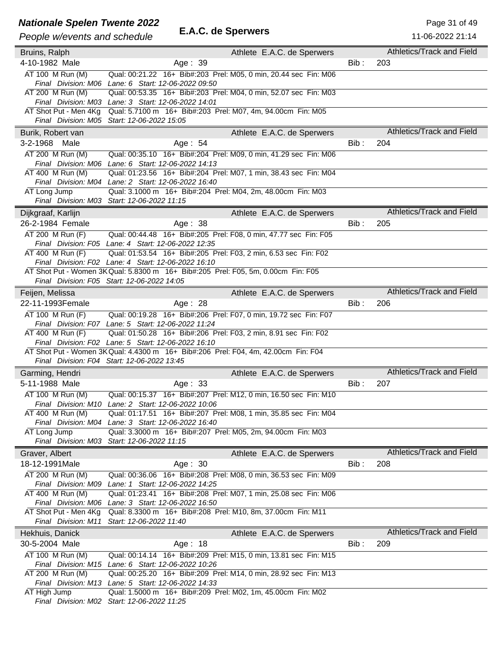## **Nationale Spelen Twente 2022**<br>**E.A.C. de Sperwers** Page 31 of 49

| People w/events and schedule                 | E.A.C. de Sperwers                                                                                                      |         | 11-06-2022 21:14                 |
|----------------------------------------------|-------------------------------------------------------------------------------------------------------------------------|---------|----------------------------------|
| Bruins, Ralph                                | Athlete E.A.C. de Sperwers                                                                                              |         | Athletics/Track and Field        |
| 4-10-1982 Male                               | Age: 39                                                                                                                 | $Bib$ : | 203                              |
| AT 100 M Run (M)                             | Qual: 00:21.22 16+ Bib#:203 Prel: M05, 0 min, 20.44 sec Fin: M06                                                        |         |                                  |
|                                              | Final Division: M06 Lane: 6 Start: 12-06-2022 09:50                                                                     |         |                                  |
| AT 200 M Run (M)                             | Qual: 00:53.35 16+ Bib#:203 Prel: M04, 0 min, 52.07 sec Fin: M03                                                        |         |                                  |
|                                              | Final Division: M03 Lane: 3 Start: 12-06-2022 14:01                                                                     |         |                                  |
|                                              | AT Shot Put - Men 4Kg Qual: 5.7100 m 16+ Bib#:203 Prel: M07, 4m, 94.00cm Fin: M05                                       |         |                                  |
|                                              | Final Division: M05 Start: 12-06-2022 15:05                                                                             |         |                                  |
| Burik, Robert van                            | Athlete E.A.C. de Sperwers                                                                                              |         | Athletics/Track and Field        |
| 3-2-1968 Male                                | Age: 54                                                                                                                 | Bib:    | 204                              |
| AT 200 M Run (M)                             | Qual: 00:35.10 16+ Bib#:204 Prel: M09, 0 min, 41.29 sec Fin: M06                                                        |         |                                  |
|                                              | Final Division: M06 Lane: 6 Start: 12-06-2022 14:13                                                                     |         |                                  |
| AT 400 M Run (M)                             | Qual: 01:23.56 16+ Bib#:204 Prel: M07, 1 min, 38.43 sec Fin: M04                                                        |         |                                  |
|                                              | Final Division: M04 Lane: 2 Start: 12-06-2022 16:40                                                                     |         |                                  |
| AT Long Jump                                 | Qual: 3.1000 m 16+ Bib#:204 Prel: M04, 2m, 48.00cm Fin: M03                                                             |         |                                  |
|                                              | Final Division: M03 Start: 12-06-2022 11:15                                                                             |         |                                  |
| Dijkgraaf, Karlijn                           | Athlete E.A.C. de Sperwers                                                                                              |         | Athletics/Track and Field        |
| 26-2-1984 Female                             | Age: $38$                                                                                                               | Bib:    | 205                              |
| AT 200 M Run (F)                             | Qual: 00:44.48 16+ Bib#:205 Prel: F08, 0 min, 47.77 sec Fin: F05                                                        |         |                                  |
|                                              | Final Division: F05 Lane: 4 Start: 12-06-2022 12:35                                                                     |         |                                  |
| AT 400 M Run (F)                             | Qual: 01:53.54 16+ Bib#:205 Prel: F03, 2 min, 6.53 sec Fin: F02                                                         |         |                                  |
|                                              | Final Division: F02 Lane: 4 Start: 12-06-2022 16:10                                                                     |         |                                  |
|                                              | AT Shot Put - Women 3K Qual: 5.8300 m 16+ Bib#:205 Prel: F05, 5m, 0.00cm Fin: F05                                       |         |                                  |
|                                              | Final Division: F05 Start: 12-06-2022 14:05                                                                             |         |                                  |
| Feijen, Melissa                              | Athlete E.A.C. de Sperwers                                                                                              |         | <b>Athletics/Track and Field</b> |
| 22-11-1993Female                             | Age: 28                                                                                                                 | Bib:    | 206                              |
| AT 100 M Run (F)                             | Qual: 00:19.28 16+ Bib#:206 Prel: F07, 0 min, 19.72 sec Fin: F07                                                        |         |                                  |
|                                              | Final Division: F07 Lane: 5 Start: 12-06-2022 11:24                                                                     |         |                                  |
| AT 400 M Run (F)                             | Qual: 01:50.28 16+ Bib#:206 Prel: F03, 2 min, 8.91 sec Fin: F02                                                         |         |                                  |
|                                              | Final Division: F02 Lane: 5 Start: 12-06-2022 16:10                                                                     |         |                                  |
|                                              | AT Shot Put - Women 3K Qual: 4.4300 m 16+ Bib#:206 Prel: F04, 4m, 42.00cm Fin: F04                                      |         |                                  |
|                                              | Final Division: F04 Start: 12-06-2022 13:45                                                                             |         |                                  |
| Garming, Hendri                              | Athlete E.A.C. de Sperwers                                                                                              |         | Athletics/Track and Field        |
| 5-11-1988 Male                               | Age: 33                                                                                                                 | Bib:    | 207                              |
| AT 100 M Run (M)                             | Qual: 00:15.37 16+ Bib#:207 Prel: M12, 0 min, 16.50 sec Fin: M10                                                        |         |                                  |
|                                              | Final Division: M10 Lane: 2 Start: 12-06-2022 10:06                                                                     |         |                                  |
| AT 400 M Run (M)                             | Qual: 01:17.51 16+ Bib#:207 Prel: M08, 1 min, 35.85 sec Fin: M04                                                        |         |                                  |
|                                              | Final Division: M04 Lane: 3 Start: 12-06-2022 16:40                                                                     |         |                                  |
| AT Long Jump                                 | Qual: 3.3000 m 16+ Bib#:207 Prel: M05, 2m, 94.00cm Fin: M03                                                             |         |                                  |
|                                              | Final Division: M03 Start: 12-06-2022 11:15                                                                             |         |                                  |
| Graver, Albert                               | Athlete E.A.C. de Sperwers                                                                                              |         | Athletics/Track and Field        |
| 18-12-1991Male                               | Age: 30                                                                                                                 | Bib:    | 208                              |
| AT 200 M Run (M)                             | Qual: 00:36.06 16+ Bib#:208 Prel: M08, 0 min, 36.53 sec Fin: M09                                                        |         |                                  |
| Final Division: M09                          | Lane: 1 Start: 12-06-2022 14:25                                                                                         |         |                                  |
| AT 400 M Run (M)                             | Qual: 01:23.41 16+ Bib#:208 Prel: M07, 1 min, 25.08 sec Fin: M06                                                        |         |                                  |
| Final Division: M06<br>AT Shot Put - Men 4Kg | Lane: 3 Start: 12-06-2022 16:50<br>Qual: 8.3300 m 16+ Bib#:208 Prel: M10, 8m, 37.00cm Fin: M11                          |         |                                  |
| Final Division: M11                          | Start: 12-06-2022 11:40                                                                                                 |         |                                  |
|                                              |                                                                                                                         |         | Athletics/Track and Field        |
| Hekhuis, Danick                              | Athlete E.A.C. de Sperwers                                                                                              |         |                                  |
| 30-5-2004 Male                               | Age: 18                                                                                                                 | Bib:    | 209                              |
| AT 100 M Run (M)                             | Qual: 00:14.14 16+ Bib#:209 Prel: M15, 0 min, 13.81 sec Fin: M15                                                        |         |                                  |
| AT 200 M Run (M)                             | Final Division: M15 Lane: 6 Start: 12-06-2022 10:26<br>Qual: 00:25.20 16+ Bib#:209 Prel: M14, 0 min, 28.92 sec Fin: M13 |         |                                  |
|                                              | Final Division: M13 Lane: 5 Start: 12-06-2022 14:33                                                                     |         |                                  |
| AT High Jump                                 | Qual: 1.5000 m 16+ Bib#:209 Prel: M02, 1m, 45.00cm Fin: M02                                                             |         |                                  |
|                                              | Final Division: M02 Start: 12-06-2022 11:25                                                                             |         |                                  |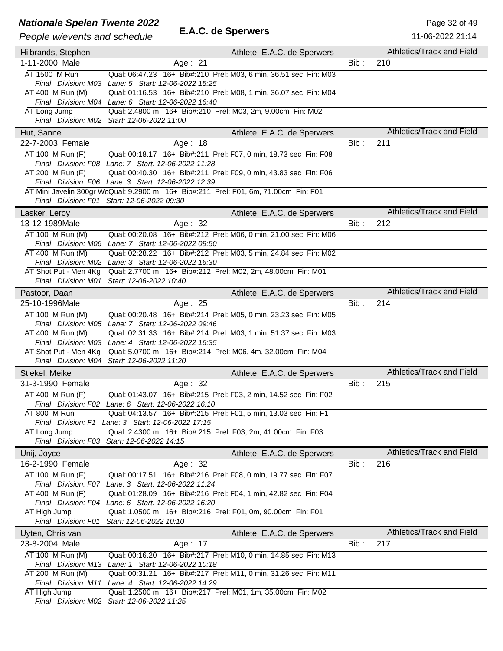# **Nationale Spelen Twente 2022**<br> **E.A.C. de Sperwers** Page 32 of 49<br>
Page 11.06.2022.31:14

### *People w/events and schedule* **E.A.C. de Sperwers**

| People w/events and schedule | E.A.C. de Sperwers                                                                                                                         |       | 11-06-2022 21:14          |
|------------------------------|--------------------------------------------------------------------------------------------------------------------------------------------|-------|---------------------------|
|                              | Athlete E.A.C. de Sperwers                                                                                                                 |       | Athletics/Track and Field |
| Hilbrands, Stephen           |                                                                                                                                            |       |                           |
| 1-11-2000 Male               | Age: 21                                                                                                                                    | Bib:  | 210                       |
| AT 1500 M Run                | Qual: 06:47.23 16+ Bib#:210 Prel: M03, 6 min, 36.51 sec Fin: M03                                                                           |       |                           |
|                              | Final Division: M03 Lane: 5 Start: 12-06-2022 15:25                                                                                        |       |                           |
| AT 400 M Run (M)             | Qual: 01:16.53 16+ Bib#:210 Prel: M08, 1 min, 36.07 sec Fin: M04                                                                           |       |                           |
| AT Long Jump                 | Final Division: M04 Lane: 6 Start: 12-06-2022 16:40<br>Qual: 2.4800 m 16+ Bib#:210 Prel: M03, 2m, 9.00cm Fin: M02                          |       |                           |
|                              | Final Division: M02 Start: 12-06-2022 11:00                                                                                                |       |                           |
|                              |                                                                                                                                            |       | Athletics/Track and Field |
| Hut, Sanne                   | Athlete E.A.C. de Sperwers                                                                                                                 |       |                           |
| 22-7-2003 Female             | Age: 18                                                                                                                                    | Bib:  | 211                       |
| $AT 100$ M Run $(F)$         | Qual: 00:18.17 16+ Bib#:211 Prel: F07, 0 min, 18.73 sec Fin: F08                                                                           |       |                           |
|                              | Final Division: F08 Lane: 7 Start: 12-06-2022 11:28                                                                                        |       |                           |
| AT 200 M Run (F)             | Qual: 00:40.30 16+ Bib#:211 Prel: F09, 0 min, 43.83 sec Fin: F06                                                                           |       |                           |
|                              | Final Division: F06 Lane: 3 Start: 12-06-2022 12:39<br>AT Mini Javelin 300gr WcQual: 9.2900 m 16+ Bib#:211 Prel: F01, 6m, 71.00cm Fin: F01 |       |                           |
|                              | Final Division: F01 Start: 12-06-2022 09:30                                                                                                |       |                           |
|                              |                                                                                                                                            |       | Athletics/Track and Field |
| Lasker, Leroy                | Athlete E.A.C. de Sperwers                                                                                                                 |       |                           |
| 13-12-1989Male               | Age: 32                                                                                                                                    | Bib : | 212                       |
| AT 100 M Run (M)             | Qual: 00:20.08 16+ Bib#:212 Prel: M06, 0 min, 21.00 sec Fin: M06                                                                           |       |                           |
|                              | Final Division: M06 Lane: 7 Start: 12-06-2022 09:50                                                                                        |       |                           |
| AT 400 M Run (M)             | Qual: 02:28.22 16+ Bib#:212 Prel: M03, 5 min, 24.84 sec Fin: M02                                                                           |       |                           |
| AT Shot Put - Men 4Kg        | Final Division: M02 Lane: 3 Start: 12-06-2022 16:30<br>Qual: 2.7700 m 16+ Bib#:212 Prel: M02, 2m, 48.00cm Fin: M01                         |       |                           |
|                              | Final Division: M01 Start: 12-06-2022 10:40                                                                                                |       |                           |
|                              |                                                                                                                                            |       | Athletics/Track and Field |
| Pastoor, Daan                | Athlete E.A.C. de Sperwers                                                                                                                 |       |                           |
| 25-10-1996Male               | Age: 25                                                                                                                                    | Bib:  | 214                       |
| AT 100 M Run (M)             | Qual: 00:20.48 16+ Bib#:214 Prel: M05, 0 min, 23.23 sec Fin: M05                                                                           |       |                           |
|                              | Final Division: M05 Lane: 7 Start: 12-06-2022 09:46                                                                                        |       |                           |
| AT 400 M Run (M)             | Qual: 02:31.33 16+ Bib#:214 Prel: M03, 1 min, 51.37 sec Fin: M03                                                                           |       |                           |
| AT Shot Put - Men 4Kg        | Final Division: M03 Lane: 4 Start: 12-06-2022 16:35<br>Qual: 5.0700 m 16+ Bib#:214 Prel: M06, 4m, 32.00cm Fin: M04                         |       |                           |
|                              | Final Division: M04 Start: 12-06-2022 11:20                                                                                                |       |                           |
|                              |                                                                                                                                            |       | Athletics/Track and Field |
| Stiekel, Meike               | Athlete E.A.C. de Sperwers                                                                                                                 |       |                           |
| 31-3-1990 Female             | Age: 32                                                                                                                                    | Bib:  | 215                       |
| AT 400 M Run (F)             | Qual: 01:43.07 16+ Bib#:215 Prel: F03, 2 min, 14.52 sec Fin: F02                                                                           |       |                           |
| AT 800 M Run                 | Final Division: F02 Lane: 6 Start: 12-06-2022 16:10                                                                                        |       |                           |
|                              | Qual: 04:13.57 16+ Bib#:215 Prel: F01, 5 min, 13.03 sec Fin: F1<br>Final Division: F1 Lane: 3 Start: 12-06-2022 17:15                      |       |                           |
| AT Long Jump                 | Qual: 2.4300 m 16+ Bib#:215 Prel: F03, 2m, 41.00cm Fin: F03                                                                                |       |                           |
|                              | Final Division: F03 Start: 12-06-2022 14:15                                                                                                |       |                           |
| Unij, Joyce                  | Athlete E.A.C. de Sperwers                                                                                                                 |       | Athletics/Track and Field |
| 16-2-1990 Female             | Age: 32                                                                                                                                    | Bib : | 216                       |
|                              |                                                                                                                                            |       |                           |
| AT 100 M Run (F)             | Qual: 00:17.51 16+ Bib#:216 Prel: F08, 0 min, 19.77 sec Fin: F07<br>Final Division: F07 Lane: 3 Start: 12-06-2022 11:24                    |       |                           |
| AT 400 M Run (F)             | Qual: 01:28.09 16+ Bib#:216 Prel: F04, 1 min, 42.82 sec Fin: F04                                                                           |       |                           |
|                              | Final Division: F04 Lane: 6 Start: 12-06-2022 16:20                                                                                        |       |                           |
| AT High Jump                 | Qual: 1.0500 m 16+ Bib#:216 Prel: F01, 0m, 90.00cm Fin: F01                                                                                |       |                           |
|                              | Final Division: F01 Start: 12-06-2022 10:10                                                                                                |       |                           |
| Uyten, Chris van             | Athlete E.A.C. de Sperwers                                                                                                                 |       | Athletics/Track and Field |
| 23-8-2004 Male               | Age: 17                                                                                                                                    | Bib:  | 217                       |
| AT 100 M Run (M)             | Qual: 00:16.20 16+ Bib#:217 Prel: M10, 0 min, 14.85 sec Fin: M13                                                                           |       |                           |
|                              | Final Division: M13 Lane: 1 Start: 12-06-2022 10:18                                                                                        |       |                           |
| AT 200 M Run (M)             | Qual: 00:31.21 16+ Bib#:217 Prel: M11, 0 min, 31.26 sec Fin: M11                                                                           |       |                           |
|                              | Final Division: M11 Lane: 4 Start: 12-06-2022 14:29                                                                                        |       |                           |
| AT High Jump                 | Qual: 1.2500 m 16+ Bib#:217 Prel: M01, 1m, 35.00cm Fin: M02                                                                                |       |                           |
|                              | Final Division: M02 Start: 12-06-2022 11:25                                                                                                |       |                           |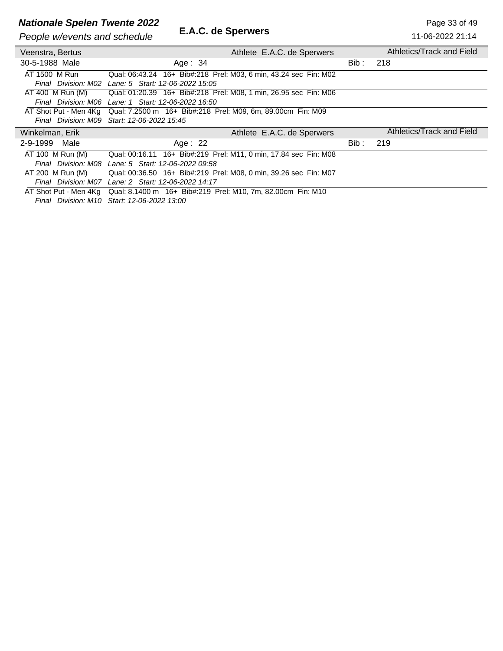# **Nationale Spelen Twente 2022**<br>Page 33 of 49<br>Poople w/overts and schodule **E.A.C. de Sperwers** 11-06-2022 11:14

**People w/events and schedule** 

| People w/events and schedule                        | E.A.C. GE OPEI WEIS                                                               |       | 11-06-2022 21:14          |
|-----------------------------------------------------|-----------------------------------------------------------------------------------|-------|---------------------------|
| Veenstra, Bertus                                    | Athlete E.A.C. de Sperwers                                                        |       | Athletics/Track and Field |
| 30-5-1988 Male                                      | Age: $34$                                                                         | Bib : | 218                       |
| AT 1500 M Run                                       | Qual: 06:43.24 16+ Bib#:218 Prel: M03, 6 min, 43.24 sec Fin: M02                  |       |                           |
|                                                     | Final Division: M02 Lane: 5 Start: 12-06-2022 15:05                               |       |                           |
|                                                     | AT 400 M Run (M) Qual: 01:20.39 16+ Bib#:218 Prel: M08, 1 min, 26.95 sec Fin: M06 |       |                           |
|                                                     | Final Division: M06 Lane: 1 Start: 12-06-2022 16:50                               |       |                           |
|                                                     | AT Shot Put - Men 4Kg Qual: 7.2500 m 16+ Bib#:218 Prel: M09, 6m, 89.00cm Fin: M09 |       |                           |
|                                                     | Final Division: M09 Start: 12-06-2022 15:45                                       |       |                           |
| Winkelman, Erik                                     | Athlete E.A.C. de Sperwers                                                        |       | Athletics/Track and Field |
| 2-9-1999 Male                                       | Age: $22$                                                                         | Bib : | 219                       |
| AT 100 M Run (M)                                    | Qual: 00:16.11 16+ Bib#:219 Prel: M11, 0 min, 17.84 sec Fin: M08                  |       |                           |
|                                                     | Final Division: M08 Lane: 5 Start: 12-06-2022 09:58                               |       |                           |
| AT 200 M Run (M)                                    | Qual: 00:36.50 16+ Bib#:219 Prel: M08, 0 min, 39.26 sec Fin: M07                  |       |                           |
| Final Division: M07 Lane: 2 Start: 12-06-2022 14:17 |                                                                                   |       |                           |
|                                                     |                                                                                   |       |                           |
|                                                     | AT Shot Put - Men 4Kg Qual: 8.1400 m 16+ Bib#:219 Prel: M10, 7m, 82.00cm Fin: M10 |       |                           |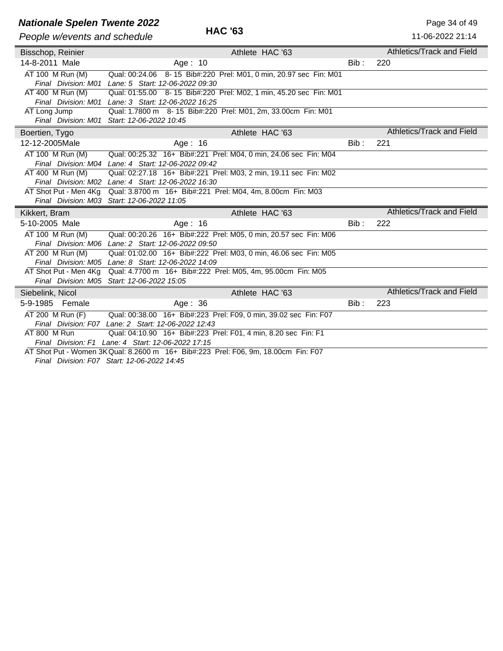## **Nationale Spelen Twente 2022 Page 34 of 49**<br> **HAC '63** Page 34 of 49

| People w/events and schedule | <b>HAC 63</b>                                                                      |         | 11-06-2022 21:14                 |
|------------------------------|------------------------------------------------------------------------------------|---------|----------------------------------|
| Bisschop, Reinier            | Athlete HAC '63                                                                    |         | Athletics/Track and Field        |
| 14-8-2011 Male               | Age: $10$                                                                          | Bib:    | 220                              |
| AT 100 M Run (M)             | Qual: 00:24.06 8-15 Bib#:220 Prel: M01, 0 min, 20.97 sec Fin: M01                  |         |                                  |
| Final Division: M01          | Lane: 5 Start: 12-06-2022 09:30                                                    |         |                                  |
| AT 400 M Run (M)             | Qual: 01:55.00 8-15 Bib#:220 Prel: M02, 1 min, 45.20 sec Fin: M01                  |         |                                  |
|                              | Final Division: M01 Lane: 3 Start: 12-06-2022 16:25                                |         |                                  |
| AT Long Jump                 | Qual: 1.7800 m 8-15 Bib#:220 Prel: M01, 2m, 33.00cm Fin: M01                       |         |                                  |
|                              | Final Division: M01 Start: 12-06-2022 10:45                                        |         |                                  |
| Boertien, Tygo               | Athlete HAC '63                                                                    |         | Athletics/Track and Field        |
| 12-12-2005Male               | Age: $16$                                                                          | Bib :   | 221                              |
| AT 100 M Run (M)             | Qual: 00:25.32 16+ Bib#:221 Prel: M04, 0 min, 24.06 sec Fin: M04                   |         |                                  |
|                              | Final Division: M04 Lane: 4 Start: 12-06-2022 09:42                                |         |                                  |
| AT 400 M Run (M)             | Qual: 02:27.18 16+ Bib#:221 Prel: M03, 2 min, 19.11 sec Fin: M02                   |         |                                  |
|                              | Final Division: M02 Lane: 4 Start: 12-06-2022 16:30                                |         |                                  |
| AT Shot Put - Men 4Kg        | Qual: 3.8700 m 16+ Bib#:221 Prel: M04, 4m, 8.00cm Fin: M03                         |         |                                  |
|                              | Final Division: M03 Start: 12-06-2022 11:05                                        |         |                                  |
| Kikkert, Bram                | Athlete HAC '63                                                                    |         | Athletics/Track and Field        |
| 5-10-2005 Male               | Age: 16                                                                            | Bib:    | 222                              |
| AT 100 M Run (M)             | Qual: 00:20.26 16+ Bib#:222 Prel: M05, 0 min, 20.57 sec Fin: M06                   |         |                                  |
|                              | Final Division: M06 Lane: 2 Start: 12-06-2022 09:50                                |         |                                  |
| AT 200 M Run (M)             | Qual: 01:02.00 16+ Bib#:222 Prel: M03, 0 min, 46.06 sec Fin: M05                   |         |                                  |
|                              | Final Division: M05 Lane: 8 Start: 12-06-2022 14:09                                |         |                                  |
| AT Shot Put - Men 4Kg        | Qual: 4.7700 m 16+ Bib#:222 Prel: M05, 4m, 95.00cm Fin: M05                        |         |                                  |
|                              | Final Division: M05 Start: 12-06-2022 15:05                                        |         |                                  |
| Siebelink, Nicol             | Athlete HAC '63                                                                    |         | <b>Athletics/Track and Field</b> |
| 5-9-1985 Female              | Age: $36$                                                                          | $Bib$ : | 223                              |
| AT 200 M Run (F)             | Qual: 00:38.00 16+ Bib#:223 Prel: F09, 0 min, 39.02 sec Fin: F07                   |         |                                  |
|                              | Final Division: F07 Lane: 2 Start: 12-06-2022 12:43                                |         |                                  |
| AT 800 M Run                 | Qual: 04:10.90 16+ Bib#:223 Prel: F01, 4 min, 8.20 sec Fin: F1                     |         |                                  |
|                              | Final Division: F1 Lane: 4 Start: 12-06-2022 17:15                                 |         |                                  |
|                              | AT Shot Put - Women 3K Qual: 8.2600 m 16+ Bib#:223 Prel: F06, 9m, 18.00cm Fin: F07 |         |                                  |

*Final Division: F07 Start: 12-06-2022 14:45*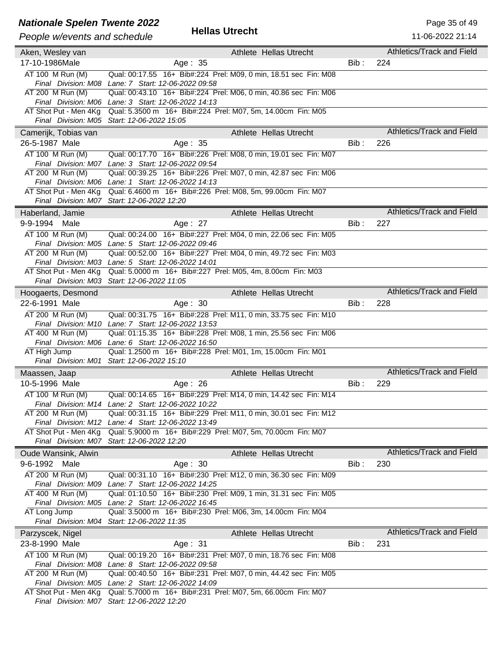## **Nationale Spelen Twente 2022**<br> **Hellas Utrecht** Page 35 of 49<br>
Page 35 of 49<br>
Page 2022 21:14

#### *People w/events and schedule* **Hellas Utrecht**

| People w/events and schedule | <b>Helias Utrecht</b>                                                                                                   |         | 11-06-2022 21:14                 |
|------------------------------|-------------------------------------------------------------------------------------------------------------------------|---------|----------------------------------|
| Aken, Wesley van             | Athlete Hellas Utrecht                                                                                                  |         | Athletics/Track and Field        |
| 17-10-1986Male               | Age: 35                                                                                                                 | $Bib$ : | 224                              |
| AT 100 M Run (M)             | Qual: 00:17.55 16+ Bib#:224 Prel: M09, 0 min, 18.51 sec Fin: M08                                                        |         |                                  |
|                              | Final Division: M08 Lane: 7 Start: 12-06-2022 09:58                                                                     |         |                                  |
| AT 200 M Run (M)             | Qual: 00:43.10 16+ Bib#:224 Prel: M06, 0 min, 40.86 sec Fin: M06                                                        |         |                                  |
|                              | Final Division: M06 Lane: 3 Start: 12-06-2022 14:13                                                                     |         |                                  |
| AT Shot Put - Men 4Kg        | Qual: 5.3500 m 16+ Bib#:224 Prel: M07, 5m, 14.00cm Fin: M05                                                             |         |                                  |
|                              | Final Division: M05 Start: 12-06-2022 15:05                                                                             |         |                                  |
| Camerijk, Tobias van         | Athlete Hellas Utrecht                                                                                                  |         | Athletics/Track and Field        |
| 26-5-1987 Male               | Age: 35                                                                                                                 | $Bib$ : | 226                              |
| AT 100 M Run (M)             | Qual: 00:17.70  16+ Bib#:226  Prel: M08, 0 min, 19.01 sec  Fin: M07                                                     |         |                                  |
|                              | Final Division: M07 Lane: 3 Start: 12-06-2022 09:54                                                                     |         |                                  |
| AT 200 M Run (M)             | Qual: 00:39.25 16+ Bib#:226 Prel: M07, 0 min, 42.87 sec Fin: M06<br>Final Division: M06 Lane: 1 Start: 12-06-2022 14:13 |         |                                  |
|                              | AT Shot Put - Men 4Kg Qual: 6.4600 m 16+ Bib#:226 Prel: M08, 5m, 99.00cm Fin: M07                                       |         |                                  |
|                              | Final Division: M07 Start: 12-06-2022 12:20                                                                             |         |                                  |
| Haberland, Jamie             | Athlete Hellas Utrecht                                                                                                  |         | <b>Athletics/Track and Field</b> |
| 9-9-1994 Male                | Age: 27                                                                                                                 | Bib:    | 227                              |
| AT 100 M Run (M)             | Qual: 00:24.00 16+ Bib#:227 Prel: M04, 0 min, 22.06 sec Fin: M05                                                        |         |                                  |
|                              | Final Division: M05 Lane: 5 Start: 12-06-2022 09:46                                                                     |         |                                  |
| AT 200 M Run (M)             | Qual: 00:52.00 16+ Bib#:227 Prel: M04, 0 min, 49.72 sec Fin: M03                                                        |         |                                  |
|                              | Final Division: M03 Lane: 5 Start: 12-06-2022 14:01                                                                     |         |                                  |
| AT Shot Put - Men 4Kg        | Qual: 5.0000 m 16+ Bib#:227 Prel: M05, 4m, 8.00cm Fin: M03                                                              |         |                                  |
|                              | Final Division: M03 Start: 12-06-2022 11:05                                                                             |         |                                  |
| Hoogaerts, Desmond           | Athlete Hellas Utrecht                                                                                                  |         | Athletics/Track and Field        |
| 22-6-1991 Male               | Age: $30$                                                                                                               | Bib:    | 228                              |
| AT 200 M Run (M)             | Qual: 00:31.75 16+ Bib#:228 Prel: M11, 0 min, 33.75 sec Fin: M10                                                        |         |                                  |
|                              | Final Division: M10 Lane: 7 Start: 12-06-2022 13:53                                                                     |         |                                  |
| AT 400 M Run (M)             | Qual: 01:15.35 16+ Bib#:228 Prel: M08, 1 min, 25.56 sec Fin: M06<br>Final Division: M06 Lane: 6 Start: 12-06-2022 16:50 |         |                                  |
| AT High Jump                 | Qual: 1.2500 m 16+ Bib#:228 Prel: M01, 1m, 15.00cm Fin: M01                                                             |         |                                  |
|                              | Final Division: M01 Start: 12-06-2022 15:10                                                                             |         |                                  |
| Maassen, Jaap                | Athlete Hellas Utrecht                                                                                                  |         | Athletics/Track and Field        |
| 10-5-1996 Male               | Age: 26                                                                                                                 | Bib:    | 229                              |
| AT 100 M Run (M)             | Qual: 00:14.65 16+ Bib#:229 Prel: M14, 0 min, 14.42 sec Fin: M14                                                        |         |                                  |
|                              | Final Division: M14 Lane: 2 Start: 12-06-2022 10:22                                                                     |         |                                  |
| AT 200 M Run (M)             | Qual: 00:31.15 16+ Bib#:229 Prel: M11, 0 min, 30.01 sec Fin: M12                                                        |         |                                  |
| AT Shot Put - Men 4Kg        | Final Division: M12 Lane: 4 Start: 12-06-2022 13:49<br>Qual: 5.9000 m 16+ Bib#:229 Prel: M07, 5m, 70.00cm Fin: M07      |         |                                  |
|                              | Final Division: M07 Start: 12-06-2022 12:20                                                                             |         |                                  |
| Oude Wansink, Alwin          | Athlete Hellas Utrecht                                                                                                  |         | Athletics/Track and Field        |
| 9-6-1992 Male                | Age: 30                                                                                                                 | $Bib$ : | 230                              |
| AT 200 M Run (M)             | Qual: 00:31.10 16+ Bib#:230 Prel: M12, 0 min, 36.30 sec Fin: M09                                                        |         |                                  |
|                              | Final Division: M09 Lane: 7 Start: 12-06-2022 14:25                                                                     |         |                                  |
| AT 400 M Run (M)             | Qual: 01:10.50 16+ Bib#:230 Prel: M09, 1 min, 31.31 sec Fin: M05                                                        |         |                                  |
|                              | Final Division: M05 Lane: 2 Start: 12-06-2022 16:45                                                                     |         |                                  |
| AT Long Jump                 | Qual: 3.5000 m 16+ Bib#:230 Prel: M06, 3m, 14.00cm Fin: M04                                                             |         |                                  |
|                              | Final Division: M04 Start: 12-06-2022 11:35                                                                             |         |                                  |
| Parzyscek, Nigel             | Athlete Hellas Utrecht                                                                                                  |         | Athletics/Track and Field        |
| 23-8-1990 Male               | Age: 31                                                                                                                 | Bib:    | 231                              |
| AT 100 M Run (M)             | Qual: 00:19.20 16+ Bib#:231 Prel: M07, 0 min, 18.76 sec Fin: M08                                                        |         |                                  |
|                              | Final Division: M08 Lane: 8 Start: 12-06-2022 09:58                                                                     |         |                                  |
| AT 200 M Run (M)             | Qual: 00:40.50 16+ Bib#:231 Prel: M07, 0 min, 44.42 sec Fin: M05<br>Final Division: M05 Lane: 2 Start: 12-06-2022 14:09 |         |                                  |
| AT Shot Put - Men 4Kg        | Qual: 5.7000 m 16+ Bib#:231 Prel: M07, 5m, 66.00cm Fin: M07                                                             |         |                                  |
|                              | Final Division: M07 Start: 12-06-2022 12:20                                                                             |         |                                  |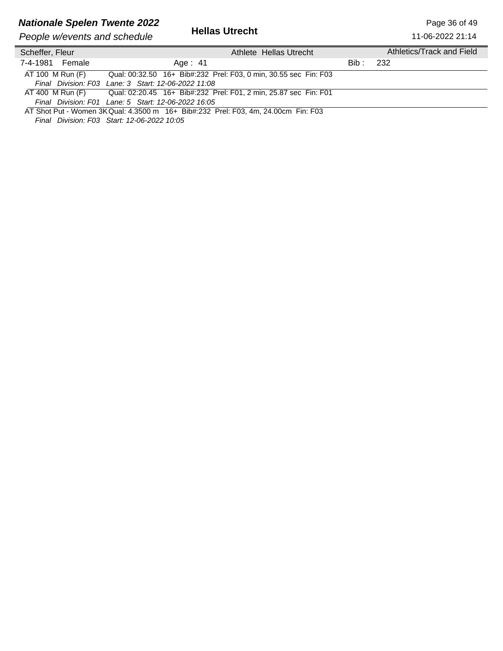### *Nationale Spelen Twente 2022* Page 36 of 49

| People w/events and schedule | <b>Hellas Utrecht</b>                                            |         | 11-06-2022 21:14          |
|------------------------------|------------------------------------------------------------------|---------|---------------------------|
| Scheffer, Fleur              | Athlete Hellas Utrecht                                           |         | Athletics/Track and Field |
| 7-4-1981 Female              | Age: 41                                                          | Bib : - | -232                      |
| AT 100 M Run (F)             | Qual: 00:32.50 16+ Bib#:232 Prel: F03, 0 min, 30.55 sec Fin: F03 |         |                           |
|                              | Final Division: F03 Lane: 3 Start: 12-06-2022 11:08              |         |                           |
| AT 400 M Run (F)             | Qual: 02:20.45 16+ Bib#:232 Prel: F01, 2 min, 25.87 sec Fin: F01 |         |                           |
|                              | Final Division: F01 Lane: 5 Start: 12-06-2022 16:05              |         |                           |

AT Shot Put - Women 3KQual: 4.3500 m 16+ Bib#:232 Prel: F03, 4m, 24.00cm Fin: F03 *Final Division: F03 Start: 12-06-2022 10:05*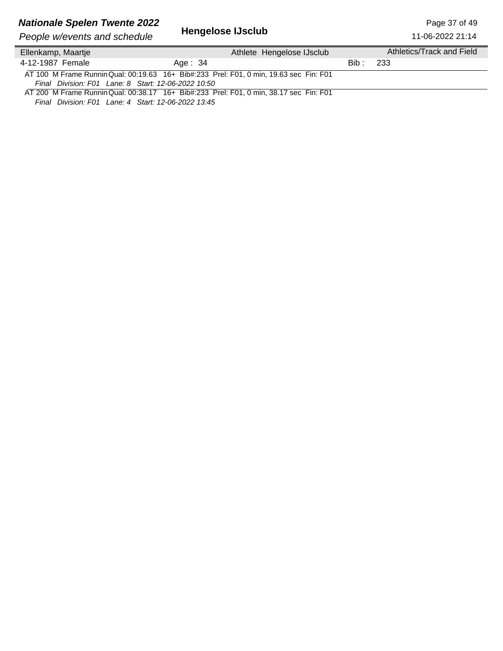# **Nationale Spelen Twente 2022**<br>Page 37 of 49<br>Peeple w/overts and schodule **Hengelose IJsclub** Peeple 11-06-2022 21:14

**People w/events and schedule** 

11-06-2022 21:14

| Ellenkamp, Maartje                                                                                                                                                                                                                                                                                      | Athlete Hengelose IJsclub                                                              |       | Athletics/Track and Field |
|---------------------------------------------------------------------------------------------------------------------------------------------------------------------------------------------------------------------------------------------------------------------------------------------------------|----------------------------------------------------------------------------------------|-------|---------------------------|
| 4-12-1987 Female                                                                                                                                                                                                                                                                                        | Age: 34                                                                                | Bib : | -233                      |
|                                                                                                                                                                                                                                                                                                         | AT 100 M Frame Runnin Qual: 00:19.63 16+ Bib#:233 Prel: F01, 0 min, 19.63 sec Fin: F01 |       |                           |
| Final Division: F01 Lane: 8 Start: 12-06-2022 10:50                                                                                                                                                                                                                                                     |                                                                                        |       |                           |
|                                                                                                                                                                                                                                                                                                         | AT 200 M Frame Runnin Qual: 00:38.17 16+ Bib#:233 Prel: F01, 0 min, 38.17 sec Fin: F01 |       |                           |
| $F(x+1, 0), f(x+1, 0) = F(x+1, 1) + F(x+1, 1) + F(x+1, 1) + F(x+1, 1) + F(x+1, 1) + F(x+1, 1) + F(x+1, 1) + F(x+1, 1) + F(x+1, 1) + F(x+1, 1) + F(x+1, 1) + F(x+1, 1) + F(x+1, 1) + F(x+1, 1) + F(x+1, 1) + F(x+1, 1) + F(x+1, 1) + F(x+1, 1) + F(x+1, 1) + F(x+1, 1) + F(x+1, 1) + F(x+1, 1) + F(x+1,$ |                                                                                        |       |                           |

*Final Division: F01 Lane: 4 Start: 12-06-2022 13:45*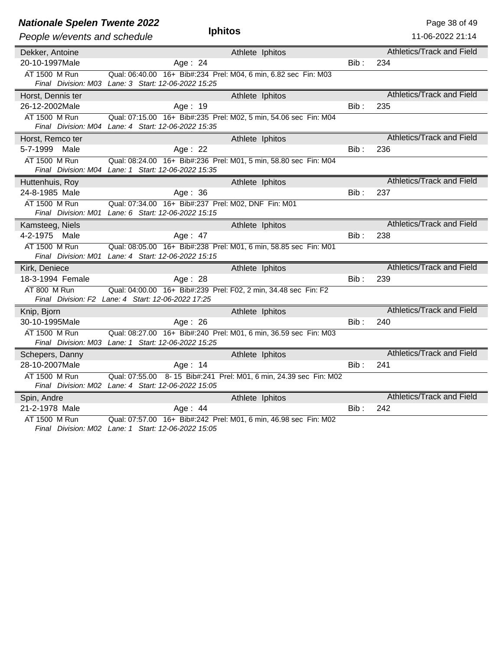| <b>Nationale Spelen Twente 2022</b> |                                                                   |         | Page 38 of 49                    |
|-------------------------------------|-------------------------------------------------------------------|---------|----------------------------------|
| People w/events and schedule        | <b>Iphitos</b>                                                    |         | 11-06-2022 21:14                 |
| Dekker, Antoine                     | Athlete Iphitos                                                   |         | Athletics/Track and Field        |
| 20-10-1997Male                      | Age: 24                                                           | $Bib$ : | 234                              |
| AT 1500 M Run                       | Qual: 06:40.00 16+ Bib#:234 Prel: M04, 6 min, 6.82 sec Fin: M03   |         |                                  |
|                                     | Final Division: M03 Lane: 3 Start: 12-06-2022 15:25               |         |                                  |
| Horst, Dennis ter                   | Athlete Iphitos                                                   |         | Athletics/Track and Field        |
| 26-12-2002Male                      | Age: 19                                                           | $Bib$ : | 235                              |
| AT 1500 M Run                       | Qual: 07:15.00 16+ Bib#:235 Prel: M02, 5 min, 54.06 sec Fin: M04  |         |                                  |
|                                     | Final Division: M04 Lane: 4 Start: 12-06-2022 15:35               |         |                                  |
| Horst, Remco ter                    | Athlete Iphitos                                                   |         | Athletics/Track and Field        |
| 5-7-1999<br>Male                    | Age: $22$                                                         | $Bib$ : | 236                              |
| AT 1500 M Run                       | Qual: 08:24.00 16+ Bib#:236 Prel: M01, 5 min, 58.80 sec Fin: M04  |         |                                  |
|                                     | Final Division: M04 Lane: 1 Start: 12-06-2022 15:35               |         |                                  |
| Huttenhuis, Roy                     | Athlete Iphitos                                                   |         | Athletics/Track and Field        |
| 24-8-1985 Male                      | Age: 36                                                           | Bib :   | 237                              |
| AT 1500 M Run                       | Qual: 07:34.00 16+ Bib#:237 Prel: M02, DNF Fin: M01               |         |                                  |
|                                     | Final Division: M01 Lane: 6 Start: 12-06-2022 15:15               |         |                                  |
| Kamsteeg, Niels                     | Athlete Iphitos                                                   |         | Athletics/Track and Field        |
| 4-2-1975 Male                       | Age: 47                                                           | Bib:    | 238                              |
| AT 1500 M Run                       | Qual: 08:05.00 16+ Bib#:238 Prel: M01, 6 min, 58.85 sec Fin: M01  |         |                                  |
|                                     | Final Division: M01 Lane: 4 Start: 12-06-2022 15:15               |         |                                  |
| Kirk, Deniece                       | Athlete Iphitos                                                   |         | <b>Athletics/Track and Field</b> |
| 18-3-1994 Female                    | Age: 28                                                           | $Bib$ : | 239                              |
| AT 800 M Run                        | Qual: 04:00.00 16+ Bib#:239 Prel: F02, 2 min, 34.48 sec Fin: F2   |         |                                  |
|                                     | Final Division: F2 Lane: 4 Start: 12-06-2022 17:25                |         |                                  |
| Knip, Bjorn                         | Athlete Iphitos                                                   |         | <b>Athletics/Track and Field</b> |
| 30-10-1995Male                      | Age: $26$                                                         | Bib:    | 240                              |
| AT 1500 M Run                       | Qual: 08:27.00 16+ Bib#:240 Prel: M01, 6 min, 36.59 sec Fin: M03  |         |                                  |
|                                     | Final Division: M03 Lane: 1 Start: 12-06-2022 15:25               |         |                                  |
| Schepers, Danny                     | Athlete Iphitos                                                   |         | <b>Athletics/Track and Field</b> |
| 28-10-2007Male                      | Age: $14$                                                         | Bib:    | 241                              |
| AT 1500 M Run                       | Qual: 07:55.00 8-15 Bib#:241 Prel: M01, 6 min, 24.39 sec Fin: M02 |         |                                  |
|                                     | Final Division: M02 Lane: 4 Start: 12-06-2022 15:05               |         |                                  |
| Spin, Andre                         | Athlete Iphitos                                                   |         | Athletics/Track and Field        |
| 21-2-1978 Male                      | Age: $44$                                                         | $Bib$ : | 242                              |
| AT 1500 M Run                       | Qual: 07:57.00 16+ Bib#:242 Prel: M01, 6 min, 46.98 sec Fin: M02  |         |                                  |
|                                     | $Final$ Division: $M02$ Lang: 1. Ctart: 12.06.2022.15:05          |         |                                  |

*Final Division: M02 Lane: 1 Start: 12-06-2022 15:05*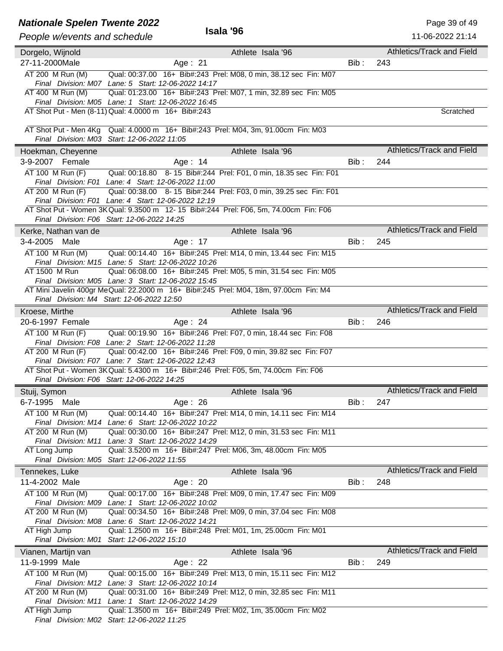### **Nationale Spelen Twente 2022 Page 39 of 49**

| People w/events and schedule       | Isala '96                                                                                                                          |       | 11-06-2022 21:14          |
|------------------------------------|------------------------------------------------------------------------------------------------------------------------------------|-------|---------------------------|
|                                    |                                                                                                                                    |       | Athletics/Track and Field |
| Dorgelo, Wijnold                   | Athlete Isala '96                                                                                                                  |       |                           |
| 27-11-2000Male                     | Age: 21                                                                                                                            | Bib : | 243                       |
| AT 200 M Run (M)                   | Qual: 00:37.00 16+ Bib#:243 Prel: M08, 0 min, 38.12 sec Fin: M07                                                                   |       |                           |
| AT 400 M Run (M)                   | Final Division: M07 Lane: 5 Start: 12-06-2022 14:17<br>Qual: 01:23.00 16+ Bib#:243 Prel: M07, 1 min, 32.89 sec Fin: M05            |       |                           |
|                                    | Final Division: M05 Lane: 1 Start: 12-06-2022 16:45                                                                                |       |                           |
|                                    | AT Shot Put - Men (8-11) Qual: 4.0000 m 16+ Bib#:243                                                                               |       | Scratched                 |
|                                    |                                                                                                                                    |       |                           |
|                                    | AT Shot Put - Men 4Kg Qual: 4.0000 m 16+ Bib#:243 Prel: M04, 3m, 91.00cm Fin: M03                                                  |       |                           |
|                                    | Final Division: M03 Start: 12-06-2022 11:05                                                                                        |       |                           |
| Hoekman, Cheyenne                  | Athlete Isala '96                                                                                                                  |       | Athletics/Track and Field |
| 3-9-2007 Female                    | Age: 14                                                                                                                            | Bib:  | 244                       |
| AT 100 M Run (F)                   | Qual: 00:18.80 8-15 Bib#:244 Prel: F01, 0 min, 18.35 sec Fin: F01                                                                  |       |                           |
| AT 200 M Run (F)                   | Final Division: F01 Lane: 4 Start: 12-06-2022 11:00<br>Qual: 00:38.00 8-15 Bib#:244 Prel: F03, 0 min, 39.25 sec Fin: F01           |       |                           |
|                                    | Final Division: F01 Lane: 4 Start: 12-06-2022 12:19                                                                                |       |                           |
|                                    | AT Shot Put - Women 3K Qual: 9.3500 m 12-15 Bib#:244 Prel: F06, 5m, 74.00cm Fin: F06                                               |       |                           |
|                                    | Final Division: F06 Start: 12-06-2022 14:25                                                                                        |       |                           |
| Kerke, Nathan van de               | Athlete Isala '96                                                                                                                  |       | Athletics/Track and Field |
| 3-4-2005<br>Male                   | Age: 17                                                                                                                            | Bib : | 245                       |
| AT 100 M Run (M)                   | Qual: 00:14.40  16+ Bib#:245  Prel: M14, 0 min, 13.44 sec Fin: M15                                                                 |       |                           |
|                                    | Final Division: M15 Lane: 5 Start: 12-06-2022 10:26                                                                                |       |                           |
| AT 1500 M Run                      | Qual: 06:08.00 16+ Bib#:245 Prel: M05, 5 min, 31.54 sec Fin: M05                                                                   |       |                           |
|                                    | Final Division: M05 Lane: 3 Start: 12-06-2022 15:45                                                                                |       |                           |
|                                    | AT Mini Javelin 400gr MeQual: 22.2000 m 16+ Bib#:245 Prel: M04, 18m, 97.00cm Fin: M4<br>Final Division: M4 Start: 12-06-2022 12:50 |       |                           |
|                                    |                                                                                                                                    |       | Athletics/Track and Field |
| Kroese, Mirthe<br>20-6-1997 Female | Athlete Isala '96                                                                                                                  | Bib:  | 246                       |
|                                    | Age: 24                                                                                                                            |       |                           |
| AT 100 M Run (F)                   | Qual: 00:19.90 16+ Bib#:246 Prel: F07, 0 min, 18.44 sec Fin: F08<br>Final Division: F08 Lane: 2 Start: 12-06-2022 11:28            |       |                           |
| AT 200 M Run (F)                   | Qual: 00:42.00 16+ Bib#:246 Prel: F09, 0 min, 39.82 sec Fin: F07                                                                   |       |                           |
|                                    | Final Division: F07 Lane: 7 Start: 12-06-2022 12:43                                                                                |       |                           |
|                                    | AT Shot Put - Women 3K Qual: 5.4300 m 16+ Bib#:246 Prel: F05, 5m, 74.00cm Fin: F06                                                 |       |                           |
|                                    | Final Division: F06 Start: 12-06-2022 14:25                                                                                        |       |                           |
| Stuij, Symon                       | Athlete Isala '96                                                                                                                  |       | Athletics/Track and Field |
| 6-7-1995 Male                      | Age: 26                                                                                                                            | Bib:  | 247                       |
| AT 100 M Run (M)                   | Qual: 00:14.40 16+ Bib#:247 Prel: M14, 0 min, 14.11 sec Fin: M14                                                                   |       |                           |
|                                    | Final Division: M14 Lane: 6 Start: 12-06-2022 10:22                                                                                |       |                           |
| AT 200 M Run (M)                   | Qual: 00:30.00 16+ Bib#:247 Prel: M12, 0 min, 31.53 sec Fin: M11<br>Final Division: M11 Lane: 3 Start: 12-06-2022 14:29            |       |                           |
| AT Long Jump                       | Qual: 3.5200 m 16+ Bib#:247 Prel: M06, 3m, 48.00cm Fin: M05                                                                        |       |                           |
|                                    | Final Division: M05 Start: 12-06-2022 11:55                                                                                        |       |                           |
| Tennekes, Luke                     | Athlete Isala '96                                                                                                                  |       | Athletics/Track and Field |
| 11-4-2002 Male                     | Age: 20                                                                                                                            | Bib : | 248                       |
| AT 100 M Run (M)                   | Qual: 00:17.00 16+ Bib#:248 Prel: M09, 0 min, 17.47 sec Fin: M09                                                                   |       |                           |
|                                    | Final Division: M09 Lane: 1 Start: 12-06-2022 10:02                                                                                |       |                           |
| AT 200 M Run (M)                   | Qual: 00:34.50 16+ Bib#:248 Prel: M09, 0 min, 37.04 sec Fin: M08                                                                   |       |                           |
|                                    | Final Division: M08 Lane: 6 Start: 12-06-2022 14:21                                                                                |       |                           |
| AT High Jump                       | Qual: 1.2500 m 16+ Bib#:248 Prel: M01, 1m, 25.00cm Fin: M01<br>Final Division: M01 Start: 12-06-2022 15:10                         |       |                           |
|                                    |                                                                                                                                    |       | Athletics/Track and Field |
| Vianen, Martijn van                | Athlete Isala '96                                                                                                                  |       |                           |
| 11-9-1999 Male                     | Age: 22                                                                                                                            | Bib:  | 249                       |
| AT 100 M Run (M)                   | Qual: 00:15.00 16+ Bib#:249 Prel: M13, 0 min, 15.11 sec Fin: M12<br>Final Division: M12 Lane: 3 Start: 12-06-2022 10:14            |       |                           |
| AT 200 M Run (M)                   | Qual: 00:31.00 16+ Bib#:249 Prel: M12, 0 min, 32.85 sec Fin: M11                                                                   |       |                           |
|                                    | Final Division: M11 Lane: 1 Start: 12-06-2022 14:29                                                                                |       |                           |
| AT High Jump                       | Qual: 1.3500 m 16+ Bib#:249 Prel: M02, 1m, 35.00cm Fin: M02                                                                        |       |                           |
|                                    | Final Division: M02 Start: 12-06-2022 11:25                                                                                        |       |                           |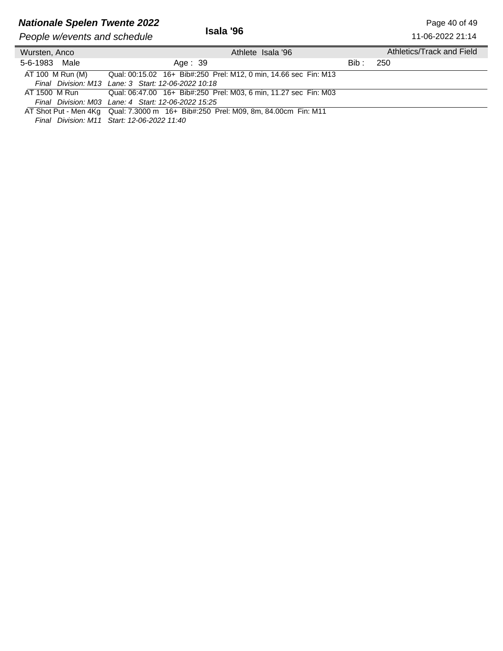## **Nationale Spelen Twente 2022 Page 40 of 49**<br>Page 40 of 49

**People w/events and schedule** 

11-06-2022 21:14

| Wursten, Anco    | Athlete Isala '96                                                                 |       | Athletics/Track and Field |
|------------------|-----------------------------------------------------------------------------------|-------|---------------------------|
| 5-6-1983 Male    | Age: 39                                                                           | Bib : | -250                      |
| AT 100 M Run (M) | Qual: 00:15.02 16+ Bib#:250 Prel: M12, 0 min, 14.66 sec Fin: M13                  |       |                           |
|                  | Final Division: M13 Lane: 3 Start: 12-06-2022 10:18                               |       |                           |
| AT 1500 M Run    | Qual: 06:47.00 16+ Bib#:250 Prel: M03, 6 min, 11.27 sec Fin: M03                  |       |                           |
|                  | Final Division: M03 Lane: 4 Start: 12-06-2022 15:25                               |       |                           |
|                  | AT Shot Put - Men 4Kg Qual: 7.3000 m 16+ Bib#:250 Prel: M09, 8m, 84.00cm Fin: M11 |       |                           |

*Final Division: M11 Start: 12-06-2022 11:40*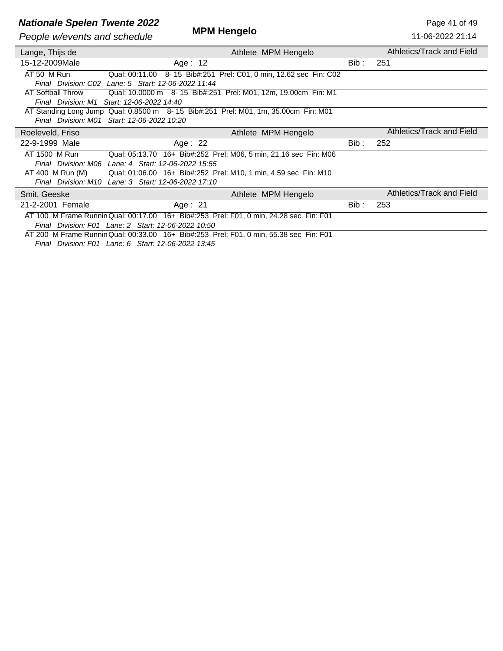# **Nationale Spelen Twente 2022**<br>**MPM Hengelo** Page 41 of 49

**People w/events and schedule** 

| People w/events and schedule            | <b>IVIFIVI HEILYEIU</b>                                                                                                                       |       | 11-06-2022 21:14          |
|-----------------------------------------|-----------------------------------------------------------------------------------------------------------------------------------------------|-------|---------------------------|
| Lange, Thijs de                         | Athlete MPM Hengelo                                                                                                                           |       | Athletics/Track and Field |
| 15-12-2009Male                          | Age: 12                                                                                                                                       | Bib : | 251                       |
| AT 50 M Run                             | Qual: 00:11.00 8-15 Bib#:251 Prel: C01, 0 min, 12.62 sec Fin: C02<br>Final Division: C02 Lane: 5 Start: 12-06-2022 11:44                      |       |                           |
| AT Softball Throw<br>Final Division: M1 | Qual: 10.0000 m 8-15 Bib#:251 Prel: M01, 12m, 19.00cm Fin: M1<br>Start: 12-06-2022 14:40                                                      |       |                           |
| Final Division: M01                     | AT Standing Long Jump Qual: 0.8500 m 8-15 Bib#:251 Prel: M01, 1m, 35.00cm Fin: M01<br>Start: 12-06-2022 10:20                                 |       |                           |
| Roeleveld, Friso                        | Athlete MPM Hengelo                                                                                                                           |       | Athletics/Track and Field |
| 22-9-1999 Male                          | Age: $22$                                                                                                                                     | Bib : | 252                       |
| AT 1500 M Run<br>Final Division: M06    | Qual: 05:13.70 16+ Bib#:252 Prel: M06, 5 min, 21.16 sec Fin: M06<br>Lane: 4 Start: 12-06-2022 15:55                                           |       |                           |
| AT 400 M Run (M)                        | Qual: 01:06.00 16+ Bib#:252 Prel: M10, 1 min, 4.59 sec Fin: M10<br>Final Division: M10 Lane: 3 Start: 12-06-2022 17:10                        |       |                           |
| Smit, Geeske                            | Athlete MPM Hengelo                                                                                                                           |       | Athletics/Track and Field |
| 21-2-2001 Female                        | Age: $21$                                                                                                                                     | Bib : | 253                       |
|                                         | AT 100 M Frame Runnin Qual: 00:17.00 16+ Bib#:253 Prel: F01, 0 min, 24.28 sec Fin: F01<br>Final Division: F01 Lane: 2 Start: 12-06-2022 10:50 |       |                           |
|                                         | AT 200 M Frame Runnin Qual: 00:33.00 16+ Bib#:253 Prel: F01, 0 min, 55.38 sec Fin: F01                                                        |       |                           |

*Final Division: F01 Lane: 6 Start: 12-06-2022 13:45*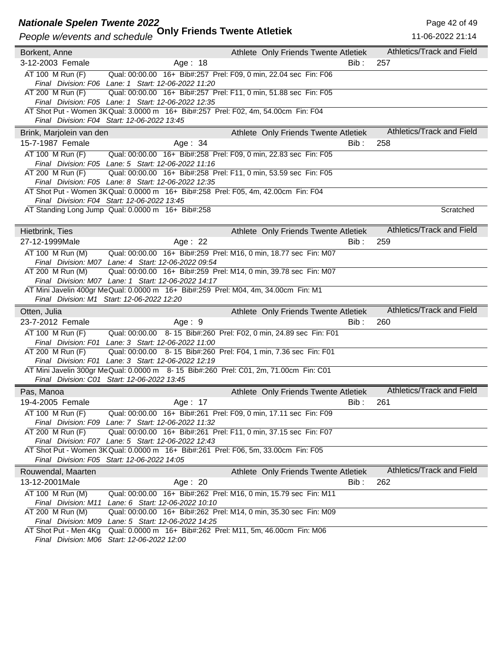#### **Nationale Spelen Twente 2022** Page 42 of 49

|                          | People w/events and schedule Uniy Friends Twente Atletiek                                                               | 11-06-2022 21:14          |
|--------------------------|-------------------------------------------------------------------------------------------------------------------------|---------------------------|
| Borkent, Anne            | Athlete Only Friends Twente Atletiek                                                                                    | Athletics/Track and Field |
| 3-12-2003 Female         | Age: 18<br>Bib:                                                                                                         | 257                       |
| AT 100 M Run (F)         | Qual: 00:00.00 16+ Bib#:257 Prel: F09, 0 min, 22.04 sec Fin: F06                                                        |                           |
|                          | Final Division: F06 Lane: 1 Start: 12-06-2022 11:20                                                                     |                           |
| AT 200 M Run (F)         | Qual: 00:00.00 16+ Bib#:257 Prel: F11, 0 min, 51.88 sec Fin: F05                                                        |                           |
|                          | Final Division: F05 Lane: 1 Start: 12-06-2022 12:35                                                                     |                           |
|                          | AT Shot Put - Women 3K Qual: 3.0000 m 16+ Bib#:257 Prel: F02, 4m, 54.00cm Fin: F04                                      |                           |
|                          | Final Division: F04 Start: 12-06-2022 13:45                                                                             |                           |
| Brink, Marjolein van den | Athlete Only Friends Twente Atletiek                                                                                    | Athletics/Track and Field |
| 15-7-1987 Female         | Age: $34$<br>Bib :                                                                                                      | 258                       |
| AT 100 M Run (F)         | Qual: 00:00.00 16+ Bib#:258 Prel: F09, 0 min, 22.83 sec Fin: F05                                                        |                           |
|                          | Final Division: F05 Lane: 5 Start: 12-06-2022 11:16                                                                     |                           |
| AT 200 M Run (F)         | Qual: 00:00.00 16+ Bib#:258 Prel: F11, 0 min, 53.59 sec Fin: F05                                                        |                           |
|                          | Final Division: F05 Lane: 8 Start: 12-06-2022 12:35                                                                     |                           |
|                          | AT Shot Put - Women 3K Qual: 0.0000 m 16+ Bib#:258 Prel: F05, 4m, 42.00cm Fin: F04                                      |                           |
|                          | Final Division: F04 Start: 12-06-2022 13:45                                                                             |                           |
|                          | AT Standing Long Jump Qual: 0.0000 m 16+ Bib#:258                                                                       | Scratched                 |
| Hietbrink, Ties          | Athlete Only Friends Twente Atletiek                                                                                    | Athletics/Track and Field |
| 27-12-1999Male           |                                                                                                                         |                           |
|                          | Age: 22<br>Bib :                                                                                                        | 259                       |
| AT 100 M Run (M)         | Qual: 00:00.00 16+ Bib#:259 Prel: M16, 0 min, 18.77 sec Fin: M07                                                        |                           |
| AT 200 M Run (M)         | Final Division: M07 Lane: 4 Start: 12-06-2022 09:54<br>Qual: 00:00.00 16+ Bib#:259 Prel: M14, 0 min, 39.78 sec Fin: M07 |                           |
|                          | Final Division: M07 Lane: 1 Start: 12-06-2022 14:17                                                                     |                           |
|                          | AT Mini Javelin 400gr MeQual: 0.0000 m 16+ Bib#:259 Prel: M04, 4m, 34.00cm Fin: M1                                      |                           |
|                          | Final Division: M1 Start: 12-06-2022 12:20                                                                              |                           |
| Otten, Julia             | Athlete Only Friends Twente Atletiek                                                                                    | Athletics/Track and Field |
| 23-7-2012 Female         | Age: $9$<br>Bib :                                                                                                       | 260                       |
| AT 100 M Run (F)         | Qual: 00:00.00 8-15 Bib#:260 Prel: F02, 0 min, 24.89 sec Fin: F01                                                       |                           |
|                          | Final Division: F01 Lane: 3 Start: 12-06-2022 11:00                                                                     |                           |
| AT 200 M Run (F)         | Qual: 00:00.00 8-15 Bib#:260 Prel: F04, 1 min, 7.36 sec Fin: F01                                                        |                           |
|                          | Final Division: F01 Lane: 3 Start: 12-06-2022 12:19                                                                     |                           |
|                          | AT Mini Javelin 300gr MeQual: 0.0000 m 8-15 Bib#:260 Prel: C01, 2m, 71.00cm Fin: C01                                    |                           |
|                          | Final Division: C01 Start: 12-06-2022 13:45                                                                             |                           |
| Pas, Manoa               | Athlete Only Friends Twente Atletiek                                                                                    | Athletics/Track and Field |
| 19-4-2005 Female         | Bib:<br>Age: 17                                                                                                         | 261                       |
| AT 100 M Run (F)         | Qual: 00:00.00 16+ Bib#:261 Prel: F09, 0 min, 17.11 sec Fin: F09                                                        |                           |
|                          | Final Division: F09 Lane: 7 Start: 12-06-2022 11:32                                                                     |                           |
| AT 200 M Run (F)         |                                                                                                                         |                           |
|                          | Qual: 00:00.00 16+ Bib#:261 Prel: F11, 0 min, 37.15 sec Fin: F07                                                        |                           |
|                          | Final Division: F07 Lane: 5 Start: 12-06-2022 12:43                                                                     |                           |
|                          | AT Shot Put - Women 3K Qual: 0.0000 m 16+ Bib#:261 Prel: F06, 5m, 33.00cm Fin: F05                                      |                           |
|                          | Final Division: F05 Start: 12-06-2022 14:05                                                                             |                           |
| Rouwendal, Maarten       | Athlete Only Friends Twente Atletiek                                                                                    | Athletics/Track and Field |
| 13-12-2001Male           | Age: 20<br>Bib :                                                                                                        | 262                       |
| AT 100 M Run (M)         | Qual: 00:00.00 16+ Bib#:262 Prel: M16, 0 min, 15.79 sec Fin: M11                                                        |                           |
| Final Division: M11      | Lane: 6 Start: 12-06-2022 10:10                                                                                         |                           |
| AT 200 M Run (M)         | Qual: 00:00.00 16+ Bib#:262 Prel: M14, 0 min, 35.30 sec Fin: M09                                                        |                           |
| AT Shot Put - Men 4Kg    | Final Division: M09 Lane: 5 Start: 12-06-2022 14:25<br>Qual: 0.0000 m 16+ Bib#:262 Prel: M11, 5m, 46.00cm Fin: M06      |                           |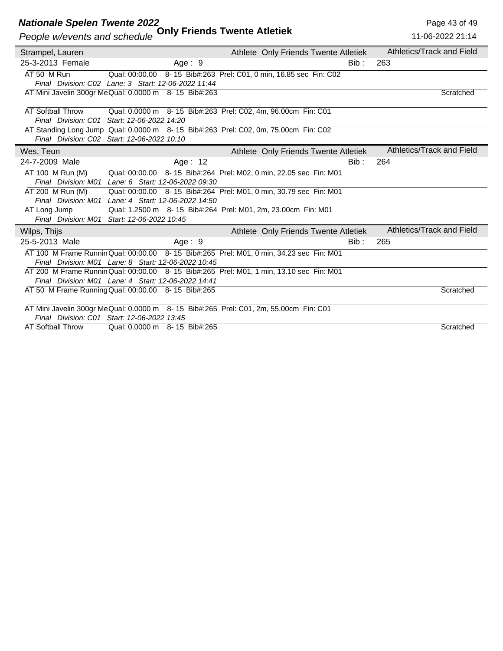#### **Nationale Spelen Twente 2022** Page 43 of 49

### *People w/events and schedule* **Only Friends Twente Atletiek**

| People w/events and schedule | <b>UTTLE LIGIUS I WEILLE ALIGUER</b>                                                    |                                                    |      | 11-06-2022 21:14          |
|------------------------------|-----------------------------------------------------------------------------------------|----------------------------------------------------|------|---------------------------|
| Strampel, Lauren             |                                                                                         | Athlete Only Friends Twente Atletiek               |      | Athletics/Track and Field |
| 25-3-2013 Female             | Age: $9$                                                                                |                                                    | Bib: | 263                       |
| AT 50 M Run                  | Qual: 00:00.00                                                                          | 8-15 Bib#:263 Prel: C01, 0 min, 16.85 sec Fin: C02 |      |                           |
|                              | Final Division: C02 Lane: 3 Start: 12-06-2022 11:44                                     |                                                    |      |                           |
|                              | AT Mini Javelin 300gr Me Qual: 0.0000 m 8- 15 Bib#:263                                  |                                                    |      | Scratched                 |
| <b>AT Softball Throw</b>     | Qual: 0.0000 m 8-15 Bib#:263 Prel: C02, 4m, 96.00cm Fin: C01                            |                                                    |      |                           |
| Final Division: C01          | Start: 12-06-2022 14:20                                                                 |                                                    |      |                           |
|                              | AT Standing Long Jump Qual: 0.0000 m 8-15 Bib#:263 Prel: C02, 0m, 75.00cm Fin: C02      |                                                    |      |                           |
|                              | Final Division: C02 Start: 12-06-2022 10:10                                             |                                                    |      |                           |
| Wes, Teun                    |                                                                                         | Athlete Only Friends Twente Atletiek               |      | Athletics/Track and Field |
| 24-7-2009 Male               | Age: 12                                                                                 |                                                    | Bib: | 264                       |
| AT 100 M Run (M)             | Qual: 00:00.00 8-15 Bib#:264 Prel: M02, 0 min, 22.05 sec Fin: M01                       |                                                    |      |                           |
|                              | Final Division: M01 Lane: 6 Start: 12-06-2022 09:30                                     |                                                    |      |                           |
| AT 200 M Run (M)             | Qual: 00:00.00 8-15 Bib#:264 Prel: M01, 0 min, 30.79 sec Fin: M01                       |                                                    |      |                           |
|                              | Final Division: M01 Lane: 4 Start: 12-06-2022 14:50                                     |                                                    |      |                           |
| AT Long Jump                 | Qual: 1.2500 m 8-15 Bib#:264 Prel: M01, 2m, 23.00cm Fin: M01                            |                                                    |      |                           |
|                              | Final Division: M01 Start: 12-06-2022 10:45                                             |                                                    |      |                           |
| Wilps, Thijs                 |                                                                                         | Athlete Only Friends Twente Atletiek               |      | Athletics/Track and Field |
| 25-5-2013 Male               | Age: 9                                                                                  |                                                    | Bib: | 265                       |
|                              | AT 100 M Frame Runnin Qual: 00:00.00 8-15 Bib#:265 Prel: M01, 0 min, 34.23 sec Fin: M01 |                                                    |      |                           |
|                              | Final Division: M01 Lane: 8 Start: 12-06-2022 10:45                                     |                                                    |      |                           |
|                              | AT 200 M Frame Runnin Qual: 00:00.00 8-15 Bib#:265 Prel: M01, 1 min, 13.10 sec Fin: M01 |                                                    |      |                           |
|                              | Final Division: M01 Lane: 4 Start: 12-06-2022 14:41                                     |                                                    |      |                           |
|                              | AT 50 M Frame Running Qual: 00:00.00 8-15 Bib#:265                                      |                                                    |      | Scratched                 |
|                              | AT Mini Javelin 300gr MeQual: 0.0000 m 8-15 Bib#:265 Prel: C01, 2m, 55.00cm Fin: C01    |                                                    |      |                           |
|                              | Final Division: C01 Start: 12-06-2022 13:45                                             |                                                    |      |                           |
| <b>AT Softball Throw</b>     | Qual: 0.0000 m 8-15 Bib#:265                                                            |                                                    |      | Scratched                 |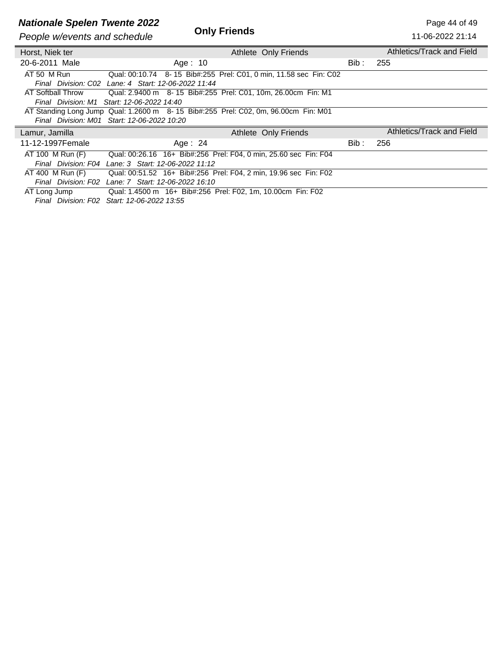# **Nationale Spelen Twente 2022**<br> **Duly Friends**<br>
Page 44 of 49<br>
Page 44 of 49<br>
Page 44 of 49<br>
11-06-2022 21:14

**People w/events and schedule** 

11-06-2022 21:14

| Horst, Niek ter     | Athlete Only Friends                                                               |       | Athletics/Track and Field |
|---------------------|------------------------------------------------------------------------------------|-------|---------------------------|
| 20-6-2011 Male      | Age: $10$                                                                          | Bib : | 255                       |
| AT 50 M Run         | Qual: 00:10.74 8-15 Bib#:255 Prel: C01, 0 min, 11.58 sec Fin: C02                  |       |                           |
|                     | Final Division: C02 Lane: 4 Start: 12-06-2022 11:44                                |       |                           |
| AT Softball Throw   | Qual: 2.9400 m  8-15  Bib#:255  Prel: C01, 10m, 26.00cm  Fin: M1                   |       |                           |
|                     | Final Division: M1 Start: 12-06-2022 14:40                                         |       |                           |
|                     | AT Standing Long Jump Qual: 1.2600 m 8-15 Bib#:255 Prel: C02, 0m, 96.00cm Fin: M01 |       |                           |
|                     | Final Division: M01 Start: 12-06-2022 10:20                                        |       |                           |
|                     |                                                                                    |       |                           |
| Lamur, Jamilla      | Athlete Only Friends                                                               |       | Athletics/Track and Field |
| 11-12-1997Female    | Age: $24$                                                                          | Bib : | 256                       |
| AT 100 M Run (F)    | Qual: 00:26.16 16+ Bib#:256 Prel: F04, 0 min, 25.60 sec Fin: F04                   |       |                           |
| Final Division: F04 | Lane: 3 Start: 12-06-2022 11:12                                                    |       |                           |
| AT 400 M Run (F)    | Qual: 00:51.52 16+ Bib#:256 Prel: F04, 2 min, 19.96 sec Fin: F02                   |       |                           |
| Final Division: F02 | Lane: 7 Start: 12-06-2022 16:10                                                    |       |                           |
| AT Long Jump        | Qual: 1.4500 m 16+ Bib#:256 Prel: F02, 1m, 10.00cm Fin: F02                        |       |                           |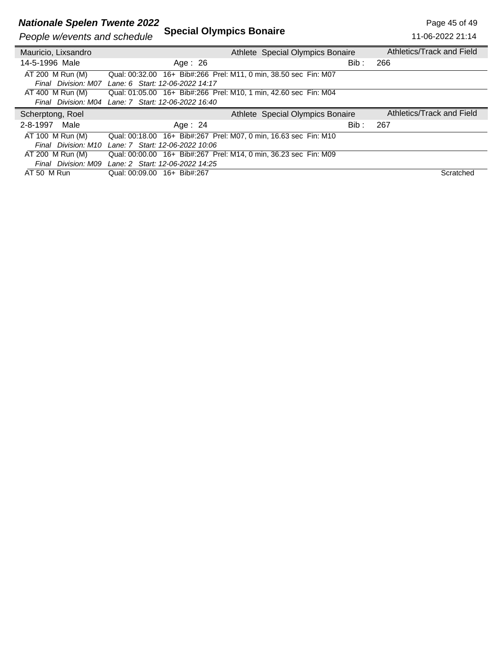#### **Nationale Spelen Twente 2022** 2 and the set of 49 and the set of 49 and the set of 49

### *People w/events and schedule* **Special Olympics Bonaire**

| People w/events and schedule | <b>Special Olympics Bonaire</b>                                  |                                  | 11-06-2022 21:14          |
|------------------------------|------------------------------------------------------------------|----------------------------------|---------------------------|
| Mauricio, Lixsandro          |                                                                  | Athlete Special Olympics Bonaire | Athletics/Track and Field |
| 14-5-1996 Male               | Age: $26$                                                        | Bib :                            | 266                       |
| AT 200 M Run (M)             | Qual: 00:32.00 16+ Bib#:266 Prel: M11, 0 min, 38.50 sec Fin: M07 |                                  |                           |
| Final Division: M07          | Lane: 6 Start: 12-06-2022 14:17                                  |                                  |                           |
| AT 400 M Run (M)             | Qual: 01:05.00 16+ Bib#:266 Prel: M10, 1 min, 42.60 sec Fin: M04 |                                  |                           |
|                              | Final Division: M04 Lane: 7 Start: 12-06-2022 16:40              |                                  |                           |
|                              |                                                                  |                                  |                           |
| Scherptong, Roel             |                                                                  | Athlete Special Olympics Bonaire | Athletics/Track and Field |
| Male<br>2-8-1997             | Age: $24$                                                        | Bib :                            | 267                       |
| AT 100 M Run (M)             | Qual: 00:18.00 16+ Bib#:267 Prel: M07, 0 min, 16.63 sec Fin: M10 |                                  |                           |
| Final Division: M10          | Lane: 7 Start: 12-06-2022 10:06                                  |                                  |                           |
| AT 200 M Run (M)             | Qual: 00:00.00 16+ Bib#:267 Prel: M14, 0 min, 36.23 sec Fin: M09 |                                  |                           |
| Final Division: M09          | Lane: 2 Start: 12-06-2022 14:25                                  |                                  |                           |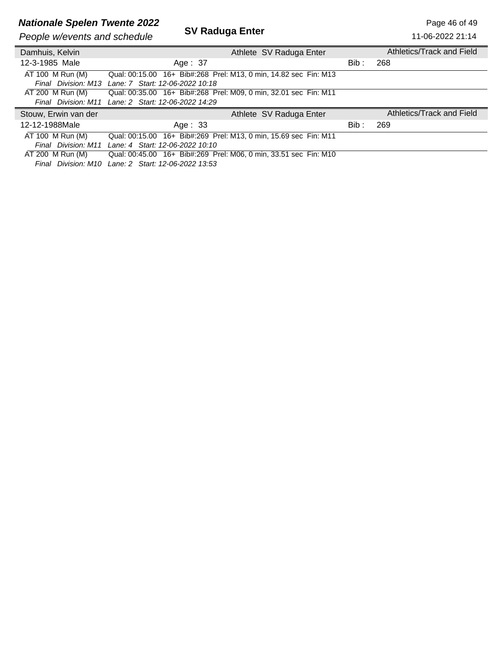## **Nationale Spelen Twente 2022**<br>**SV Raduga Enter** Page 46 of 49

*People w/events and schedule* 

| People w/events and schedule | SV Raduga Enter                                                  |       | 11-06-2022 21:14          |
|------------------------------|------------------------------------------------------------------|-------|---------------------------|
| Damhuis, Kelvin              | Athlete SV Raduga Enter                                          |       | Athletics/Track and Field |
| 12-3-1985 Male               | Age: 37                                                          | Bib : | 268                       |
| AT 100 M Run (M)             | Qual: 00:15.00 16+ Bib#:268 Prel: M13, 0 min, 14.82 sec Fin: M13 |       |                           |
| Final Division: M13          | Lane: 7 Start: 12-06-2022 10:18                                  |       |                           |
| AT 200 M Run (M)             | Qual: 00:35.00 16+ Bib#:268 Prel: M09, 0 min, 32.01 sec Fin: M11 |       |                           |
|                              | Final Division: M11 Lane: 2 Start: 12-06-2022 14:29              |       |                           |
| Stouw, Erwin van der         | Athlete SV Raduga Enter                                          |       | Athletics/Track and Field |
| 12-12-1988Male               | Age: $33$                                                        | Bib:  | 269                       |
| AT 100 M Run (M)             | Qual: 00:15.00 16+ Bib#:269 Prel: M13, 0 min, 15.69 sec Fin: M11 |       |                           |
|                              | Final Division: M11 Lane: 4 Start: 12-06-2022 10:10              |       |                           |
| AT 200 M Run (M)             | Qual: 00:45.00 16+ Bib#:269 Prel: M06, 0 min, 33.51 sec Fin: M10 |       |                           |
|                              | F' I B' ' ' ' ' ' A B' ' ' A BA BARA ' A FA                      |       |                           |

*Final Division: M10 Lane: 2 Start: 12-06-2022 13:53*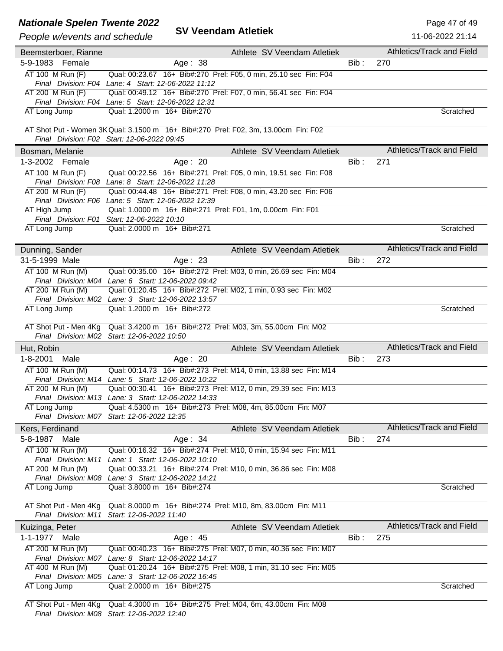### **Nationale Spelen Twente 2022** 2011 2012 2012 2014 2022

### *People w/events and schedule* **SV Veendam Atletiek**

|                        | <b>VECHUALLE AUGUGN</b><br>People w/events and schedule                                                                 |      | 11-06-2022 21:14                 |
|------------------------|-------------------------------------------------------------------------------------------------------------------------|------|----------------------------------|
| Beemsterboer, Rianne   | Athlete SV Veendam Atletiek                                                                                             |      | Athletics/Track and Field        |
| 5-9-1983 Female        | Age: 38                                                                                                                 | Bib: | 270                              |
| $AT 100$ M Run $(F)$   | Qual: 00:23.67 16+ Bib#:270 Prel: F05, 0 min, 25.10 sec Fin: F04                                                        |      |                                  |
|                        | Final Division: F04 Lane: 4 Start: 12-06-2022 11:12                                                                     |      |                                  |
| AT 200 M Run (F)       | Qual: 00:49.12 16+ Bib#:270 Prel: F07, 0 min, 56.41 sec Fin: F04                                                        |      |                                  |
|                        | Final Division: F04 Lane: 5 Start: 12-06-2022 12:31                                                                     |      |                                  |
| AT Long Jump           | Qual: 1.2000 m 16+ Bib#:270                                                                                             |      | Scratched                        |
|                        | AT Shot Put - Women 3K Qual: 3.1500 m 16+ Bib#:270 Prel: F02, 3m, 13.00cm Fin: F02                                      |      |                                  |
|                        | Final Division: F02 Start: 12-06-2022 09:45                                                                             |      |                                  |
| Bosman, Melanie        | Athlete SV Veendam Atletiek                                                                                             |      | Athletics/Track and Field        |
| 1-3-2002 Female        | Age: 20                                                                                                                 | Bib: | 271                              |
| AT 100 M Run (F)       | Qual: 00:22.56 16+ Bib#:271 Prel: F05, 0 min, 19.51 sec Fin: F08                                                        |      |                                  |
|                        | Final Division: F08 Lane: 8 Start: 12-06-2022 11:28                                                                     |      |                                  |
| AT 200 M Run (F)       | Qual: 00:44.48 16+ Bib#:271 Prel: F08, 0 min, 43.20 sec Fin: F06                                                        |      |                                  |
|                        | Final Division: F06 Lane: 5 Start: 12-06-2022 12:39                                                                     |      |                                  |
| AT High Jump           | Qual: 1.0000 m 16+ Bib#:271 Prel: F01, 1m, 0.00cm Fin: F01                                                              |      |                                  |
|                        | Final Division: F01 Start: 12-06-2022 10:10                                                                             |      |                                  |
| AT Long Jump           | Qual: 2.0000 m 16+ Bib#:271                                                                                             |      | Scratched                        |
| Dunning, Sander        | Athlete SV Veendam Atletiek                                                                                             |      | Athletics/Track and Field        |
| 31-5-1999 Male         | Age: 23                                                                                                                 | Bib: | 272                              |
| AT 100 M Run (M)       | Qual: 00:35.00 16+ Bib#:272 Prel: M03, 0 min, 26.69 sec Fin: M04                                                        |      |                                  |
|                        | Final Division: M04 Lane: 6 Start: 12-06-2022 09:42                                                                     |      |                                  |
| AT 200 M Run (M)       | Qual: 01:20.45 16+ Bib#:272 Prel: M02, 1 min, 0.93 sec Fin: M02                                                         |      |                                  |
|                        | Final Division: M02 Lane: 3 Start: 12-06-2022 13:57                                                                     |      |                                  |
| AT Long Jump           | Qual: 1.2000 m 16+ Bib#:272                                                                                             |      | Scratched                        |
|                        |                                                                                                                         |      |                                  |
| AT Shot Put - Men 4Kg  | Qual: 3.4200 m 16+ Bib#:272 Prel: M03, 3m, 55.00cm Fin: M02<br>Final Division: M02 Start: 12-06-2022 10:50              |      |                                  |
| Hut, Robin             | Athlete SV Veendam Atletiek                                                                                             |      | <b>Athletics/Track and Field</b> |
| $1 - 8 - 2001$<br>Male | Age: 20                                                                                                                 | Bib: | 273                              |
| AT 100 M Run (M)       | Qual: 00:14.73  16+ Bib#:273  Prel: M14, 0 min, 13.88 sec Fin: M14                                                      |      |                                  |
|                        | Final Division: M14 Lane: 5 Start: 12-06-2022 10:22                                                                     |      |                                  |
| AT 200 M Run (M)       |                                                                                                                         |      |                                  |
|                        | Qual: 00:30.41 16+ Bib#:273 Prel: M12, 0 min, 29.39 sec Fin: M13                                                        |      |                                  |
|                        | Final Division: M13 Lane: 3 Start: 12-06-2022 14:33                                                                     |      |                                  |
| AT Long Jump           | Qual: 4.5300 m 16+ Bib#:273 Prel: M08, 4m, 85.00cm Fin: M07                                                             |      |                                  |
|                        | Final Division: M07 Start: 12-06-2022 12:35                                                                             |      |                                  |
| Kers, Ferdinand        | Athlete SV Veendam Atletiek                                                                                             |      | Athletics/Track and Field        |
| 5-8-1987<br>Male       | Age: 34                                                                                                                 | Bib: | 274                              |
| AT 100 M Run (M)       | Qual: 00:16.32 16+ Bib#:274 Prel: M10, 0 min, 15.94 sec Fin: M11                                                        |      |                                  |
| Final Division: M11    | Lane: 1 Start: 12-06-2022 10:10                                                                                         |      |                                  |
| AT 200 M Run (M)       | Qual: 00:33.21 16+ Bib#:274 Prel: M10, 0 min, 36.86 sec Fin: M08<br>Final Division: M08 Lane: 3 Start: 12-06-2022 14:21 |      |                                  |
| AT Long Jump           | Qual: 3.8000 m 16+ Bib#:274                                                                                             |      | Scratched                        |
|                        |                                                                                                                         |      |                                  |
| AT Shot Put - Men 4Kg  | Qual: 8.0000 m 16+ Bib#:274 Prel: M10, 8m, 83.00cm Fin: M11                                                             |      |                                  |
| Final Division: M11    | Start: 12-06-2022 11:40                                                                                                 |      |                                  |
| Kuizinga, Peter        | Athlete SV Veendam Atletiek                                                                                             |      | Athletics/Track and Field        |
| $1 - 1 - 1977$<br>Male | Age: $45$                                                                                                               | Bib: | 275                              |
| AT 200 M Run (M)       | Qual: 00:40.23 16+ Bib#:275 Prel: M07, 0 min, 40.36 sec Fin: M07                                                        |      |                                  |
|                        | Final Division: M07 Lane: 8 Start: 12-06-2022 14:17                                                                     |      |                                  |
| $AT$ 400 M Run (M)     | Qual: 01:20.24 16+ Bib#:275 Prel: M08, 1 min, 31.10 sec Fin: M05<br>Final Division: M05 Lane: 3 Start: 12-06-2022 16:45 |      |                                  |
| AT Long Jump           | Qual: 2.0000 m 16+ Bib#:275                                                                                             |      | Scratched                        |

AT Shot Put - Men 4Kg Qual: 4.3000 m 16+ Bib#:275 Prel: M04, 6m, 43.00cm Fin: M08 *Final Division: M08 Start: 12-06-2022 12:40*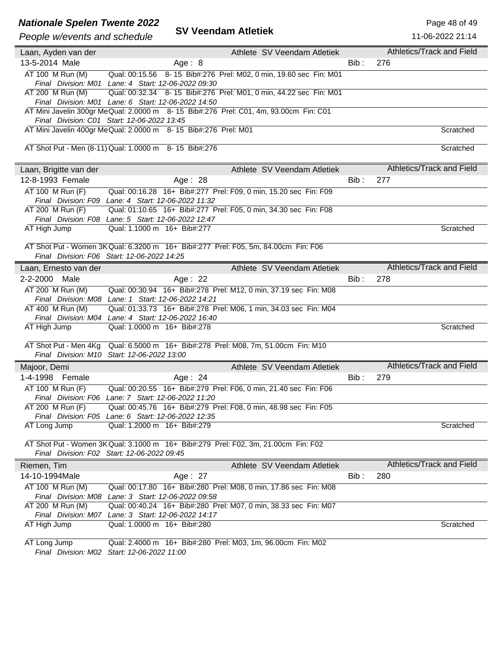## **Nationale Spelen Twente 2022**<br>**SV Veendam Atletiek** Page 48 of 49<br>**Page law twents and askedula SV Veendam Atletiek**

### *People w/events and schedule* **SV Veendam Atletiek**

11-06-2022 21:14

| People w/events and scriedule |                                                                                                                         |         |                                  | <u>11-00-2022 21.14</u> |
|-------------------------------|-------------------------------------------------------------------------------------------------------------------------|---------|----------------------------------|-------------------------|
| Laan, Ayden van der           | Athlete SV Veendam Atletiek                                                                                             |         | Athletics/Track and Field        |                         |
| 13-5-2014 Male                | Age: $8$                                                                                                                | $Bib$ : | 276                              |                         |
| AT 100 M Run (M)              | Qual: 00:15.56 8-15 Bib#:276 Prel: M02, 0 min, 19.60 sec Fin: M01                                                       |         |                                  |                         |
|                               | Final Division: M01 Lane: 4 Start: 12-06-2022 09:30                                                                     |         |                                  |                         |
| AT 200 M Run (M)              | Qual: 00:32.34 8-15 Bib#:276 Prel: M01, 0 min, 44.22 sec Fin: M01                                                       |         |                                  |                         |
|                               | Final Division: M01 Lane: 6 Start: 12-06-2022 14:50                                                                     |         |                                  |                         |
|                               | AT Mini Javelin 300gr MeQual: 2.0000 m 8-15 Bib#:276 Prel: C01, 4m, 93.00cm Fin: C01                                    |         |                                  |                         |
|                               | Final Division: C01 Start: 12-06-2022 13:45                                                                             |         |                                  |                         |
|                               | AT Mini Javelin 400gr Me Qual: 2.0000 m 8- 15 Bib#:276 Prel: M01                                                        |         |                                  | Scratched               |
|                               |                                                                                                                         |         |                                  |                         |
|                               | AT Shot Put - Men (8-11) Qual: 1.0000 m 8- 15 Bib#:276                                                                  |         |                                  | Scratched               |
|                               |                                                                                                                         |         | Athletics/Track and Field        |                         |
| Laan, Brigitte van der        | Athlete SV Veendam Atletiek                                                                                             |         |                                  |                         |
| 12-8-1993 Female              | Age: 28                                                                                                                 | Bib :   | 277                              |                         |
| AT 100 M Run (F)              | Qual: 00:16.28 16+ Bib#:277 Prel: F09, 0 min, 15.20 sec Fin: F09                                                        |         |                                  |                         |
|                               | Final Division: F09 Lane: 4 Start: 12-06-2022 11:32                                                                     |         |                                  |                         |
| AT 200 M Run (F)              | Qual: 01:10.65 16+ Bib#:277 Prel: F05, 0 min, 34.30 sec Fin: F08                                                        |         |                                  |                         |
|                               | Final Division: F08 Lane: 5 Start: 12-06-2022 12:47                                                                     |         |                                  |                         |
| AT High Jump                  | Qual: 1.1000 m 16+ Bib#:277                                                                                             |         |                                  | Scratched               |
|                               | AT Shot Put - Women 3K Qual: 6.3200 m 16+ Bib#:277 Prel: F05, 5m, 84.00cm Fin: F06                                      |         |                                  |                         |
|                               | Final Division: F06 Start: 12-06-2022 14:25                                                                             |         |                                  |                         |
| Laan, Ernesto van der         | Athlete SV Veendam Atletiek                                                                                             |         | <b>Athletics/Track and Field</b> |                         |
|                               |                                                                                                                         |         |                                  |                         |
| 2-2-2000 Male                 | Age: $22$                                                                                                               | Bib :   | 278                              |                         |
| AT 200 M Run (M)              | Qual: 00:30.94 16+ Bib#:278 Prel: M12, 0 min, 37.19 sec Fin: M08                                                        |         |                                  |                         |
|                               | Final Division: M08 Lane: 1 Start: 12-06-2022 14:21                                                                     |         |                                  |                         |
| AT 400 M Run (M)              | Qual: 01:33.73 16+ Bib#:278 Prel: M06, 1 min, 34.03 sec Fin: M04<br>Final Division: M04 Lane: 4 Start: 12-06-2022 16:40 |         |                                  |                         |
| AT High Jump                  | Qual: 1.0000 m 16+ Bib#:278                                                                                             |         |                                  | Scratched               |
|                               |                                                                                                                         |         |                                  |                         |
| AT Shot Put - Men 4Kg         | Qual: 6.5000 m 16+ Bib#:278 Prel: M08, 7m, 51.00cm Fin: M10                                                             |         |                                  |                         |
|                               | Final Division: M10 Start: 12-06-2022 13:00                                                                             |         |                                  |                         |
| Majoor, Demi                  | Athlete SV Veendam Atletiek                                                                                             |         | <b>Athletics/Track and Field</b> |                         |
| 1-4-1998 Female               | Age: 24                                                                                                                 | Bib:    | 279                              |                         |
| AT 100 M Run (F)              | Qual: 00:20.55 16+ Bib#:279 Prel: F06, 0 min, 21.40 sec Fin: F06                                                        |         |                                  |                         |
|                               | Final Division: F06 Lane: 7 Start: 12-06-2022 11:20                                                                     |         |                                  |                         |
| AT 200 M Run (F)              | Qual: 00:45.76 16+ Bib#:279 Prel: F08, 0 min, 48.98 sec Fin: F05                                                        |         |                                  |                         |
|                               | Final Division: F05 Lane: 6 Start: 12-06-2022 12:35                                                                     |         |                                  |                         |
| AT Long Jump                  | Qual: 1.2000 m 16+ Bib#:279                                                                                             |         |                                  | Scratched               |
|                               |                                                                                                                         |         |                                  |                         |
|                               | AT Shot Put - Women 3K Qual: 3.1000 m 16+ Bib#:279 Prel: F02, 3m, 21.00cm Fin: F02                                      |         |                                  |                         |
|                               | Final Division: F02 Start: 12-06-2022 09:45                                                                             |         |                                  |                         |
| Riemen, Tim                   | Athlete SV Veendam Atletiek                                                                                             |         | Athletics/Track and Field        |                         |
| 14-10-1994Male                | Age: 27                                                                                                                 | Bib:    | 280                              |                         |
| AT 100 M Run (M)              | Qual: 00:17.80 16+ Bib#:280 Prel: M08, 0 min, 17.86 sec Fin: M08                                                        |         |                                  |                         |
| Final Division: M08           | Lane: 3 Start: 12-06-2022 09:58                                                                                         |         |                                  |                         |
| AT 200 M Run (M)              | Qual: 00:40.24 16+ Bib#:280 Prel: M07, 0 min, 38.33 sec Fin: M07                                                        |         |                                  |                         |
|                               | Final Division: M07 Lane: 3 Start: 12-06-2022 14:17                                                                     |         |                                  |                         |
| AT High Jump                  | Qual: 1.0000 m 16+ Bib#:280                                                                                             |         |                                  | Scratched               |
| AT Long Jump                  | Qual: 2.4000 m 16+ Bib#:280 Prel: M03, 1m, 96.00cm Fin: M02                                                             |         |                                  |                         |
|                               | Final Division: M02 Start: 12-06-2022 11:00                                                                             |         |                                  |                         |
|                               |                                                                                                                         |         |                                  |                         |